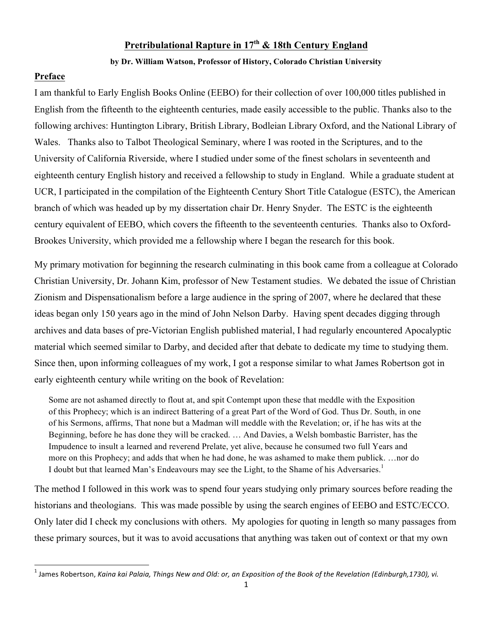# **Pretribulational Rapture in 17th & 18th Century England**

### **by Dr. William Watson, Professor of History, Colorado Christian University**

### **Preface**

!!!!!!!!!!!!!!!!!!!!!!!!!!!!!!!!!!!!!!!!!!!!!!!!!!!!!!!!!!!!

I am thankful to Early English Books Online (EEBO) for their collection of over 100,000 titles published in English from the fifteenth to the eighteenth centuries, made easily accessible to the public. Thanks also to the following archives: Huntington Library, British Library, Bodleian Library Oxford, and the National Library of Wales. Thanks also to Talbot Theological Seminary, where I was rooted in the Scriptures, and to the University of California Riverside, where I studied under some of the finest scholars in seventeenth and eighteenth century English history and received a fellowship to study in England. While a graduate student at UCR, I participated in the compilation of the Eighteenth Century Short Title Catalogue (ESTC), the American branch of which was headed up by my dissertation chair Dr. Henry Snyder. The ESTC is the eighteenth century equivalent of EEBO, which covers the fifteenth to the seventeenth centuries. Thanks also to Oxford-Brookes University, which provided me a fellowship where I began the research for this book.

My primary motivation for beginning the research culminating in this book came from a colleague at Colorado Christian University, Dr. Johann Kim, professor of New Testament studies. We debated the issue of Christian Zionism and Dispensationalism before a large audience in the spring of 2007, where he declared that these ideas began only 150 years ago in the mind of John Nelson Darby. Having spent decades digging through archives and data bases of pre-Victorian English published material, I had regularly encountered Apocalyptic material which seemed similar to Darby, and decided after that debate to dedicate my time to studying them. Since then, upon informing colleagues of my work, I got a response similar to what James Robertson got in early eighteenth century while writing on the book of Revelation:

Some are not ashamed directly to flout at, and spit Contempt upon these that meddle with the Exposition of this Prophecy; which is an indirect Battering of a great Part of the Word of God. Thus Dr. South, in one of his Sermons, affirms, That none but a Madman will meddle with the Revelation; or, if he has wits at the Beginning, before he has done they will be cracked. … And Davies, a Welsh bombastic Barrister, has the Impudence to insult a learned and reverend Prelate, yet alive, because he consumed two full Years and more on this Prophecy; and adds that when he had done, he was ashamed to make them publick. …nor do I doubt but that learned Man's Endeavours may see the Light, to the Shame of his Adversaries.<sup>1</sup>

The method I followed in this work was to spend four years studying only primary sources before reading the historians and theologians. This was made possible by using the search engines of EEBO and ESTC/ECCO. Only later did I check my conclusions with others. My apologies for quoting in length so many passages from these primary sources, but it was to avoid accusations that anything was taken out of context or that my own

 $^{\rm 1}$  James Robertson, *Kaina kai Palaia, Things New and Old: or, an Exposition of the Book of the Revelation (Edinburgh,1730), vi.*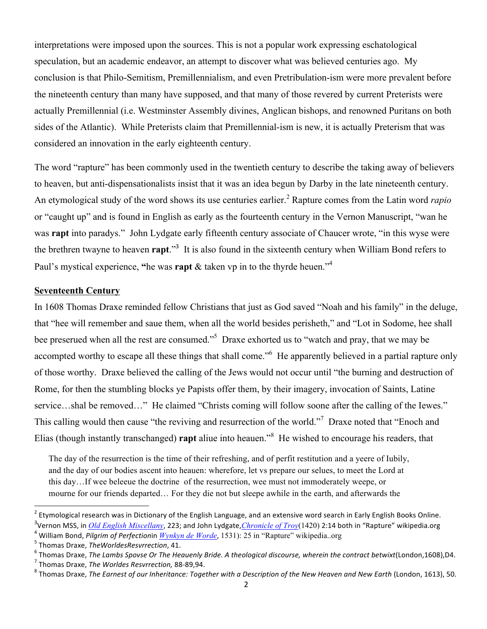interpretations were imposed upon the sources. This is not a popular work expressing eschatological speculation, but an academic endeavor, an attempt to discover what was believed centuries ago. My conclusion is that Philo-Semitism, Premillennialism, and even Pretribulation-ism were more prevalent before the nineteenth century than many have supposed, and that many of those revered by current Preterists were actually Premillennial (i.e. Westminster Assembly divines, Anglican bishops, and renowned Puritans on both sides of the Atlantic). While Preterists claim that Premillennial-ism is new, it is actually Preterism that was considered an innovation in the early eighteenth century.

The word "rapture" has been commonly used in the twentieth century to describe the taking away of believers to heaven, but anti-dispensationalists insist that it was an idea begun by Darby in the late nineteenth century. An etymological study of the word shows its use centuries earlier.<sup>2</sup> Rapture comes from the Latin word *rapio* or "caught up" and is found in English as early as the fourteenth century in the Vernon Manuscript, "wan he was **rapt** into paradys." John Lydgate early fifteenth century associate of Chaucer wrote, "in this wyse were the brethren twayne to heaven **rapt**."<sup>3</sup> It is also found in the sixteenth century when William Bond refers to Paul's mystical experience, "he was **rapt** & taken vp in to the thyrde heuen."<sup>4</sup>

### **Seventeenth Century**

In 1608 Thomas Draxe reminded fellow Christians that just as God saved "Noah and his family" in the deluge, that "hee will remember and saue them, when all the world besides perisheth," and "Lot in Sodome, hee shall bee preserued when all the rest are consumed."<sup>5</sup> Draxe exhorted us to "watch and pray, that we may be accompted worthy to escape all these things that shall come."<sup>6</sup> He apparently believed in a partial rapture only of those worthy. Draxe believed the calling of the Jews would not occur until "the burning and destruction of Rome, for then the stumbling blocks ye Papists offer them, by their imagery, invocation of Saints, Latine service...shal be removed..." He claimed "Christs coming will follow soone after the calling of the Iewes." This calling would then cause "the reviving and resurrection of the world."<sup>7</sup> Draxe noted that "Enoch and Elias (though instantly transchanged) **rapt** aliue into heauen."<sup>8</sup> He wished to encourage his readers, that

The day of the resurrection is the time of their refreshing, and of perfit restitution and a yeere of Iubily, and the day of our bodies ascent into heauen: wherefore, let vs prepare our selues, to meet the Lord at this day…If wee beleeue the doctrine of the resurrection, wee must not immoderately weepe, or mourne for our friends departed… For they die not but sleepe awhile in the earth, and afterwards the

 $^2$  Etymological research was in Dictionary of the English Language, and an extensive word search in Early English Books Online. <sup>3</sup>Vernon MSS, in <u>Old *English Miscellany,*</u> 223; and John Lydgate,*Chronicle of Troy*(1420) 2:14 both in "Rapture" wikipedia.org

<sup>&</sup>lt;sup>4</sup> William Bond, *Pilgrim of Perfectionin <u>Wynkyn de Worde</u>,* 1531): 25 in "Rapture" wikipedia..org<br><sup>5</sup> Thomas Draxe, *TheWorldesResvrrection*, 41.<br><sup>6</sup> Thomas Draxe, *The Lambs Spovse Or The Heauenly Bride. A theological*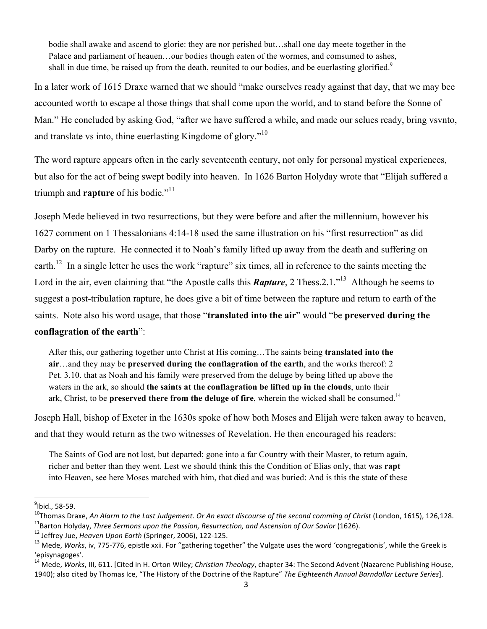bodie shall awake and ascend to glorie: they are nor perished but…shall one day meete together in the Palace and parliament of heauen…our bodies though eaten of the wormes, and comsumed to ashes, shall in due time, be raised up from the death, reunited to our bodies, and be euerlasting glorified.<sup>9</sup>

In a later work of 1615 Draxe warned that we should "make ourselves ready against that day, that we may bee accounted worth to escape al those things that shall come upon the world, and to stand before the Sonne of Man." He concluded by asking God, "after we have suffered a while, and made our selues ready, bring vsvnto, and translate vs into, thine euerlasting Kingdome of glory."<sup>10</sup>

The word rapture appears often in the early seventeenth century, not only for personal mystical experiences, but also for the act of being swept bodily into heaven. In 1626 Barton Holyday wrote that "Elijah suffered a triumph and **rapture** of his bodie."<sup>11</sup>

Joseph Mede believed in two resurrections, but they were before and after the millennium, however his 1627 comment on 1 Thessalonians 4:14-18 used the same illustration on his "first resurrection" as did Darby on the rapture. He connected it to Noah's family lifted up away from the death and suffering on earth.<sup>12</sup> In a single letter he uses the work "rapture" six times, all in reference to the saints meeting the Lord in the air, even claiming that "the Apostle calls this **Rapture**, 2 Thess. 2.1<sup>."13</sup> Although he seems to suggest a post-tribulation rapture, he does give a bit of time between the rapture and return to earth of the saints. Note also his word usage, that those "**translated into the air**" would "be **preserved during the** 

### **conflagration of the earth**":

!!!!!!!!!!!!!!!!!!!!!!!!!!!!!!!!!!!!!!!!!!!!!!!!!!!!!!!!!!!!

After this, our gathering together unto Christ at His coming…The saints being **translated into the air**…and they may be **preserved during the conflagration of the earth**, and the works thereof: 2 Pet. 3.10. that as Noah and his family were preserved from the deluge by being lifted up above the waters in the ark, so should **the saints at the conflagration be lifted up in the clouds**, unto their ark, Christ, to be **preserved there from the deluge of fire**, wherein the wicked shall be consumed.<sup>14</sup>

Joseph Hall, bishop of Exeter in the 1630s spoke of how both Moses and Elijah were taken away to heaven, and that they would return as the two witnesses of Revelation. He then encouraged his readers:

The Saints of God are not lost, but departed; gone into a far Country with their Master, to return again, richer and better than they went. Lest we should think this the Condition of Elias only, that was **rapt** into Heaven, see here Moses matched with him, that died and was buried: And is this the state of these

 $^{9}$ Ibid., 58-59.

<sup>&</sup>lt;sup>10</sup>Thomas Draxe, An Alarm to the Last Judgement. Or An exact discourse of the second comming of Christ (London, 1615), 126,128.<br><sup>11</sup>Barton Holyday, *Three Sermons upon the Passion, Resurrection, and Ascension of Our Savi* 

<sup>&#</sup>x27;episynagoges'.

<sup>&</sup>lt;sup>14</sup> Mede, *Works*, III, 611. [Cited in H. Orton Wiley; *Christian Theology*, chapter 34: The Second Advent (Nazarene Publishing House, 1940); also cited by Thomas Ice, "The History of the Doctrine of the Rapture" The Eighteenth Annual Barndollar Lecture Series].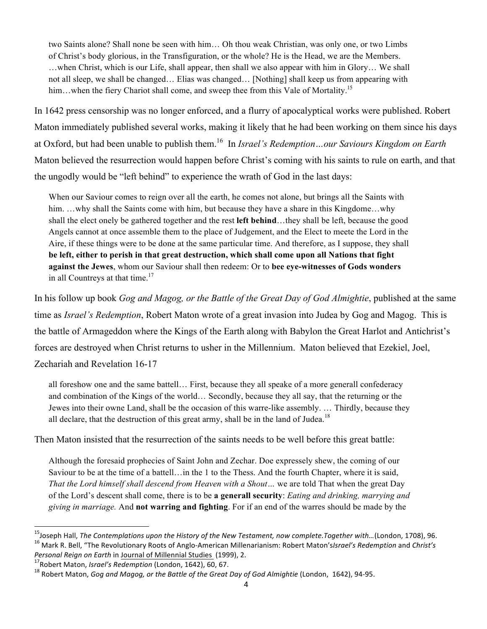two Saints alone? Shall none be seen with him… Oh thou weak Christian, was only one, or two Limbs of Christ's body glorious, in the Transfiguration, or the whole? He is the Head, we are the Members. …when Christ, which is our Life, shall appear, then shall we also appear with him in Glory… We shall not all sleep, we shall be changed… Elias was changed… [Nothing] shall keep us from appearing with him... when the fiery Chariot shall come, and sweep thee from this Vale of Mortality.<sup>15</sup>

In 1642 press censorship was no longer enforced, and a flurry of apocalyptical works were published. Robert Maton immediately published several works, making it likely that he had been working on them since his days at Oxford, but had been unable to publish them.16 In *Israel's Redemption…our Saviours Kingdom on Earth*  Maton believed the resurrection would happen before Christ's coming with his saints to rule on earth, and that the ungodly would be "left behind" to experience the wrath of God in the last days:

When our Saviour comes to reign over all the earth, he comes not alone, but brings all the Saints with him. ...why shall the Saints come with him, but because they have a share in this Kingdome...why shall the elect onely be gathered together and the rest **left behind**…they shall be left, because the good Angels cannot at once assemble them to the place of Judgement, and the Elect to meete the Lord in the Aire, if these things were to be done at the same particular time. And therefore, as I suppose, they shall **be left, either to perish in that great destruction, which shall come upon all Nations that fight against the Jewes**, whom our Saviour shall then redeem: Or to **bee eye-witnesses of Gods wonders** in all Countreys at that time.<sup>17</sup>

In his follow up book *Gog and Magog, or the Battle of the Great Day of God Almightie*, published at the same time as *Israel's Redemption*, Robert Maton wrote of a great invasion into Judea by Gog and Magog. This is the battle of Armageddon where the Kings of the Earth along with Babylon the Great Harlot and Antichrist's forces are destroyed when Christ returns to usher in the Millennium. Maton believed that Ezekiel, Joel, Zechariah and Revelation 16-17

all foreshow one and the same battell… First, because they all speake of a more generall confederacy and combination of the Kings of the world… Secondly, because they all say, that the returning or the Jewes into their owne Land, shall be the occasion of this warre-like assembly. … Thirdly, because they all declare, that the destruction of this great army, shall be in the land of Judea.<sup>18</sup>

Then Maton insisted that the resurrection of the saints needs to be well before this great battle:

Although the foresaid prophecies of Saint John and Zechar. Doe expressely shew, the coming of our Saviour to be at the time of a battell…in the 1 to the Thess. And the fourth Chapter, where it is said, *That the Lord himself shall descend from Heaven with a Shout…* we are told That when the great Day of the Lord's descent shall come, there is to be **a generall security**: *Eating and drinking, marrying and giving in marriage.* And **not warring and fighting**. For if an end of the warres should be made by the

<sup>&</sup>lt;sup>15</sup>Joseph Hall, *The Contemplations upon the History of the New Testament, now complete.Together with...(London, 1708), 96.<br><sup>16</sup> Mark R. Bell, "The Revolutionary Roots of Anglo-American Millenarianism: Robert Maton's<i>lsra* Personal Reign on Earth in Journal of Millennial Studies (1999), 2.<br><sup>17</sup>Robert Maton, *Israel's Redemption* (London, 1642), 60, 67.<br><sup>18</sup> Robert Maton, *Gog and Magog, or the Battle of the Great Day of God Almightie (London*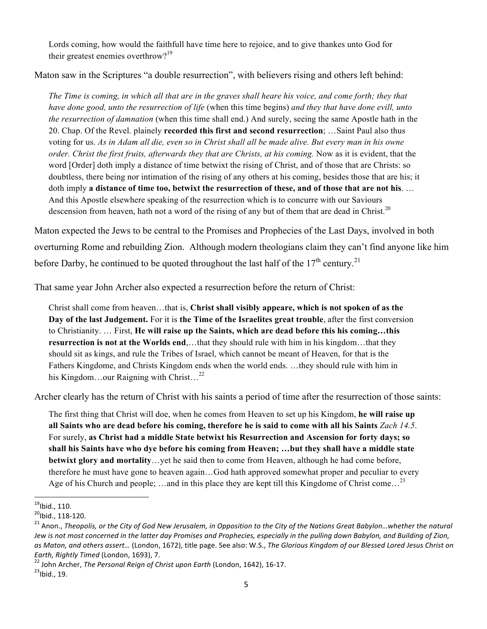Lords coming, how would the faithfull have time here to rejoice, and to give thankes unto God for their greatest enemies overthrow?<sup>19</sup>

Maton saw in the Scriptures "a double resurrection", with believers rising and others left behind:

*The Time is coming, in which all that are in the graves shall heare his voice, and come forth; they that have done good, unto the resurrection of life* (when this time begins) *and they that have done evill, unto the resurrection of damnation* (when this time shall end.) And surely, seeing the same Apostle hath in the 20. Chap. Of the Revel. plainely **recorded this first and second resurrection**; …Saint Paul also thus voting for us. *As in Adam all die, even so in Christ shall all be made alive. But every man in his owne order. Christ the first fruits, afterwards they that are Christs, at his coming.* Now as it is evident, that the word [Order] doth imply a distance of time betwixt the rising of Christ, and of those that are Christs: so doubtless, there being nor intimation of the rising of any others at his coming, besides those that are his; it doth imply **a distance of time too, betwixt the resurrection of these, and of those that are not his**. … And this Apostle elsewhere speaking of the resurrection which is to concurre with our Saviours descension from heaven, hath not a word of the rising of any but of them that are dead in Christ.<sup>20</sup>

Maton expected the Jews to be central to the Promises and Prophecies of the Last Days, involved in both overturning Rome and rebuilding Zion. Although modern theologians claim they can't find anyone like him before Darby, he continued to be quoted throughout the last half of the  $17<sup>th</sup>$  century.<sup>21</sup>

That same year John Archer also expected a resurrection before the return of Christ:

Christ shall come from heaven…that is, **Christ shall visibly appeare, which is not spoken of as the Day of the last Judgement.** For it is **the Time of the Israelites great trouble**, after the first conversion to Christianity. … First, **He will raise up the Saints, which are dead before this his coming…this resurrection is not at the Worlds end**,…that they should rule with him in his kingdom…that they should sit as kings, and rule the Tribes of Israel, which cannot be meant of Heaven, for that is the Fathers Kingdome, and Christs Kingdom ends when the world ends. …they should rule with him in his Kingdom…our Raigning with Christ...<sup>22</sup>

Archer clearly has the return of Christ with his saints a period of time after the resurrection of those saints:

The first thing that Christ will doe, when he comes from Heaven to set up his Kingdom, **he will raise up all Saints who are dead before his coming, therefore he is said to come with all his Saints** *Zach 14.5*. For surely, **as Christ had a middle State betwixt his Resurrection and Ascension for forty days; so shall his Saints have who dye before his coming from Heaven; …but they shall have a middle state betwixt glory and mortality**…yet he said then to come from Heaven, although he had come before, therefore he must have gone to heaven again…God hath approved somewhat proper and peculiar to every Age of his Church and people; …and in this place they are kept till this Kingdome of Christ come...<sup>23</sup>

 $^{19}$ lbid., 110.<br><sup>20</sup>lbid., 118-120.

<sup>&</sup>lt;sup>21</sup> Anon., *Theopolis, or the City of God New Jerusalem, in Opposition to the City of the Nations Great Babylon…whether the natural* Jew is not most concerned in the latter day Promises and Prophecies, especially in the pulling down Babylon, and Building of Zion, as Maton, and others assert... (London, 1672), title page. See also: W.S., *The Glorious Kingdom of our Blessed Lored Jesus Christ on* 

*Earth, Rightly Timed (London, 1693), 7. 22* John Archer, *The Personal Reign of Christ upon Earth (London, 1642), 16-17.* <sup>23</sup>Ibid., 19.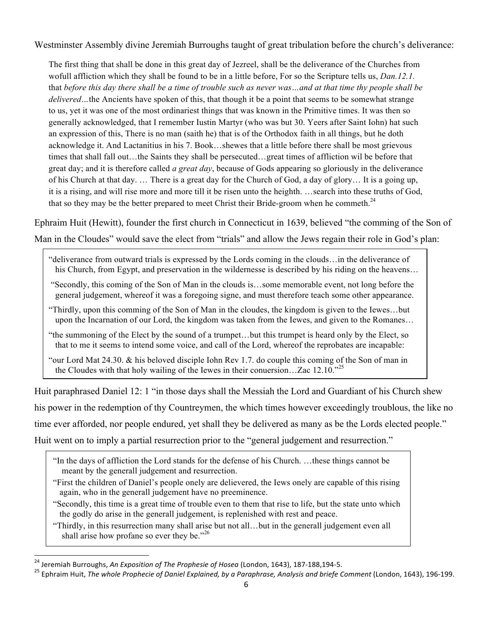Westminster Assembly divine Jeremiah Burroughs taught of great tribulation before the church's deliverance:

The first thing that shall be done in this great day of Jezreel, shall be the deliverance of the Churches from wofull affliction which they shall be found to be in a little before, For so the Scripture tells us, *Dan.12.1.*  that *before this day there shall be a time of trouble such as never was…and at that time thy people shall be delivered*...the Ancients have spoken of this, that though it be a point that seems to be somewhat strange to us, yet it was one of the most ordinariest things that was known in the Primitive times. It was then so generally acknowledged, that I remember Iustin Martyr (who was but 30. Yeers after Saint Iohn) hat such an expression of this, There is no man (saith he) that is of the Orthodox faith in all things, but he doth acknowledge it. And Lactanitius in his 7. Book…shewes that a little before there shall be most grievous times that shall fall out…the Saints they shall be persecuted…great times of affliction wil be before that great day; and it is therefore called *a great day*, because of Gods appearing so gloriously in the deliverance of his Church at that day. … There is a great day for the Church of God, a day of glory… It is a going up, it is a rising, and will rise more and more till it be risen unto the heighth. …search into these truths of God, that so they may be the better prepared to meet Christ their Bride-groom when he commeth. $^{24}$ 

Ephraim Huit (Hewitt), founder the first church in Connecticut in 1639, believed "the comming of the Son of Man in the Cloudes" would save the elect from "trials" and allow the Jews regain their role in God's plan:

- "deliverance from outward trials is expressed by the Lords coming in the clouds…in the deliverance of his Church, from Egypt, and preservation in the wildernesse is described by his riding on the heavens...
- "Secondly, this coming of the Son of Man in the clouds is…some memorable event, not long before the general judgement, whereof it was a foregoing signe, and must therefore teach some other appearance.
- "Thirdly, upon this comming of the Son of Man in the cloudes, the kingdom is given to the Iewes…but upon the Incarnation of our Lord, the kingdom was taken from the Iewes, and given to the Romanes…
- "the summoning of the Elect by the sound of a trumpet…but this trumpet is heard only by the Elect, so that to me it seems to intend some voice, and call of the Lord, whereof the reprobates are incapable:
- "our Lord Mat 24.30. & his beloved disciple Iohn Rev 1.7. do couple this coming of the Son of man in the Cloudes with that holy wailing of the Iewes in their conuersion...Zac 12.10.<sup> $25$ </sup>

Huit paraphrased Daniel 12: 1 "in those days shall the Messiah the Lord and Guardiant of his Church shew his power in the redemption of thy Countreymen, the which times however exceedingly troublous, the like no time ever afforded, nor people endured, yet shall they be delivered as many as be the Lords elected people." Huit went on to imply a partial resurrection prior to the "general judgement and resurrection."

 "In the days of affliction the Lord stands for the defense of his Church. …these things cannot be meant by the generall judgement and resurrection.

- "First the children of Daniel's people onely are delievered, the Iews onely are capable of this rising again, who in the generall judgement have no preeminence.
- "Secondly, this time is a great time of trouble even to them that rise to life, but the state unto which the godly do arise in the generall judgement, is replenished with rest and peace.

 "Thirdly, in this resurrection many shall arise but not all…but in the generall judgement even all shall arise how profane so ever they be."<sup>26</sup>

<sup>&</sup>lt;sup>24</sup> Jeremiah Burroughs, An Exposition of The Prophesie of Hosea (London, 1643), 187-188,194-5.

<sup>&</sup>lt;sup>25</sup> Ephraim Huit, The whole Prophecie of Daniel Explained, by a Paraphrase, Analysis and briefe Comment (London, 1643), 196-199.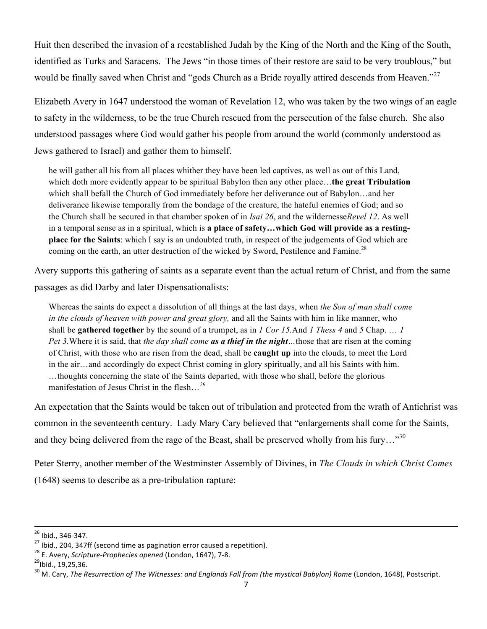Huit then described the invasion of a reestablished Judah by the King of the North and the King of the South, identified as Turks and Saracens. The Jews "in those times of their restore are said to be very troublous," but would be finally saved when Christ and "gods Church as a Bride royally attired descends from Heaven."<sup>27</sup>

Elizabeth Avery in 1647 understood the woman of Revelation 12, who was taken by the two wings of an eagle to safety in the wilderness, to be the true Church rescued from the persecution of the false church. She also understood passages where God would gather his people from around the world (commonly understood as Jews gathered to Israel) and gather them to himself.

he will gather all his from all places whither they have been led captives, as well as out of this Land, which doth more evidently appear to be spiritual Babylon then any other place…**the great Tribulation** which shall befall the Church of God immediately before her deliverance out of Babylon…and her deliverance likewise temporally from the bondage of the creature, the hateful enemies of God; and so the Church shall be secured in that chamber spoken of in *Isai 26*, and the wildernesse*Revel 12*. As well in a temporal sense as in a spiritual, which is **a place of safety…which God will provide as a restingplace for the Saints**: which I say is an undoubted truth, in respect of the judgements of God which are coming on the earth, an utter destruction of the wicked by Sword, Pestilence and Famine.<sup>28</sup>

Avery supports this gathering of saints as a separate event than the actual return of Christ, and from the same passages as did Darby and later Dispensationalists:

Whereas the saints do expect a dissolution of all things at the last days, when *the Son of man shall come in the clouds of heaven with power and great glory,* and all the Saints with him in like manner, who shall be **gathered together** by the sound of a trumpet, as in *1 Cor 15.*And *1 Thess 4* and *5* Chap. … *1 Pet 3.*Where it is said, that *the day shall come as a thief in the night…*those that are risen at the coming of Christ, with those who are risen from the dead, shall be **caught up** into the clouds, to meet the Lord in the air…and accordingly do expect Christ coming in glory spiritually, and all his Saints with him. …thoughts concerning the state of the Saints departed, with those who shall, before the glorious manifestation of Jesus Christ in the flesh…*<sup>29</sup>*

An expectation that the Saints would be taken out of tribulation and protected from the wrath of Antichrist was common in the seventeenth century. Lady Mary Cary believed that "enlargements shall come for the Saints, and they being delivered from the rage of the Beast, shall be preserved wholly from his fury..."<sup>30</sup>

Peter Sterry, another member of the Westminster Assembly of Divines, in *The Clouds in which Christ Comes* (1648) seems to describe as a pre-tribulation rapture:

!!!!!!!!!!!!!!!!!!!!!!!!!!!!!!!!!!!!!!!!!!!!!!!!!!!!!!!!!!!!!!!!!!!!!!!!!!!!!!!!!!!!!!!!!!!!!!!!!!!!!!!!!!!!!!!!!!!!!!!!!!!!!!!!!!!!!!!!!!!!!!!!!!!!!!!!!!!!!!!!!!!!!!!!!!!!!!!!!!!!!!!!!!!!!!!!!!!!!!!!!!!!!!!!!!!!!!!!!!!!!!

<sup>&</sup>lt;sup>26</sup> Ibid., 346-347.<br><sup>27</sup> Ibid., 204, 347ff (second time as pagination error caused a repetition).<br><sup>28</sup> E. Avery, *Scripture-Prophecies opened* (London, 1647), 7-8.<br><sup>29</sup> Ibid., 19,25,36.<br><sup>30</sup> M. Cary, *The Resurrection of*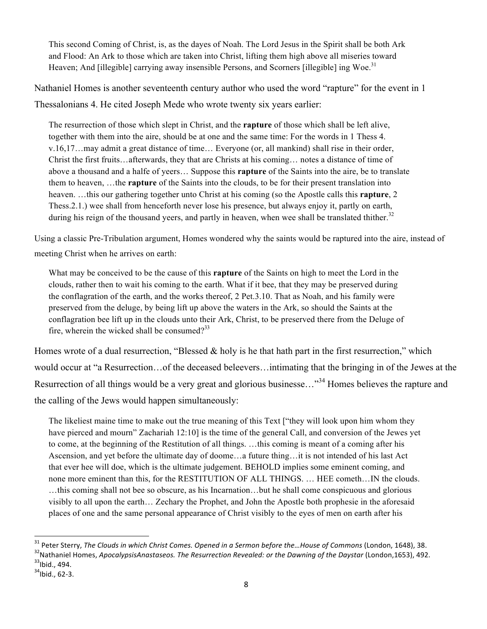This second Coming of Christ, is, as the dayes of Noah. The Lord Jesus in the Spirit shall be both Ark and Flood: An Ark to those which are taken into Christ, lifting them high above all miseries toward Heaven; And [illegible] carrying away insensible Persons, and Scorners [illegible] ing Woe.<sup>31</sup>

Nathaniel Homes is another seventeenth century author who used the word "rapture" for the event in 1 Thessalonians 4. He cited Joseph Mede who wrote twenty six years earlier:

The resurrection of those which slept in Christ, and the **rapture** of those which shall be left alive, together with them into the aire, should be at one and the same time: For the words in 1 Thess 4. v.16,17…may admit a great distance of time… Everyone (or, all mankind) shall rise in their order, Christ the first fruits…afterwards, they that are Christs at his coming… notes a distance of time of above a thousand and a halfe of yeers… Suppose this **rapture** of the Saints into the aire, be to translate them to heaven, …the **rapture** of the Saints into the clouds, to be for their present translation into heaven. …this our gathering together unto Christ at his coming (so the Apostle calls this **rapture**, 2 Thess.2.1.) wee shall from henceforth never lose his presence, but always enjoy it, partly on earth, during his reign of the thousand yeers, and partly in heaven, when wee shall be translated thither. $32$ 

Using a classic Pre-Tribulation argument, Homes wondered why the saints would be raptured into the aire, instead of meeting Christ when he arrives on earth:

What may be conceived to be the cause of this **rapture** of the Saints on high to meet the Lord in the clouds, rather then to wait his coming to the earth. What if it bee, that they may be preserved during the conflagration of the earth, and the works thereof, 2 Pet.3.10. That as Noah, and his family were preserved from the deluge, by being lift up above the waters in the Ark, so should the Saints at the conflagration bee lift up in the clouds unto their Ark, Christ, to be preserved there from the Deluge of fire, wherein the wicked shall be consumed? $33$ 

Homes wrote of a dual resurrection, "Blessed & holy is he that hath part in the first resurrection," which would occur at "a Resurrection…of the deceased beleevers…intimating that the bringing in of the Jewes at the Resurrection of all things would be a very great and glorious businesse..."<sup>34</sup> Homes believes the rapture and the calling of the Jews would happen simultaneously:

The likeliest maine time to make out the true meaning of this Text ["they will look upon him whom they have pierced and mourn" Zachariah 12:10] is the time of the general Call, and conversion of the Jewes yet to come, at the beginning of the Restitution of all things. …this coming is meant of a coming after his Ascension, and yet before the ultimate day of doome…a future thing…it is not intended of his last Act that ever hee will doe, which is the ultimate judgement. BEHOLD implies some eminent coming, and none more eminent than this, for the RESTITUTION OF ALL THINGS. … HEE cometh…IN the clouds. …this coming shall not bee so obscure, as his Incarnation…but he shall come conspicuous and glorious visibly to all upon the earth… Zechary the Prophet, and John the Apostle both prophesie in the aforesaid places of one and the same personal appearance of Christ visibly to the eyes of men on earth after his

<sup>&</sup>lt;sup>31</sup> Peter Sterry, *The Clouds in which Christ Comes. Opened in a Sermon before the...House of Commons (London, 1648), 38.*<br><sup>32</sup> Nathaniel Homes, *ApocalypsisAnastaseos. The Resurrection Revealed: or the Dawning of the Da* 

 $34$ Ibid., 62-3.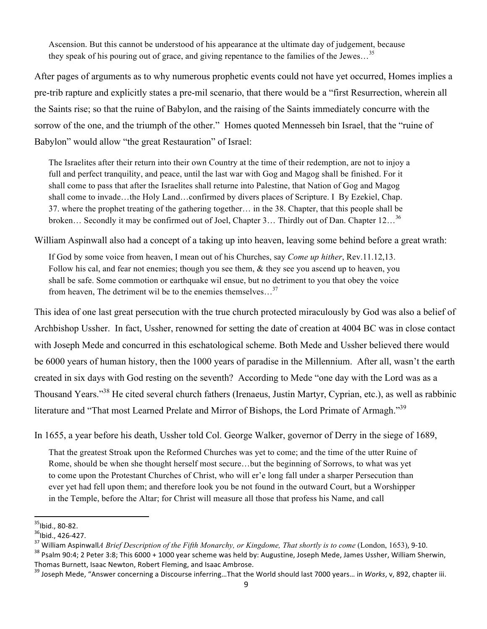Ascension. But this cannot be understood of his appearance at the ultimate day of judgement, because they speak of his pouring out of grace, and giving repentance to the families of the Jewes...<sup>35</sup>

After pages of arguments as to why numerous prophetic events could not have yet occurred, Homes implies a pre-trib rapture and explicitly states a pre-mil scenario, that there would be a "first Resurrection, wherein all the Saints rise; so that the ruine of Babylon, and the raising of the Saints immediately concurre with the sorrow of the one, and the triumph of the other." Homes quoted Mennesseh bin Israel, that the "ruine of Babylon" would allow "the great Restauration" of Israel:

The Israelites after their return into their own Country at the time of their redemption, are not to injoy a full and perfect tranquility, and peace, until the last war with Gog and Magog shall be finished. For it shall come to pass that after the Israelites shall returne into Palestine, that Nation of Gog and Magog shall come to invade…the Holy Land…confirmed by divers places of Scripture. I By Ezekiel, Chap. 37. where the prophet treating of the gathering together… in the 38. Chapter, that this people shall be broken... Secondly it may be confirmed out of Joel, Chapter 3... Thirdly out of Dan. Chapter 12...<sup>36</sup>

William Aspinwall also had a concept of a taking up into heaven, leaving some behind before a great wrath:

If God by some voice from heaven, I mean out of his Churches, say *Come up hither*, Rev.11.12,13. Follow his cal, and fear not enemies; though you see them, & they see you ascend up to heaven, you shall be safe. Some commotion or earthquake wil ensue, but no detriment to you that obey the voice from heaven. The detriment wil be to the enemies themselves... $^{37}$ 

This idea of one last great persecution with the true church protected miraculously by God was also a belief of Archbishop Ussher. In fact, Ussher, renowned for setting the date of creation at 4004 BC was in close contact with Joseph Mede and concurred in this eschatological scheme. Both Mede and Ussher believed there would be 6000 years of human history, then the 1000 years of paradise in the Millennium. After all, wasn't the earth created in six days with God resting on the seventh? According to Mede "one day with the Lord was as a Thousand Years."<sup>38</sup> He cited several church fathers (Irenaeus, Justin Martyr, Cyprian, etc.), as well as rabbinic literature and "That most Learned Prelate and Mirror of Bishops, the Lord Primate of Armagh."39

In 1655, a year before his death, Ussher told Col. George Walker, governor of Derry in the siege of 1689,

That the greatest Stroak upon the Reformed Churches was yet to come; and the time of the utter Ruine of Rome, should be when she thought herself most secure…but the beginning of Sorrows, to what was yet to come upon the Protestant Churches of Christ, who will er'e long fall under a sharper Persecution than ever yet had fell upon them; and therefore look you be not found in the outward Court, but a Worshipper in the Temple, before the Altar; for Christ will measure all those that profess his Name, and call

<sup>&</sup>lt;sup>35</sup>lbid., 80-82.<br><sup>36</sup>lbid., 426-427.<br><sup>37</sup> William Aspinwall*A Brief Description of the Fifth Monarchy, or Kingdome, That shortly is to come (London, 1653), 9-10.<br><sup>37</sup> William Aspinwall<i>A Brief Description of the Fifth Mon* 

Thomas Burnett, Isaac Newton, Robert Fleming, and Isaac Ambrose.

<sup>&</sup>lt;sup>39</sup> Joseph Mede. "Answer concerning a Discourse inferring...That the World should last 7000 years... in *Works*, v, 892, chapter iii.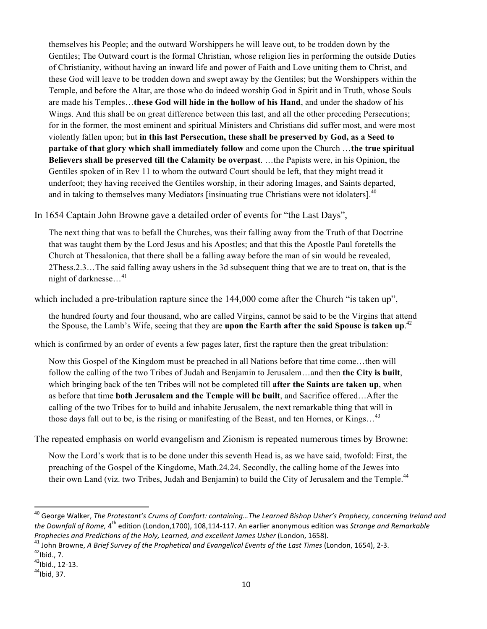themselves his People; and the outward Worshippers he will leave out, to be trodden down by the Gentiles; The Outward court is the formal Christian, whose religion lies in performing the outside Duties of Christianity, without having an inward life and power of Faith and Love uniting them to Christ, and these God will leave to be trodden down and swept away by the Gentiles; but the Worshippers within the Temple, and before the Altar, are those who do indeed worship God in Spirit and in Truth, whose Souls are made his Temples…**these God will hide in the hollow of his Hand**, and under the shadow of his Wings. And this shall be on great difference between this last, and all the other preceding Persecutions; for in the former, the most eminent and spiritual Ministers and Christians did suffer most, and were most violently fallen upon; but **in this last Persecution, these shall be preserved by God, as a Seed to partake of that glory which shall immediately follow** and come upon the Church …**the true spiritual Believers shall be preserved till the Calamity be overpast**. …the Papists were, in his Opinion, the Gentiles spoken of in Rev 11 to whom the outward Court should be left, that they might tread it underfoot; they having received the Gentiles worship, in their adoring Images, and Saints departed, and in taking to themselves many Mediators [insinuating true Christians were not idolaters].<sup>40</sup>

In 1654 Captain John Browne gave a detailed order of events for "the Last Days",

The next thing that was to befall the Churches, was their falling away from the Truth of that Doctrine that was taught them by the Lord Jesus and his Apostles; and that this the Apostle Paul foretells the Church at Thesalonica, that there shall be a falling away before the man of sin would be revealed, 2Thess.2.3…The said falling away ushers in the 3d subsequent thing that we are to treat on, that is the night of darknesse...<sup>41</sup>

which included a pre-tribulation rapture since the 144,000 come after the Church "is taken up",

the hundred fourty and four thousand, who are called Virgins, cannot be said to be the Virgins that attend the Spouse, the Lamb's Wife, seeing that they are **upon the Earth after the said Spouse is taken up**. 42

which is confirmed by an order of events a few pages later, first the rapture then the great tribulation:

Now this Gospel of the Kingdom must be preached in all Nations before that time come…then will follow the calling of the two Tribes of Judah and Benjamin to Jerusalem…and then **the City is built**, which bringing back of the ten Tribes will not be completed till **after the Saints are taken up**, when as before that time **both Jerusalem and the Temple will be built**, and Sacrifice offered…After the calling of the two Tribes for to build and inhabite Jerusalem, the next remarkable thing that will in those days fall out to be, is the rising or manifesting of the Beast, and ten Hornes, or Kings...<sup>43</sup>

The repeated emphasis on world evangelism and Zionism is repeated numerous times by Browne:

Now the Lord's work that is to be done under this seventh Head is, as we have said, twofold: First, the preaching of the Gospel of the Kingdome, Math.24.24. Secondly, the calling home of the Jewes into their own Land (viz. two Tribes, Judah and Benjamin) to build the City of Jerusalem and the Temple.<sup>44</sup>

<sup>&</sup>lt;sup>40</sup> George Walker, *The Protestant's Crums of Comfort: containing...The Learned Bishop Usher's Prophecy, concerning Ireland and the Downfall of Rome, 4<sup>th</sup> edition (London,1700), 108,114-117. An earlier anonymous edition was <i>Strange and Remarkable* 

Prophecies and Predictions of the Holy, Learned, and excellent James Usher (London, 1658).<br><sup>41</sup> John Browne, A Brief Survey of the Prophetical and Evangelical Events of the Last Times (London, 1654), 2-3.<br><sup>42</sup>lbid., 7.

 $^{43}$ lbid., 12-13.<br> $^{44}$ lbid. 37.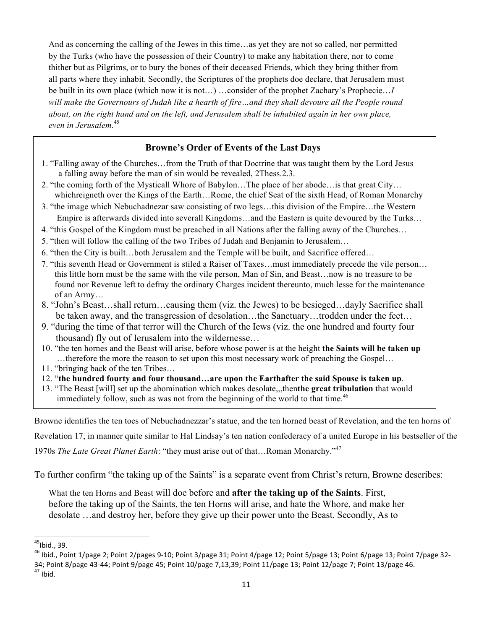And as concerning the calling of the Jewes in this time…as yet they are not so called, nor permitted by the Turks (who have the possession of their Country) to make any habitation there, nor to come thither but as Pilgrims, or to bury the bones of their deceased Friends, which they bring thither from all parts where they inhabit. Secondly, the Scriptures of the prophets doe declare, that Jerusalem must be built in its own place (which now it is not…) …consider of the prophet Zachary's Prophecie…*I will make the Governours of Judah like a hearth of fire…and they shall devoure all the People round about, on the right hand and on the left, and Jerusalem shall be inhabited again in her own place, even in Jerusalem.*<sup>45</sup>

## **Browne's Order of Events of the Last Days**

- 1. "Falling away of the Churches…from the Truth of that Doctrine that was taught them by the Lord Jesus a falling away before the man of sin would be revealed, 2Thess.2.3.
- 2. "the coming forth of the Mysticall Whore of Babylon…The place of her abode…is that great City… whichreigneth over the Kings of the Earth…Rome, the chief Seat of the sixth Head, of Roman Monarchy
- 3. "the image which Nebuchadnezar saw consisting of two legs…this division of the Empire…the Western Empire is afterwards divided into severall Kingdoms…and the Eastern is quite devoured by the Turks…
- 4. "this Gospel of the Kingdom must be preached in all Nations after the falling away of the Churches…
- 5. "then will follow the calling of the two Tribes of Judah and Benjamin to Jerusalem…
- 6. "then the City is built…both Jerusalem and the Temple will be built, and Sacrifice offered…
- 7. "this seventh Head or Government is stiled a Raiser of Taxes…must immediately precede the vile person… this little horn must be the same with the vile person, Man of Sin, and Beast…now is no treasure to be found nor Revenue left to defray the ordinary Charges incident thereunto, much lesse for the maintenance of an Army…
- 8. "John's Beast…shall return…causing them (viz. the Jewes) to be besieged…dayly Sacrifice shall be taken away, and the transgression of desolation…the Sanctuary…trodden under the feet…
- 9. "during the time of that terror will the Church of the Iews (viz. the one hundred and fourty four thousand) fly out of Ierusalem into the wildernesse…
- 10. "the ten hornes and the Beast will arise, before whose power is at the height **the Saints will be taken up** …therefore the more the reason to set upon this most necessary work of preaching the Gospel…
- 11. "bringing back of the ten Tribes…
- 12. "**the hundred fourty and four thousand…are upon the Earthafter the said Spouse is taken up**.
- 13. "The Beast [will] set up the abomination which makes desolate,,,then**the great tribulation** that would immediately follow, such as was not from the beginning of the world to that time.<sup>46</sup>

Browne identifies the ten toes of Nebuchadnezzar's statue, and the ten horned beast of Revelation, and the ten horns of

Revelation 17, in manner quite similar to Hal Lindsay's ten nation confederacy of a united Europe in his bestseller of the

1970s *The Late Great Planet Earth*: "they must arise out of that…Roman Monarchy."<sup>47</sup>

To further confirm "the taking up of the Saints" is a separate event from Christ's return, Browne describes:

What the ten Horns and Beast will doe before and **after the taking up of the Saints**. First, before the taking up of the Saints, the ten Horns will arise, and hate the Whore, and make her desolate …and destroy her, before they give up their power unto the Beast. Secondly, As to

 $45$ Ibid., 39.

 $^{46}$  Ibid., Point 1/page 2; Point 2/pages 9-10; Point 3/page 31; Point 4/page 12; Point 5/page 13; Point 6/page 13; Point 7/page 32-34; Point 8/page 43-44; Point 9/page 45; Point 10/page 7,13,39; Point 11/page 13; Point 12/page 7; Point 13/page 46.  $^{47}$  Ibid.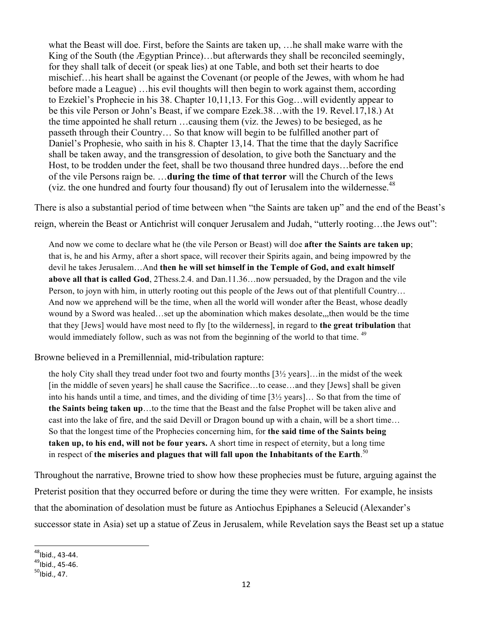what the Beast will doe. First, before the Saints are taken up, …he shall make warre with the King of the South (the Ægyptian Prince)…but afterwards they shall be reconciled seemingly, for they shall talk of deceit (or speak lies) at one Table, and both set their hearts to doe mischief…his heart shall be against the Covenant (or people of the Jewes, with whom he had before made a League) …his evil thoughts will then begin to work against them, according to Ezekiel's Prophecie in his 38. Chapter 10,11,13. For this Gog…will evidently appear to be this vile Person or John's Beast, if we compare Ezek.38…with the 19. Revel.17,18.) At the time appointed he shall return …causing them (viz. the Jewes) to be besieged, as he passeth through their Country… So that know will begin to be fulfilled another part of Daniel's Prophesie, who saith in his 8. Chapter 13,14. That the time that the dayly Sacrifice shall be taken away, and the transgression of desolation, to give both the Sanctuary and the Host, to be trodden under the feet, shall be two thousand three hundred days…before the end of the vile Persons raign be. …**during the time of that terror** will the Church of the Iews (viz. the one hundred and fourty four thousand) fly out of Ierusalem into the wildernesse.<sup>48</sup>

There is also a substantial period of time between when "the Saints are taken up" and the end of the Beast's reign, wherein the Beast or Antichrist will conquer Jerusalem and Judah, "utterly rooting…the Jews out":

And now we come to declare what he (the vile Person or Beast) will doe **after the Saints are taken up**; that is, he and his Army, after a short space, will recover their Spirits again, and being impowred by the devil he takes Jerusalem…And **then he will set himself in the Temple of God, and exalt himself above all that is called God**, 2Thess.2.4. and Dan.11.36…now persuaded, by the Dragon and the vile Person, to joyn with him, in utterly rooting out this people of the Jews out of that plentifull Country… And now we apprehend will be the time, when all the world will wonder after the Beast, whose deadly wound by a Sword was healed…set up the abomination which makes desolate,,,then would be the time that they [Jews] would have most need to fly [to the wilderness], in regard to **the great tribulation** that would immediately follow, such as was not from the beginning of the world to that time. <sup>49</sup>

Browne believed in a Premillennial, mid-tribulation rapture:

the holy City shall they tread under foot two and fourty months [3½ years]…in the midst of the week [in the middle of seven years] he shall cause the Sacrifice…to cease…and they [Jews] shall be given into his hands until a time, and times, and the dividing of time  $[3\frac{1}{2} \text{ years}]...$  So that from the time of **the Saints being taken up**…to the time that the Beast and the false Prophet will be taken alive and cast into the lake of fire, and the said Devill or Dragon bound up with a chain, will be a short time… So that the longest time of the Prophecies concerning him, for **the said time of the Saints being taken up, to his end, will not be four years.** A short time in respect of eternity, but a long time in respect of **the miseries and plagues that will fall upon the Inhabitants of the Earth**. 50

Throughout the narrative, Browne tried to show how these prophecies must be future, arguing against the Preterist position that they occurred before or during the time they were written. For example, he insists that the abomination of desolation must be future as Antiochus Epiphanes a Seleucid (Alexander's successor state in Asia) set up a statue of Zeus in Jerusalem, while Revelation says the Beast set up a statue

<sup>!!!!!!!!!!!!!!!!!!!!!!!!!!!!!!!!!!!!!!!!!!!!!!!!!!!!!!!!!!!!</sup>  $^{48}$ Ibid., 43-44.<br> $^{49}$ Ibid., 45-46.<br> $^{50}$ Ibid., 47.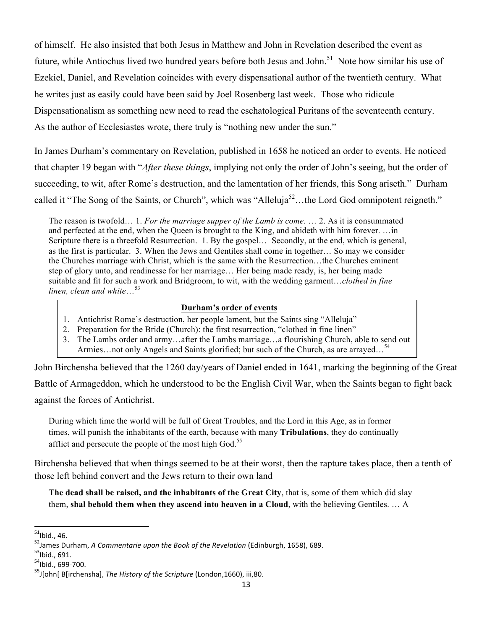of himself. He also insisted that both Jesus in Matthew and John in Revelation described the event as future, while Antiochus lived two hundred years before both Jesus and John.<sup>51</sup> Note how similar his use of Ezekiel, Daniel, and Revelation coincides with every dispensational author of the twentieth century. What he writes just as easily could have been said by Joel Rosenberg last week. Those who ridicule Dispensationalism as something new need to read the eschatological Puritans of the seventeenth century. As the author of Ecclesiastes wrote, there truly is "nothing new under the sun."

In James Durham's commentary on Revelation, published in 1658 he noticed an order to events. He noticed that chapter 19 began with "*After these things*, implying not only the order of John's seeing, but the order of succeeding, to wit, after Rome's destruction, and the lamentation of her friends, this Song ariseth." Durham called it "The Song of the Saints, or Church", which was "Alleluja<sup>52</sup>...the Lord God omnipotent reigneth."

The reason is twofold… 1. *For the marriage supper of the Lamb is come.* … 2. As it is consummated and perfected at the end, when the Queen is brought to the King, and abideth with him forever. …in Scripture there is a threefold Resurrection. 1. By the gospel... Secondly, at the end, which is general, as the first is particular. 3. When the Jews and Gentiles shall come in together… So may we consider the Churches marriage with Christ, which is the same with the Resurrection…the Churches eminent step of glory unto, and readinesse for her marriage… Her being made ready, is, her being made suitable and fit for such a work and Bridgroom, to wit, with the wedding garment…*clothed in fine linen, clean and white*…<sup>53</sup>

### **Durham's order of events**

- 1. Antichrist Rome's destruction, her people lament, but the Saints sing "Alleluja"
- 2. Preparation for the Bride (Church): the first resurrection, "clothed in fine linen"
- 3. The Lambs order and army…after the Lambs marriage…a flourishing Church, able to send out Armies... not only Angels and Saints glorified; but such of the Church, as are arrayed...<sup>54</sup>

John Birchensha believed that the 1260 day/years of Daniel ended in 1641, marking the beginning of the Great

Battle of Armageddon, which he understood to be the English Civil War, when the Saints began to fight back against the forces of Antichrist.

During which time the world will be full of Great Troubles, and the Lord in this Age, as in former times, will punish the inhabitants of the earth, because with many **Tribulations**, they do continually afflict and persecute the people of the most high God.<sup>55</sup>

Birchensha believed that when things seemed to be at their worst, then the rapture takes place, then a tenth of those left behind convert and the Jews return to their own land

**The dead shall be raised, and the inhabitants of the Great City**, that is, some of them which did slay them, **shal behold them when they ascend into heaven in a Cloud**, with the believing Gentiles. … A

 $51$ Ibid., 46.

<sup>&</sup>lt;sup>52</sup>James Durham, *A Commentarie upon the Book of the Revelation* (Edinburgh, 1658), 689.<br><sup>53</sup>lbid., 691.<br><sup>54</sup>lbid.. 699-700.

<sup>&</sup>lt;sup>55</sup>J[ohn[ B[irchensha], The History of the Scripture (London,1660), iii,80.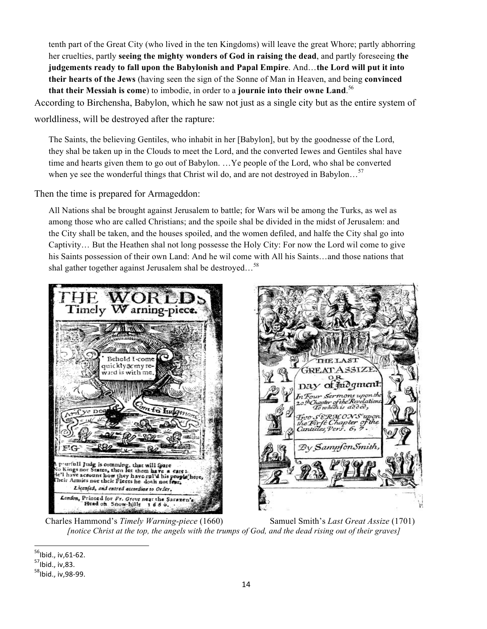tenth part of the Great City (who lived in the ten Kingdoms) will leave the great Whore; partly abhorring her cruelties, partly **seeing the mighty wonders of God in raising the dead**, and partly foreseeing **the judgements ready to fall upon the Babylonish and Papal Empire**. And…**the Lord will put it into their hearts of the Jews** (having seen the sign of the Sonne of Man in Heaven, and being **convinced that their Messiah is come**) to imbodie, in order to a **journie into their owne Land**. 56

According to Birchensha, Babylon, which he saw not just as a single city but as the entire system of

worldliness, will be destroyed after the rapture:

The Saints, the believing Gentiles, who inhabit in her [Babylon], but by the goodnesse of the Lord, they shal be taken up in the Clouds to meet the Lord, and the converted Iewes and Gentiles shal have time and hearts given them to go out of Babylon. …Ye people of the Lord, who shal be converted when ye see the wonderful things that Christ wil do, and are not destroyed in Babylon...<sup>57</sup>

Then the time is prepared for Armageddon:

All Nations shal be brought against Jerusalem to battle; for Wars wil be among the Turks, as wel as among those who are called Christians; and the spoile shal be divided in the midst of Jerusalem: and the City shall be taken, and the houses spoiled, and the women defiled, and halfe the City shal go into Captivity… But the Heathen shal not long possesse the Holy City: For now the Lord wil come to give his Saints possession of their own Land: And he wil come with All his Saints…and those nations that shal gather together against Jerusalem shal be destroyed...<sup>58</sup>





 Charles Hammond's *Timely Warning-piece* (1660) Samuel Smith's *Last Great Assize* (1701) *[notice Christ at the top, the angels with the trumps of God, and the dead rising out of their graves]*

 $^{56}$ Ibid., iv,61-62.<br> $^{57}$ Ibid., iv,83.

 $58$ Ibid., iv, 98-99.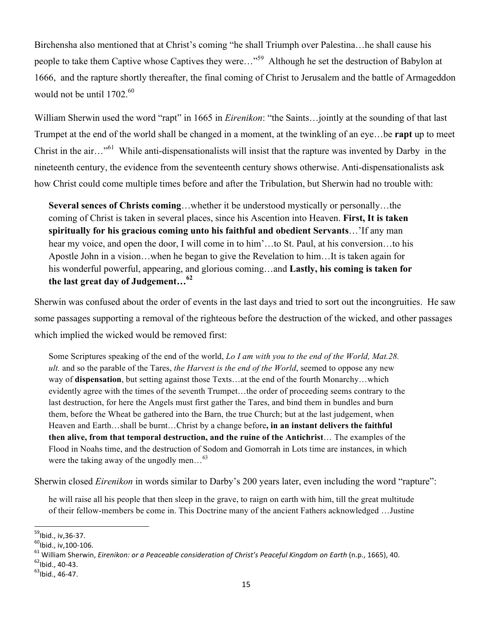Birchensha also mentioned that at Christ's coming "he shall Triumph over Palestina…he shall cause his people to take them Captive whose Captives they were…"59 Although he set the destruction of Babylon at 1666, and the rapture shortly thereafter, the final coming of Christ to Jerusalem and the battle of Armageddon would not be until  $1702^{60}$ 

William Sherwin used the word "rapt" in 1665 in *Eirenikon*: "the Saints…jointly at the sounding of that last Trumpet at the end of the world shall be changed in a moment, at the twinkling of an eye…be **rapt** up to meet Christ in the air…"61 While anti-dispensationalists will insist that the rapture was invented by Darby in the nineteenth century, the evidence from the seventeenth century shows otherwise. Anti-dispensationalists ask how Christ could come multiple times before and after the Tribulation, but Sherwin had no trouble with:

**Several sences of Christs coming**…whether it be understood mystically or personally…the coming of Christ is taken in several places, since his Ascention into Heaven. **First, It is taken spiritually for his gracious coming unto his faithful and obedient Servants**…'If any man hear my voice, and open the door, I will come in to him'...to St. Paul, at his conversion...to his Apostle John in a vision…when he began to give the Revelation to him…It is taken again for his wonderful powerful, appearing, and glorious coming…and **Lastly, his coming is taken for the last great day of Judgement…<sup>62</sup>**

Sherwin was confused about the order of events in the last days and tried to sort out the incongruities. He saw some passages supporting a removal of the righteous before the destruction of the wicked, and other passages which implied the wicked would be removed first:

Some Scriptures speaking of the end of the world, *Lo I am with you to the end of the World, Mat.28. ult.* and so the parable of the Tares, *the Harvest is the end of the World*, seemed to oppose any new way of **dispensation**, but setting against those Texts…at the end of the fourth Monarchy…which evidently agree with the times of the seventh Trumpet…the order of proceeding seems contrary to the last destruction, for here the Angels must first gather the Tares, and bind them in bundles and burn them, before the Wheat be gathered into the Barn, the true Church; but at the last judgement, when Heaven and Earth…shall be burnt…Christ by a change before**, in an instant delivers the faithful then alive, from that temporal destruction, and the ruine of the Antichrist**… The examples of the Flood in Noahs time, and the destruction of Sodom and Gomorrah in Lots time are instances, in which were the taking away of the ungodly men...<sup>63</sup>

Sherwin closed *Eirenikon* in words similar to Darby's 200 years later, even including the word "rapture":

he will raise all his people that then sleep in the grave, to raign on earth with him, till the great multitude of their fellow-members be come in. This Doctrine many of the ancient Fathers acknowledged …Justine

<sup>&</sup>lt;sup>59</sup>lbid., iv,36-37.<br><sup>60</sup>lbid., iv,100-106.<br><sup>61</sup>William Sherwin, *Eirenikon: or a Peaceable consideration of Christ's Peaceful Kingdom on Earth (n.p., 1665), 40.<br><sup>62</sup>Ibid., 40-43. <sup>63</sup>Ibid., 46-47.*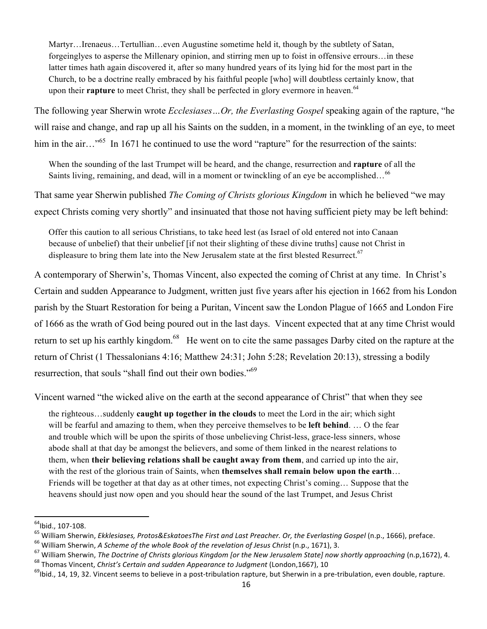Martyr…Irenaeus…Tertullian…even Augustine sometime held it, though by the subtlety of Satan, forgeinglyes to asperse the Millenary opinion, and stirring men up to foist in offensive errours…in these latter times hath again discovered it, after so many hundred years of its lying hid for the most part in the Church, to be a doctrine really embraced by his faithful people [who] will doubtless certainly know, that upon their **rapture** to meet Christ, they shall be perfected in glory evermore in heaven.<sup>64</sup>

The following year Sherwin wrote *Ecclesiases…Or, the Everlasting Gospel* speaking again of the rapture, "he will raise and change, and rap up all his Saints on the sudden, in a moment, in the twinkling of an eye, to meet him in the air…"<sup>65</sup> In 1671 he continued to use the word "rapture" for the resurrection of the saints:

When the sounding of the last Trumpet will be heard, and the change, resurrection and **rapture** of all the Saints living, remaining, and dead, will in a moment or twinckling of an eye be accomplished...<sup>66</sup>

That same year Sherwin published *The Coming of Christs glorious Kingdom* in which he believed "we may expect Christs coming very shortly" and insinuated that those not having sufficient piety may be left behind:

Offer this caution to all serious Christians, to take heed lest (as Israel of old entered not into Canaan because of unbelief) that their unbelief [if not their slighting of these divine truths] cause not Christ in displeasure to bring them late into the New Jerusalem state at the first blested Resurrect.<sup>67</sup>

A contemporary of Sherwin's, Thomas Vincent, also expected the coming of Christ at any time. In Christ's Certain and sudden Appearance to Judgment, written just five years after his ejection in 1662 from his London parish by the Stuart Restoration for being a Puritan, Vincent saw the London Plague of 1665 and London Fire of 1666 as the wrath of God being poured out in the last days. Vincent expected that at any time Christ would return to set up his earthly kingdom.<sup>68</sup> He went on to cite the same passages Darby cited on the rapture at the return of Christ (1 Thessalonians 4:16; Matthew 24:31; John 5:28; Revelation 20:13), stressing a bodily resurrection, that souls "shall find out their own bodies."<sup>69</sup>

Vincent warned "the wicked alive on the earth at the second appearance of Christ" that when they see

the righteous…suddenly **caught up together in the clouds** to meet the Lord in the air; which sight will be fearful and amazing to them, when they perceive themselves to be **left behind**. … O the fear and trouble which will be upon the spirits of those unbelieving Christ-less, grace-less sinners, whose abode shall at that day be amongst the believers, and some of them linked in the nearest relations to them, when **their believing relations shall be caught away from them**, and carried up into the air, with the rest of the glorious train of Saints, when **themselves shall remain below upon the earth**… Friends will be together at that day as at other times, not expecting Christ's coming… Suppose that the heavens should just now open and you should hear the sound of the last Trumpet, and Jesus Christ

<sup>&</sup>lt;sup>64</sup>lbid., 107-108.<br><sup>65</sup> William Sherwin, *Ekklesiases, Protos&EskatoesThe First and Last Preacher. Or, the Everlasting Gospel (n.p., 1666), preface.<br><sup>65</sup> William Sherwin, <i>A Scheme of the whole Book of the revelation of*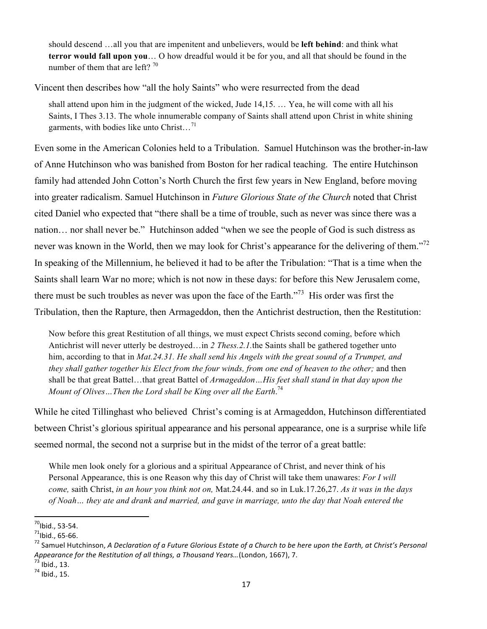should descend …all you that are impenitent and unbelievers, would be **left behind**: and think what **terror would fall upon you**… O how dreadful would it be for you, and all that should be found in the number of them that are left?  $70$ 

Vincent then describes how "all the holy Saints" who were resurrected from the dead

shall attend upon him in the judgment of the wicked, Jude 14,15. … Yea, he will come with all his Saints, I Thes 3.13. The whole innumerable company of Saints shall attend upon Christ in white shining garments, with bodies like unto Christ...<sup>71</sup>

Even some in the American Colonies held to a Tribulation. Samuel Hutchinson was the brother-in-law of Anne Hutchinson who was banished from Boston for her radical teaching. The entire Hutchinson family had attended John Cotton's North Church the first few years in New England, before moving into greater radicalism. Samuel Hutchinson in *Future Glorious State of the Church* noted that Christ cited Daniel who expected that "there shall be a time of trouble, such as never was since there was a nation… nor shall never be." Hutchinson added "when we see the people of God is such distress as never was known in the World, then we may look for Christ's appearance for the delivering of them."<sup>72</sup> In speaking of the Millennium, he believed it had to be after the Tribulation: "That is a time when the Saints shall learn War no more; which is not now in these days: for before this New Jerusalem come, there must be such troubles as never was upon the face of the Earth."73 His order was first the Tribulation, then the Rapture, then Armageddon, then the Antichrist destruction, then the Restitution:

Now before this great Restitution of all things, we must expect Christs second coming, before which Antichrist will never utterly be destroyed…in *2 Thess.2.1.*the Saints shall be gathered together unto him, according to that in *Mat.24.31. He shall send his Angels with the great sound of a Trumpet, and they shall gather together his Elect from the four winds, from one end of heaven to the other;* and then shall be that great Battel…that great Battel of *Armageddon…His feet shall stand in that day upon the Mount of Olives…Then the Lord shall be King over all the Earth*. 74

While he cited Tillinghast who believed Christ's coming is at Armageddon, Hutchinson differentiated between Christ's glorious spiritual appearance and his personal appearance, one is a surprise while life seemed normal, the second not a surprise but in the midst of the terror of a great battle:

While men look onely for a glorious and a spiritual Appearance of Christ, and never think of his Personal Appearance, this is one Reason why this day of Christ will take them unawares: *For I will come,* saith Christ, *in an hour you think not on,* Mat.24.44. and so in Luk.17.26,27. *As it was in the days of Noah… they ate and drank and married, and gave in marriage, unto the day that Noah entered the* 

<sup>&</sup>lt;sup>70</sup>lbid., 53-54.<br><sup>71</sup>lbid., 65-66.<br><sup>72</sup> Samuel Hutchinson, *A Declaration of a Future Glorious Estate of a Church to be here upon the Earth, at Christ's Personal Appearance for the Restitution of all things, a Thousand Years...*(London, 1667), 7.<br><sup>73</sup> Ibid., 13. *74* Ibid., 15.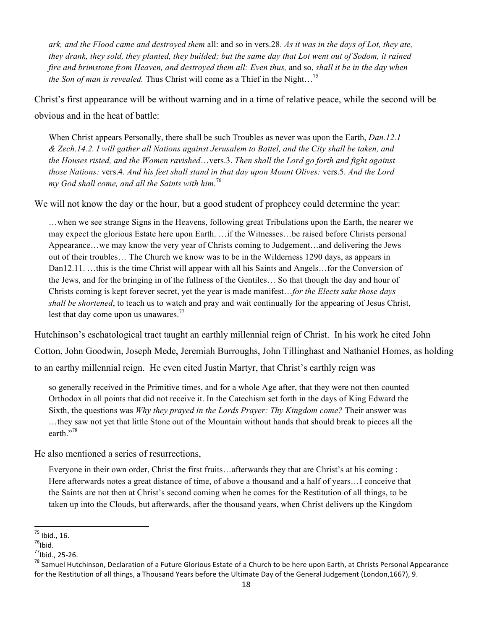*ark, and the Flood came and destroyed them* all: and so in vers.28. *As it was in the days of Lot, they ate, they drank, they sold, they planted, they builded; but the same day that Lot went out of Sodom, it rained fire and brimstone from Heaven, and destroyed them all: Even thus,* and so, *shall it be in the day when the Son of man is revealed.* Thus Christ will come as a Thief in the Night…<sup>75</sup>

Christ's first appearance will be without warning and in a time of relative peace, while the second will be obvious and in the heat of battle:

When Christ appears Personally, there shall be such Troubles as never was upon the Earth, *Dan.12.1 & Zech.14.2. I will gather all Nations against Jerusalem to Battel, and the City shall be taken, and the Houses risted, and the Women ravished*…vers.3. *Then shall the Lord go forth and fight against those Nations:* vers.4. *And his feet shall stand in that day upon Mount Olives:* vers.5. *And the Lord my God shall come, and all the Saints with him.*<sup>76</sup>

We will not know the day or the hour, but a good student of prophecy could determine the year:

…when we see strange Signs in the Heavens, following great Tribulations upon the Earth, the nearer we may expect the glorious Estate here upon Earth. …if the Witnesses…be raised before Christs personal Appearance…we may know the very year of Christs coming to Judgement…and delivering the Jews out of their troubles… The Church we know was to be in the Wilderness 1290 days, as appears in Dan12.11. …this is the time Christ will appear with all his Saints and Angels…for the Conversion of the Jews, and for the bringing in of the fullness of the Gentiles… So that though the day and hour of Christs coming is kept forever secret, yet the year is made manifest…*for the Elects sake those days shall be shortened*, to teach us to watch and pray and wait continually for the appearing of Jesus Christ, lest that day come upon us unawares.<sup>77</sup>

Hutchinson's eschatological tract taught an earthly millennial reign of Christ. In his work he cited John Cotton, John Goodwin, Joseph Mede, Jeremiah Burroughs, John Tillinghast and Nathaniel Homes, as holding to an earthy millennial reign. He even cited Justin Martyr, that Christ's earthly reign was

so generally received in the Primitive times, and for a whole Age after, that they were not then counted Orthodox in all points that did not receive it. In the Catechism set forth in the days of King Edward the Sixth, the questions was *Why they prayed in the Lords Prayer: Thy Kingdom come?* Their answer was …they saw not yet that little Stone out of the Mountain without hands that should break to pieces all the earth."<sup>78</sup>

He also mentioned a series of resurrections,

Everyone in their own order, Christ the first fruits…afterwards they that are Christ's at his coming : Here afterwards notes a great distance of time, of above a thousand and a half of years…I conceive that the Saints are not then at Christ's second coming when he comes for the Restitution of all things, to be taken up into the Clouds, but afterwards, after the thousand years, when Christ delivers up the Kingdom

<sup>!!!!!!!!!!!!!!!!!!!!!!!!!!!!!!!!!!!!!!!!!!!!!!!!!!!!!!!!!!!!</sup>

<sup>&</sup>lt;sup>75</sup> Ibid., 16.<br><sup>76</sup>Ibid.<br><sup>77</sup>Ibid., 25-26.

<sup>&</sup>lt;sup>78</sup> Samuel Hutchinson, Declaration of a Future Glorious Estate of a Church to be here upon Earth, at Christs Personal Appearance for the Restitution of all things, a Thousand Years before the Ultimate Day of the General Judgement (London,1667), 9.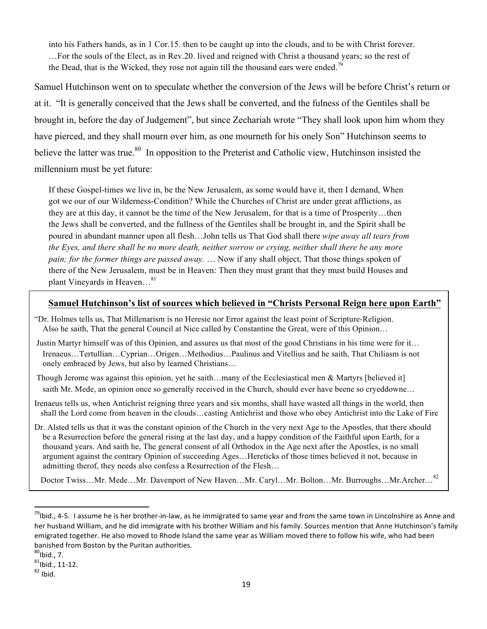into his Fathers hands, as in 1 Cor.15. then to be caught up into the clouds, and to be with Christ forever. …For the souls of the Elect, as in Rev.20. lived and reigned with Christ a thousand years; so the rest of the Dead, that is the Wicked, they rose not again till the thousand ears were ended.<sup>79</sup>

Samuel Hutchinson went on to speculate whether the conversion of the Jews will be before Christ's return or at it. "It is generally conceived that the Jews shall be converted, and the fulness of the Gentiles shall be brought in, before the day of Judgement", but since Zechariah wrote "They shall look upon him whom they have pierced, and they shall mourn over him, as one mourneth for his onely Son" Hutchinson seems to believe the latter was true.<sup>80</sup> In opposition to the Preterist and Catholic view, Hutchinson insisted the millennium must be yet future:

If these Gospel-times we live in, be the New Jerusalem, as some would have it, then I demand, When got we our of our Wilderness-Condition? While the Churches of Christ are under great afflictions, as they are at this day, it cannot be the time of the New Jerusalem, for that is a time of Prosperity…then the Jews shall be converted, and the fullness of the Gentiles shall be brought in, and the Spirit shall be poured in abundant manner upon all flesh…John tells us That God shall there *wipe away all tears from the Eyes, and there shall be no more death, neither sorrow or crying, neither shall there be any more pain; for the former things are passed away.* … Now if any shall object, That those things spoken of there of the New Jerusalem, must be in Heaven: Then they must grant that they must build Houses and plant Vineyards in Heaven...<sup>81</sup>

### **Samuel Hutchinson's list of sources which believed in "Christs Personal Reign here upon Earth"**

- "Dr. Holmes tells us, That Millenarism is no Heresie nor Error against the least point of Scripture-Religion. Also he saith, That the general Council at Nice called by Constantine the Great, were of this Opinion…
- Justin Martyr himself was of this Opinion, and assures us that most of the good Christians in his time were for it… Irenaeus…Tertullian…Cyprian…Origen…Methodius…Paulinus and Vitellius and he saith, That Chiliasm is not onely embraced by Jews, but also by learned Christians…
- Though Jerome was against this opinion, yet he saith…many of the Ecclesiastical men & Martyrs [believed it] saith Mr. Mede, an opinion once so generally received in the Church, should ever have beene so cryeddowne...
- Irenaeus tells us, when Antichrist reigning three years and six months, shall have wasted all things in the world, then shall the Lord come from heaven in the clouds…casting Antichrist and those who obey Antichrist into the Lake of Fire
- Dr. Alsted tells us that it was the constant opinion of the Church in the very next Age to the Apostles, that there should be a Resurrection before the general rising at the last day, and a happy condition of the Faithful upon Earth, for a thousand years. And saith he, The general consent of all Orthodox in the Age next after the Apostles, is no small argument against the contrary Opinion of succeeding Ages…Hereticks of those times believed it not, because in admitting therof, they needs also confess a Resurrection of the Flesh…

Doctor Twiss…Mr. Mede…Mr. Davenport of New Haven…Mr. Caryl…Mr. Bolton…Mr. Burroughs…Mr.Archer…<sup>82</sup>

 $^{79}$ lbid., 4-5. I assume he is her brother-in-law, as he immigrated to same year and from the same town in Lincolnshire as Anne and her husband William, and he did immigrate with his brother William and his family. Sources mention that Anne Hutchinson's family emigrated together. He also moved to Rhode Island the same year as William moved there to follow his wife, who had been banished from Boston by the Puritan authorities.

 $80$ Ibid., 7.

 $81$ Ibid., 11-12.<br> $82$  Ibid.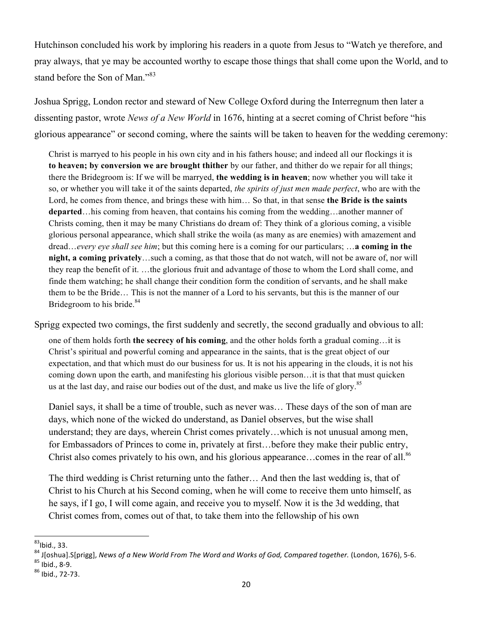Hutchinson concluded his work by imploring his readers in a quote from Jesus to "Watch ye therefore, and pray always, that ye may be accounted worthy to escape those things that shall come upon the World, and to stand before the Son of Man."<sup>83</sup>

Joshua Sprigg, London rector and steward of New College Oxford during the Interregnum then later a dissenting pastor, wrote *News of a New World* in 1676, hinting at a secret coming of Christ before "his glorious appearance" or second coming, where the saints will be taken to heaven for the wedding ceremony:

Christ is marryed to his people in his own city and in his fathers house; and indeed all our flockings it is **to heaven; by conversion we are brought thither** by our father, and thither do we repair for all things; there the Bridegroom is: If we will be marryed, **the wedding is in heaven**; now whether you will take it so, or whether you will take it of the saints departed, *the spirits of just men made perfect*, who are with the Lord, he comes from thence, and brings these with him… So that, in that sense **the Bride is the saints departed**…his coming from heaven, that contains his coming from the wedding…another manner of Christs coming, then it may be many Christians do dream of: They think of a glorious coming, a visible glorious personal appearance, which shall strike the woila (as many as are enemies) with amazement and dread…*every eye shall see him*; but this coming here is a coming for our particulars; …**a coming in the night, a coming privately**…such a coming, as that those that do not watch, will not be aware of, nor will they reap the benefit of it. …the glorious fruit and advantage of those to whom the Lord shall come, and finde them watching; he shall change their condition form the condition of servants, and he shall make them to be the Bride… This is not the manner of a Lord to his servants, but this is the manner of our Bridegroom to his bride.<sup>84</sup>

Sprigg expected two comings, the first suddenly and secretly, the second gradually and obvious to all:

one of them holds forth **the secrecy of his coming**, and the other holds forth a gradual coming…it is Christ's spiritual and powerful coming and appearance in the saints, that is the great object of our expectation, and that which must do our business for us. It is not his appearing in the clouds, it is not his coming down upon the earth, and manifesting his glorious visible person…it is that that must quicken us at the last day, and raise our bodies out of the dust, and make us live the life of glory.<sup>85</sup>

Daniel says, it shall be a time of trouble, such as never was… These days of the son of man are days, which none of the wicked do understand, as Daniel observes, but the wise shall understand; they are days, wherein Christ comes privately…which is not unusual among men, for Embassadors of Princes to come in, privately at first…before they make their public entry, Christ also comes privately to his own, and his glorious appearance...comes in the rear of all.<sup>86</sup>

The third wedding is Christ returning unto the father… And then the last wedding is, that of Christ to his Church at his Second coming, when he will come to receive them unto himself, as he says, if I go, I will come again, and receive you to myself. Now it is the 3d wedding, that Christ comes from, comes out of that, to take them into the fellowship of his own

 $83$ Ibid., 33.

<sup>&</sup>lt;sup>84</sup> J[oshua].S[prigg], *News of a New World From The Word and Works of God, Compared together.* (London, 1676), 5-6. <sup>85</sup> Ibid., 8-9.<br><sup>85</sup> Ibid., 8-9. <sup>86</sup> Ibid., 72-73.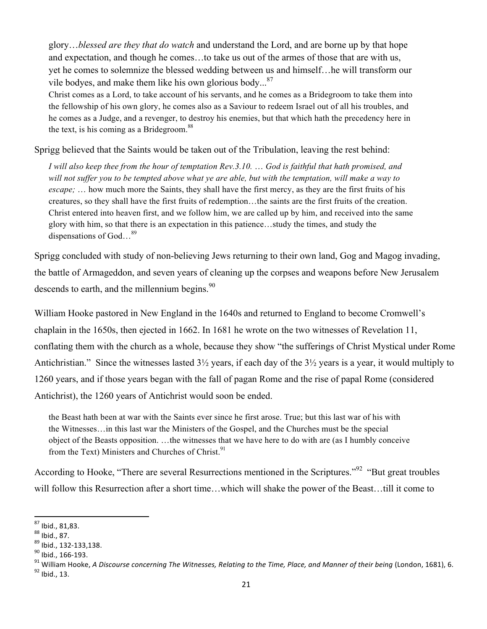glory…*blessed are they that do watch* and understand the Lord, and are borne up by that hope and expectation, and though he comes…to take us out of the armes of those that are with us, yet he comes to solemnize the blessed wedding between us and himself…he will transform our vile bodyes, and make them like his own glorious body... $87$ 

Christ comes as a Lord, to take account of his servants, and he comes as a Bridegroom to take them into the fellowship of his own glory, he comes also as a Saviour to redeem Israel out of all his troubles, and he comes as a Judge, and a revenger, to destroy his enemies, but that which hath the precedency here in the text, is his coming as a Bridegroom.<sup>88</sup>

Sprigg believed that the Saints would be taken out of the Tribulation, leaving the rest behind:

*I will also keep thee from the hour of temptation Rev.3.10.* … *God is faithful that hath promised, and will not suffer you to be tempted above what ye are able, but with the temptation, will make a way to escape;* … how much more the Saints, they shall have the first mercy, as they are the first fruits of his creatures, so they shall have the first fruits of redemption…the saints are the first fruits of the creation. Christ entered into heaven first, and we follow him, we are called up by him, and received into the same glory with him, so that there is an expectation in this patience…study the times, and study the dispensations of God…<sup>89</sup>

Sprigg concluded with study of non-believing Jews returning to their own land, Gog and Magog invading, the battle of Armageddon, and seven years of cleaning up the corpses and weapons before New Jerusalem descends to earth, and the millennium begins. $90$ 

William Hooke pastored in New England in the 1640s and returned to England to become Cromwell's chaplain in the 1650s, then ejected in 1662. In 1681 he wrote on the two witnesses of Revelation 11, conflating them with the church as a whole, because they show "the sufferings of Christ Mystical under Rome Antichristian." Since the witnesses lasted 3½ years, if each day of the 3½ years is a year, it would multiply to 1260 years, and if those years began with the fall of pagan Rome and the rise of papal Rome (considered Antichrist), the 1260 years of Antichrist would soon be ended.

the Beast hath been at war with the Saints ever since he first arose. True; but this last war of his with the Witnesses…in this last war the Ministers of the Gospel, and the Churches must be the special object of the Beasts opposition. …the witnesses that we have here to do with are (as I humbly conceive from the Text) Ministers and Churches of Christ.<sup>91</sup>

According to Hooke, "There are several Resurrections mentioned in the Scriptures."<sup>92</sup> "But great troubles will follow this Resurrection after a short time…which will shake the power of the Beast…till it come to

 $87$  lbid., 81,83.

<sup>&</sup>lt;sup>88</sup> Ibid., 87.<br><sup>89</sup> Ibid., 132-133,138.<br><sup>90</sup> Ibid., 166-193.<br><sup>91</sup> William Hooke, *A Discourse concerning The Witnesses, Relating to the Time, Place, and Manner of their being (London, 1681), 6.<br><sup>92</sup> Ibid., 13.*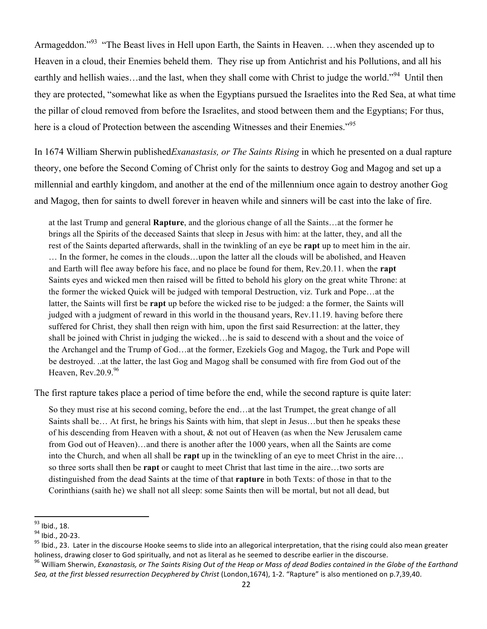Armageddon."<sup>93</sup> "The Beast lives in Hell upon Earth, the Saints in Heaven. ... when they ascended up to Heaven in a cloud, their Enemies beheld them. They rise up from Antichrist and his Pollutions, and all his earthly and hellish waies…and the last, when they shall come with Christ to judge the world."<sup>94</sup> Until then they are protected, "somewhat like as when the Egyptians pursued the Israelites into the Red Sea, at what time the pillar of cloud removed from before the Israelites, and stood between them and the Egyptians; For thus, here is a cloud of Protection between the ascending Witnesses and their Enemies."<sup>95</sup>

In 1674 William Sherwin published*Exanastasis, or The Saints Rising* in which he presented on a dual rapture theory, one before the Second Coming of Christ only for the saints to destroy Gog and Magog and set up a millennial and earthly kingdom, and another at the end of the millennium once again to destroy another Gog and Magog, then for saints to dwell forever in heaven while and sinners will be cast into the lake of fire.

at the last Trump and general **Rapture**, and the glorious change of all the Saints…at the former he brings all the Spirits of the deceased Saints that sleep in Jesus with him: at the latter, they, and all the rest of the Saints departed afterwards, shall in the twinkling of an eye be **rapt** up to meet him in the air. … In the former, he comes in the clouds…upon the latter all the clouds will be abolished, and Heaven and Earth will flee away before his face, and no place be found for them, Rev.20.11. when the **rapt** Saints eyes and wicked men then raised will be fitted to behold his glory on the great white Throne: at the former the wicked Quick will be judged with temporal Destruction, viz. Turk and Pope…at the latter, the Saints will first be **rapt** up before the wicked rise to be judged: a the former, the Saints will judged with a judgment of reward in this world in the thousand years, Rev.11.19. having before there suffered for Christ, they shall then reign with him, upon the first said Resurrection: at the latter, they shall be joined with Christ in judging the wicked…he is said to descend with a shout and the voice of the Archangel and the Trump of God…at the former, Ezekiels Gog and Magog, the Turk and Pope will be destroyed. ..at the latter, the last Gog and Magog shall be consumed with fire from God out of the Heaven,  $\text{Rev}.20.9^{96}$ 

The first rapture takes place a period of time before the end, while the second rapture is quite later:

So they must rise at his second coming, before the end…at the last Trumpet, the great change of all Saints shall be… At first, he brings his Saints with him, that slept in Jesus…but then he speaks these of his descending from Heaven with a shout, & not out of Heaven (as when the New Jerusalem came from God out of Heaven)…and there is another after the 1000 years, when all the Saints are come into the Church, and when all shall be **rapt** up in the twinckling of an eye to meet Christ in the aire… so three sorts shall then be **rapt** or caught to meet Christ that last time in the aire…two sorts are distinguished from the dead Saints at the time of that **rapture** in both Texts: of those in that to the Corinthians (saith he) we shall not all sleep: some Saints then will be mortal, but not all dead, but

 $^{93}$  Ibid., 18.

<sup>&</sup>lt;sup>94</sup> Ibid., 20-23.<br><sup>95</sup> Ibid., 23. Later in the discourse Hooke seems to slide into an allegorical interpretation, that the rising could also mean greater holiness, drawing closer to God spiritually, and not as literal as he seemed to describe earlier in the discourse.

<sup>&</sup>lt;sup>96</sup> William Sherwin, *Exanastasis, or The Saints Rising Out of the Heap or Mass of dead Bodies contained in the Globe of the Earthand* Sea, at the first blessed resurrection Decyphered by Christ (London,1674), 1-2. "Rapture" is also mentioned on p.7,39,40.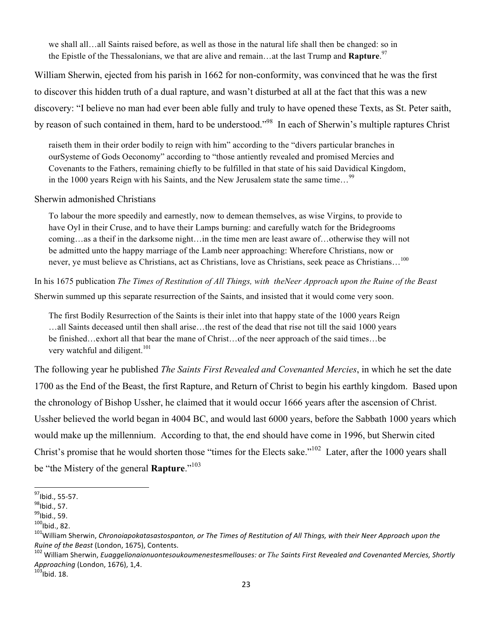we shall all…all Saints raised before, as well as those in the natural life shall then be changed: so in the Epistle of the Thessalonians, we that are alive and remain…at the last Trump and **Rapture**. 97

William Sherwin, ejected from his parish in 1662 for non-conformity, was convinced that he was the first to discover this hidden truth of a dual rapture, and wasn't disturbed at all at the fact that this was a new discovery: "I believe no man had ever been able fully and truly to have opened these Texts, as St. Peter saith, by reason of such contained in them, hard to be understood."98 In each of Sherwin's multiple raptures Christ

raiseth them in their order bodily to reign with him" according to the "divers particular branches in ourSysteme of Gods Oeconomy" according to "those antiently revealed and promised Mercies and Covenants to the Fathers, remaining chiefly to be fulfilled in that state of his said Davidical Kingdom, in the 1000 years Reign with his Saints, and the New Jerusalem state the same time...<sup>99</sup>

#### Sherwin admonished Christians

To labour the more speedily and earnestly, now to demean themselves, as wise Virgins, to provide to have Oyl in their Cruse, and to have their Lamps burning: and carefully watch for the Bridegrooms coming…as a theif in the darksome night…in the time men are least aware of…otherwise they will not be admitted unto the happy marriage of the Lamb neer approaching: Wherefore Christians, now or never, ye must believe as Christians, act as Christians, love as Christians, seek peace as Christians...<sup>100</sup>

In his 1675 publication *The Times of Restitution of All Things, with theNeer Approach upon the Ruine of the Beast*  Sherwin summed up this separate resurrection of the Saints, and insisted that it would come very soon.

The first Bodily Resurrection of the Saints is their inlet into that happy state of the 1000 years Reign …all Saints deceased until then shall arise…the rest of the dead that rise not till the said 1000 years be finished…exhort all that bear the mane of Christ…of the neer approach of the said times…be very watchful and diligent.<sup>101</sup>

The following year he published *The Saints First Revealed and Covenanted Mercies*, in which he set the date 1700 as the End of the Beast, the first Rapture, and Return of Christ to begin his earthly kingdom. Based upon the chronology of Bishop Ussher, he claimed that it would occur 1666 years after the ascension of Christ. Ussher believed the world began in 4004 BC, and would last 6000 years, before the Sabbath 1000 years which would make up the millennium. According to that, the end should have come in 1996, but Sherwin cited Christ's promise that he would shorten those "times for the Elects sake."102 Later, after the 1000 years shall be "the Mistery of the general **Rapture**."103

<sup>&</sup>lt;sup>97</sup>Ibid., 55-57.<br><sup>98</sup>Ibid., 57.<br><sup>99</sup>Ibid., 59.<br><sup>100</sup>Ibid., 82.

<sup>&</sup>lt;sup>101</sup>William Sherwin, *Chronoiapokatasastospanton, or The Times of Restitution of All Things, with their Neer Approach upon the Ruine of the Beast* (London, 1675), Contents.<br><sup>102</sup> William Sherwin, *Euaggelionaionuontesoukoumenestesmellouses: or The Saints First Revealed and Covenanted Mercies, Shortly* 

*Approaching* (London, 1676), 1,4.<br><sup>103</sup>Ibid. 18.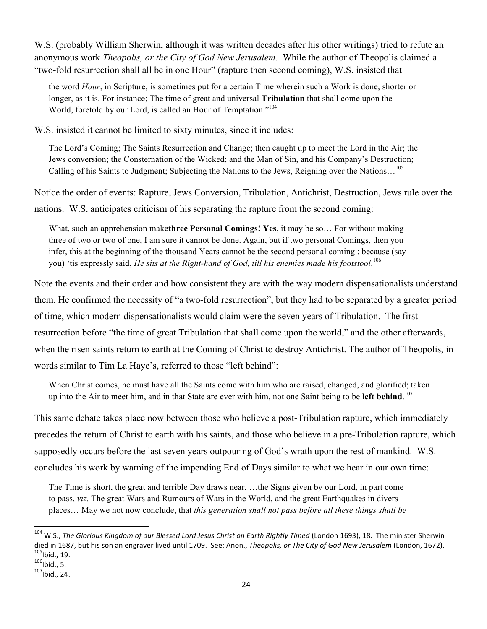W.S. (probably William Sherwin, although it was written decades after his other writings) tried to refute an anonymous work *Theopolis, or the City of God New Jerusalem.* While the author of Theopolis claimed a "two-fold resurrection shall all be in one Hour" (rapture then second coming), W.S. insisted that

the word *Hour*, in Scripture, is sometimes put for a certain Time wherein such a Work is done, shorter or longer, as it is. For instance; The time of great and universal **Tribulation** that shall come upon the World, foretold by our Lord, is called an Hour of Temptation."104

W.S. insisted it cannot be limited to sixty minutes, since it includes:

The Lord's Coming; The Saints Resurrection and Change; then caught up to meet the Lord in the Air; the Jews conversion; the Consternation of the Wicked; and the Man of Sin, and his Company's Destruction; Calling of his Saints to Judgment; Subjecting the Nations to the Jews, Reigning over the Nations…<sup>105</sup>

Notice the order of events: Rapture, Jews Conversion, Tribulation, Antichrist, Destruction, Jews rule over the

nations. W.S. anticipates criticism of his separating the rapture from the second coming:

What, such an apprehension make**three Personal Comings! Yes**, it may be so… For without making three of two or two of one, I am sure it cannot be done. Again, but if two personal Comings, then you infer, this at the beginning of the thousand Years cannot be the second personal coming : because (say you) 'tis expressly said, *He sits at the Right-hand of God, till his enemies made his footstool*. 106

Note the events and their order and how consistent they are with the way modern dispensationalists understand them. He confirmed the necessity of "a two-fold resurrection", but they had to be separated by a greater period of time, which modern dispensationalists would claim were the seven years of Tribulation. The first resurrection before "the time of great Tribulation that shall come upon the world," and the other afterwards, when the risen saints return to earth at the Coming of Christ to destroy Antichrist. The author of Theopolis, in words similar to Tim La Haye's, referred to those "left behind":

When Christ comes, he must have all the Saints come with him who are raised, changed, and glorified; taken up into the Air to meet him, and in that State are ever with him, not one Saint being to be **left behind**. 107

This same debate takes place now between those who believe a post-Tribulation rapture, which immediately precedes the return of Christ to earth with his saints, and those who believe in a pre-Tribulation rapture, which supposedly occurs before the last seven years outpouring of God's wrath upon the rest of mankind. W.S. concludes his work by warning of the impending End of Days similar to what we hear in our own time:

The Time is short, the great and terrible Day draws near, …the Signs given by our Lord, in part come to pass, *viz.* The great Wars and Rumours of Wars in the World, and the great Earthquakes in divers places… May we not now conclude, that *this generation shall not pass before all these things shall be* 

<sup>&</sup>lt;sup>104</sup> W.S.. *The Glorious Kingdom of our Blessed Lord Jesus Christ on Earth Rightly Timed* (London 1693), 18. The minister Sherwin died in 1687, but his son an engraver lived until 1709. See: Anon., *Theopolis, or The City of God New Jerusalem* (London, 1672).<br><sup>105</sup>lbid., 19. <sup>105</sup>lbid., 5. 1071bid., 24.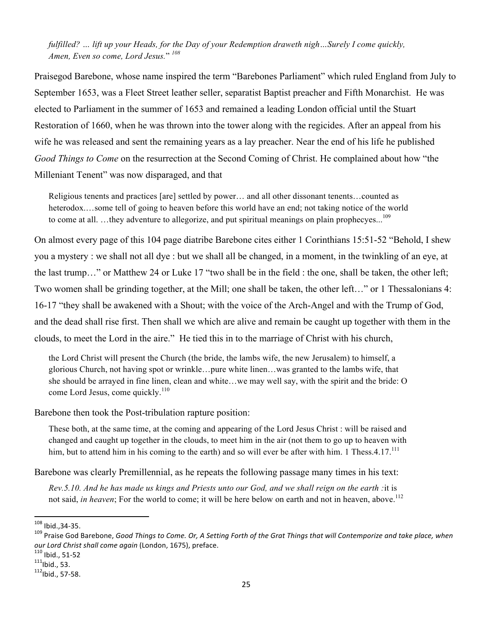*fulfilled? … lift up your Heads, for the Day of your Redemption draweth nigh…Surely I come quickly, Amen, Even so come, Lord Jesus.*" *<sup>108</sup>*

Praisegod Barebone, whose name inspired the term "Barebones Parliament" which ruled England from July to September 1653, was a Fleet Street leather seller, separatist Baptist preacher and Fifth Monarchist. He was elected to Parliament in the summer of 1653 and remained a leading London official until the Stuart Restoration of 1660, when he was thrown into the tower along with the regicides. After an appeal from his wife he was released and sent the remaining years as a lay preacher. Near the end of his life he published *Good Things to Come* on the resurrection at the Second Coming of Christ. He complained about how "the Milleniant Tenent" was now disparaged, and that

Religious tenents and practices [are] settled by power… and all other dissonant tenents…counted as heterodox.…some tell of going to heaven before this world have an end; not taking notice of the world to come at all. ...they adventure to allegorize, and put spiritual meanings on plain prophecyes...<sup>109</sup>

On almost every page of this 104 page diatribe Barebone cites either 1 Corinthians 15:51-52 "Behold, I shew you a mystery : we shall not all dye : but we shall all be changed, in a moment, in the twinkling of an eye, at the last trump…" or Matthew 24 or Luke 17 "two shall be in the field : the one, shall be taken, the other left; Two women shall be grinding together, at the Mill; one shall be taken, the other left…" or 1 Thessalonians 4: 16-17 "they shall be awakened with a Shout; with the voice of the Arch-Angel and with the Trump of God, and the dead shall rise first. Then shall we which are alive and remain be caught up together with them in the clouds, to meet the Lord in the aire." He tied this in to the marriage of Christ with his church,

the Lord Christ will present the Church (the bride, the lambs wife, the new Jerusalem) to himself, a glorious Church, not having spot or wrinkle…pure white linen…was granted to the lambs wife, that she should be arrayed in fine linen, clean and white…we may well say, with the spirit and the bride: O come Lord Jesus, come quickly.<sup>110</sup>

Barebone then took the Post-tribulation rapture position:

These both, at the same time, at the coming and appearing of the Lord Jesus Christ : will be raised and changed and caught up together in the clouds, to meet him in the air (not them to go up to heaven with him, but to attend him in his coming to the earth) and so will ever be after with him. 1 Thess.4.17.<sup>111</sup>

Barebone was clearly Premillennial, as he repeats the following passage many times in his text:

*Rev.5.10. And he has made us kings and Priests unto our God, and we shall reign on the earth :*it is not said, *in heaven*; For the world to come; it will be here below on earth and not in heaven, above.<sup>112</sup>

<sup>108</sup> lbid., 34-35.

<sup>&</sup>lt;sup>109</sup> Praise God Barebone, *Good Things to Come. Or, A Setting Forth of the Grat Things that will Contemporize and take place, when our Lord Christ shall come again* (London, 1675), preface.<br><sup>110</sup> Ibid., 51-52<br><sup>111</sup>lbid., 53. <sup>112</sup>lbid., 57-58.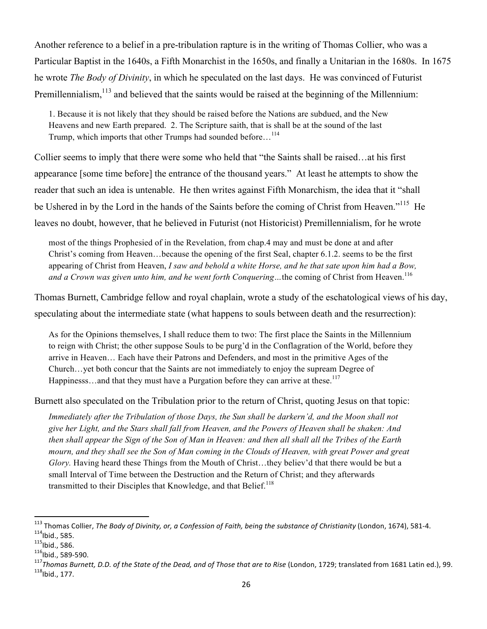Another reference to a belief in a pre-tribulation rapture is in the writing of Thomas Collier, who was a Particular Baptist in the 1640s, a Fifth Monarchist in the 1650s, and finally a Unitarian in the 1680s. In 1675 he wrote *The Body of Divinity*, in which he speculated on the last days. He was convinced of Futurist Premillennialism,<sup>113</sup> and believed that the saints would be raised at the beginning of the Millennium:

1. Because it is not likely that they should be raised before the Nations are subdued, and the New Heavens and new Earth prepared. 2. The Scripture saith, that is shall be at the sound of the last Trump, which imports that other Trumps had sounded before...<sup>114</sup>

Collier seems to imply that there were some who held that "the Saints shall be raised…at his first appearance [some time before] the entrance of the thousand years." At least he attempts to show the reader that such an idea is untenable. He then writes against Fifth Monarchism, the idea that it "shall be Ushered in by the Lord in the hands of the Saints before the coming of Christ from Heaven."<sup>115</sup> He leaves no doubt, however, that he believed in Futurist (not Historicist) Premillennialism, for he wrote

most of the things Prophesied of in the Revelation, from chap.4 may and must be done at and after Christ's coming from Heaven…because the opening of the first Seal, chapter 6.1.2. seems to be the first appearing of Christ from Heaven, *I saw and behold a white Horse, and he that sate upon him had a Bow,*  and a Crown was given unto him, and he went forth Conquering...the coming of Christ from Heaven.<sup>116</sup>

Thomas Burnett, Cambridge fellow and royal chaplain, wrote a study of the eschatological views of his day, speculating about the intermediate state (what happens to souls between death and the resurrection):

As for the Opinions themselves, I shall reduce them to two: The first place the Saints in the Millennium to reign with Christ; the other suppose Souls to be purg'd in the Conflagration of the World, before they arrive in Heaven… Each have their Patrons and Defenders, and most in the primitive Ages of the Church…yet both concur that the Saints are not immediately to enjoy the supream Degree of Happinesss...and that they must have a Purgation before they can arrive at these.<sup>117</sup>

Burnett also speculated on the Tribulation prior to the return of Christ, quoting Jesus on that topic:

*Immediately after the Tribulation of those Days, the Sun shall be darkern'd, and the Moon shall not give her Light, and the Stars shall fall from Heaven, and the Powers of Heaven shall be shaken: And then shall appear the Sign of the Son of Man in Heaven: and then all shall all the Tribes of the Earth mourn, and they shall see the Son of Man coming in the Clouds of Heaven, with great Power and great Glory.* Having heard these Things from the Mouth of Christ…they believ'd that there would be but a small Interval of Time between the Destruction and the Return of Christ; and they afterwards transmitted to their Disciples that Knowledge, and that Belief.<sup>118</sup>

 $^{113}$  Thomas Collier, The Body of Divinity, or, a Confession of Faith, being the substance of Christianity (London, 1674), 581-4.

<sup>&</sup>lt;sup>114</sup>lbid., 585.<br><sup>115</sup>lbid., 586.<br><sup>116</sup>lbid., 589-590.<br><sup>117</sup>Thomas Burnett, D.D. of the State of the Dead, and of Those that are to Rise (London, 1729; translated from 1681 Latin ed.), 99.<br><sup>118</sup>lbid.. 177.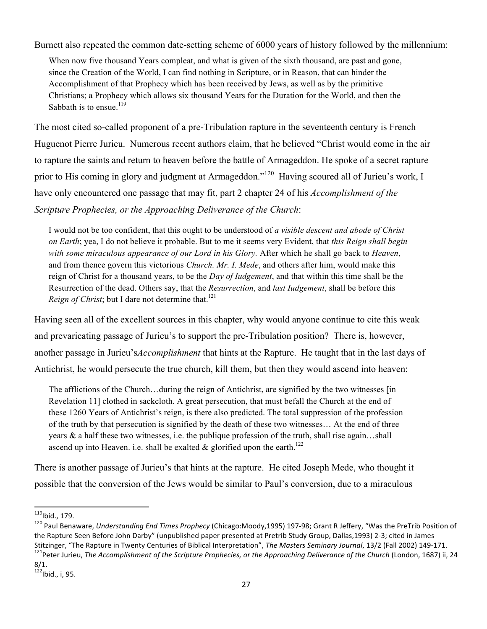Burnett also repeated the common date-setting scheme of 6000 years of history followed by the millennium:

When now five thousand Years compleat, and what is given of the sixth thousand, are past and gone, since the Creation of the World, I can find nothing in Scripture, or in Reason, that can hinder the Accomplishment of that Prophecy which has been received by Jews, as well as by the primitive Christians; a Prophecy which allows six thousand Years for the Duration for the World, and then the Sabbath is to ensue.<sup>119</sup>

The most cited so-called proponent of a pre-Tribulation rapture in the seventeenth century is French Huguenot Pierre Jurieu. Numerous recent authors claim, that he believed "Christ would come in the air to rapture the saints and return to heaven before the battle of Armageddon. He spoke of a secret rapture prior to His coming in glory and judgment at Armageddon."<sup>120</sup> Having scoured all of Jurieu's work, I have only encountered one passage that may fit, part 2 chapter 24 of his *Accomplishment of the Scripture Prophecies, or the Approaching Deliverance of the Church*:

I would not be too confident, that this ought to be understood of *a visible descent and abode of Christ on Earth*; yea, I do not believe it probable. But to me it seems very Evident, that *this Reign shall begin with some miraculous appearance of our Lord in his Glory.* After which he shall go back to *Heaven*, and from thence govern this victorious *Church. Mr. I. Mede*, and others after him, would make this reign of Christ for a thousand years, to be the *Day of Iudgement*, and that within this time shall be the Resurrection of the dead. Others say, that the *Resurrection*, and *last Iudgement*, shall be before this *Reign of Christ*; but I dare not determine that.<sup>121</sup>

Having seen all of the excellent sources in this chapter, why would anyone continue to cite this weak and prevaricating passage of Jurieu's to support the pre-Tribulation position? There is, however, another passage in Jurieu's*Accomplishment* that hints at the Rapture. He taught that in the last days of Antichrist, he would persecute the true church, kill them, but then they would ascend into heaven:

The afflictions of the Church…during the reign of Antichrist, are signified by the two witnesses [in Revelation 11] clothed in sackcloth. A great persecution, that must befall the Church at the end of these 1260 Years of Antichrist's reign, is there also predicted. The total suppression of the profession of the truth by that persecution is signified by the death of these two witnesses… At the end of three years  $\&$  a half these two witnesses, i.e. the publique profession of the truth, shall rise again...shall ascend up into Heaven. i.e. shall be exalted  $\&$  glorified upon the earth.<sup>122</sup>

There is another passage of Jurieu's that hints at the rapture. He cited Joseph Mede, who thought it possible that the conversion of the Jews would be similar to Paul's conversion, due to a miraculous

<sup>&</sup>lt;sup>119</sup>lbid., 179.<br><sup>120</sup> Paul Benaware, *Understanding End Times Prophecy* (Chicago:Moody,1995) 197-98; Grant R Jeffery, "Was the PreTrib Position of the Rapture Seen Before John Darby" (unpublished paper presented at Pretrib Study Group, Dallas,1993) 2-3; cited in James Stitzinger, "The Rapture in Twenty Centuries of Biblical Interpretation", The Masters Seminary Journal, 13/2 (Fall 2002) 149-171.<br><sup>121</sup>Peter Jurieu, The Accomplishment of the Scripture Prophecies, or the Approaching Delive

 $8/1.$ 

 $122$ Ibid., i. 95.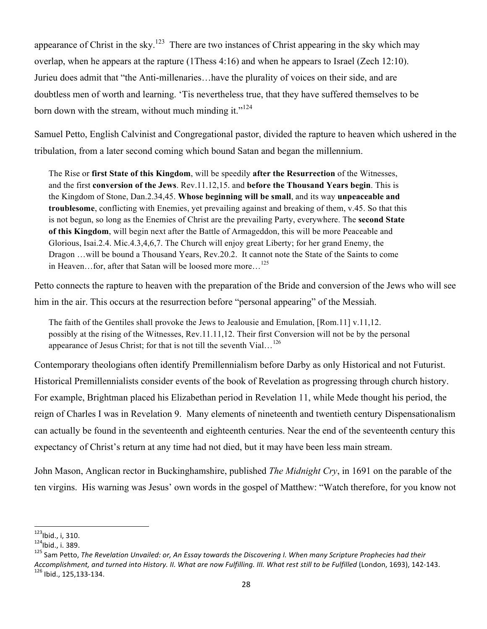appearance of Christ in the sky.<sup>123</sup> There are two instances of Christ appearing in the sky which may overlap, when he appears at the rapture (1Thess 4:16) and when he appears to Israel (Zech 12:10). Jurieu does admit that "the Anti-millenaries…have the plurality of voices on their side, and are doubtless men of worth and learning. 'Tis nevertheless true, that they have suffered themselves to be born down with the stream, without much minding it." $124$ 

Samuel Petto, English Calvinist and Congregational pastor, divided the rapture to heaven which ushered in the tribulation, from a later second coming which bound Satan and began the millennium.

The Rise or **first State of this Kingdom**, will be speedily **after the Resurrection** of the Witnesses, and the first **conversion of the Jews**. Rev.11.12,15. and **before the Thousand Years begin**. This is the Kingdom of Stone, Dan.2.34,45. **Whose beginning will be small**, and its way **unpeaceable and troublesome**, conflicting with Enemies, yet prevailing against and breaking of them, v.45. So that this is not begun, so long as the Enemies of Christ are the prevailing Party, everywhere. The **second State of this Kingdom**, will begin next after the Battle of Armageddon, this will be more Peaceable and Glorious, Isai.2.4. Mic.4.3,4,6,7. The Church will enjoy great Liberty; for her grand Enemy, the Dragon …will be bound a Thousand Years, Rev.20.2. It cannot note the State of the Saints to come in Heaven...for, after that Satan will be loosed more more...<sup>125</sup>

Petto connects the rapture to heaven with the preparation of the Bride and conversion of the Jews who will see him in the air. This occurs at the resurrection before "personal appearing" of the Messiah.

The faith of the Gentiles shall provoke the Jews to Jealousie and Emulation, [Rom.11] v.11,12. possibly at the rising of the Witnesses, Rev.11.11,12. Their first Conversion will not be by the personal appearance of Jesus Christ; for that is not till the seventh Vial...<sup>126</sup>

Contemporary theologians often identify Premillennialism before Darby as only Historical and not Futurist. Historical Premillennialists consider events of the book of Revelation as progressing through church history. For example, Brightman placed his Elizabethan period in Revelation 11, while Mede thought his period, the reign of Charles I was in Revelation 9. Many elements of nineteenth and twentieth century Dispensationalism can actually be found in the seventeenth and eighteenth centuries. Near the end of the seventeenth century this expectancy of Christ's return at any time had not died, but it may have been less main stream.

John Mason, Anglican rector in Buckinghamshire, published *The Midnight Cry*, in 1691 on the parable of the ten virgins. His warning was Jesus' own words in the gospel of Matthew: "Watch therefore, for you know not

<sup>&</sup>lt;sup>123</sup>Ibid., i, 310.<br><sup>124</sup>Ibid., i. 389.<br><sup>125</sup> Sam Petto, *The Revelation Unvailed: or, An Essay towards the Discovering I. When many Scripture Prophecies had their Accomplishment, and turned into History. II. What are now Fulfilling. III. What rest still to be Fulfilled (London, 1693), 142-143. <sup>126</sup> Ibid., 125,133-134.*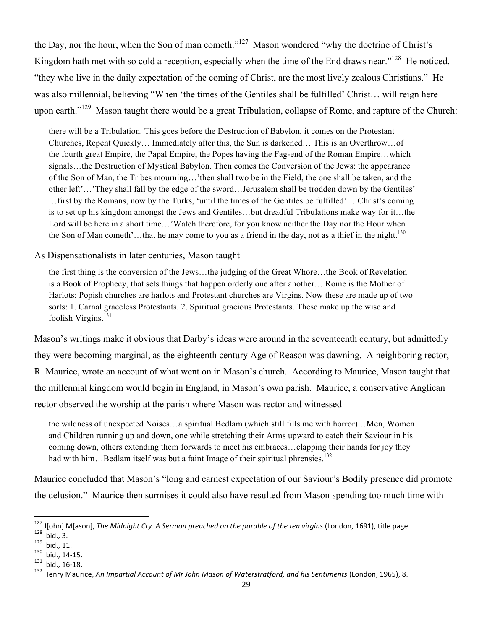the Day, nor the hour, when the Son of man cometh."127 Mason wondered "why the doctrine of Christ's Kingdom hath met with so cold a reception, especially when the time of the End draws near."<sup>128</sup> He noticed, "they who live in the daily expectation of the coming of Christ, are the most lively zealous Christians." He was also millennial, believing "When 'the times of the Gentiles shall be fulfilled' Christ… will reign here upon earth."<sup>129</sup> Mason taught there would be a great Tribulation, collapse of Rome, and rapture of the Church:

there will be a Tribulation. This goes before the Destruction of Babylon, it comes on the Protestant Churches, Repent Quickly… Immediately after this, the Sun is darkened… This is an Overthrow…of the fourth great Empire, the Papal Empire, the Popes having the Fag-end of the Roman Empire…which signals…the Destruction of Mystical Babylon. Then comes the Conversion of the Jews: the appearance of the Son of Man, the Tribes mourning…'then shall two be in the Field, the one shall be taken, and the other left'…'They shall fall by the edge of the sword…Jerusalem shall be trodden down by the Gentiles' …first by the Romans, now by the Turks, 'until the times of the Gentiles be fulfilled'… Christ's coming is to set up his kingdom amongst the Jews and Gentiles…but dreadful Tribulations make way for it…the Lord will be here in a short time...'Watch therefore, for you know neither the Day nor the Hour when the Son of Man cometh'...that he may come to you as a friend in the day, not as a thief in the night.<sup>130</sup>

### As Dispensationalists in later centuries, Mason taught

the first thing is the conversion of the Jews…the judging of the Great Whore…the Book of Revelation is a Book of Prophecy, that sets things that happen orderly one after another… Rome is the Mother of Harlots; Popish churches are harlots and Protestant churches are Virgins. Now these are made up of two sorts: 1. Carnal graceless Protestants. 2. Spiritual gracious Protestants. These make up the wise and foolish Virgins.<sup>131</sup>

Mason's writings make it obvious that Darby's ideas were around in the seventeenth century, but admittedly they were becoming marginal, as the eighteenth century Age of Reason was dawning. A neighboring rector, R. Maurice, wrote an account of what went on in Mason's church. According to Maurice, Mason taught that the millennial kingdom would begin in England, in Mason's own parish. Maurice, a conservative Anglican rector observed the worship at the parish where Mason was rector and witnessed

the wildness of unexpected Noises…a spiritual Bedlam (which still fills me with horror)…Men, Women and Children running up and down, one while stretching their Arms upward to catch their Saviour in his coming down, others extending them forwards to meet his embraces…clapping their hands for joy they had with him...Bedlam itself was but a faint Image of their spiritual phrensies.<sup>132</sup>

Maurice concluded that Mason's "long and earnest expectation of our Saviour's Bodily presence did promote the delusion." Maurice then surmises it could also have resulted from Mason spending too much time with

<sup>&</sup>lt;sup>127</sup> J[ohn] M[ason], *The Midnight Cry. A Sermon preached on the parable of the ten virgins (London, 1691), title page.<br><sup>128</sup> Ibid., 3.<br><sup>129</sup> Ibid., 11.<br><sup>130</sup> Ibid., 16-18.<br><sup>132</sup> Henry Maurice, <i>An Impartial Account of Mr*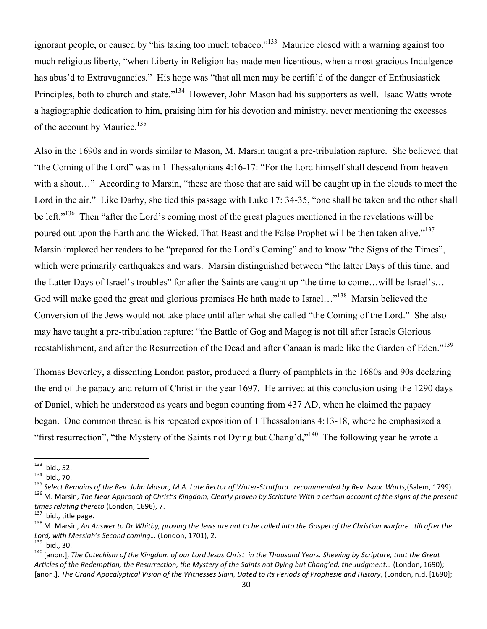ignorant people, or caused by "his taking too much tobacco."<sup>133</sup> Maurice closed with a warning against too much religious liberty, "when Liberty in Religion has made men licentious, when a most gracious Indulgence has abus'd to Extravagancies." His hope was "that all men may be certifi'd of the danger of Enthusiastick Principles, both to church and state."<sup>134</sup> However, John Mason had his supporters as well. Isaac Watts wrote a hagiographic dedication to him, praising him for his devotion and ministry, never mentioning the excesses of the account by Maurice.<sup>135</sup>

Also in the 1690s and in words similar to Mason, M. Marsin taught a pre-tribulation rapture. She believed that "the Coming of the Lord" was in 1 Thessalonians 4:16-17: "For the Lord himself shall descend from heaven with a shout..." According to Marsin, "these are those that are said will be caught up in the clouds to meet the Lord in the air." Like Darby, she tied this passage with Luke 17: 34-35, "one shall be taken and the other shall be left."<sup>136</sup> Then "after the Lord's coming most of the great plagues mentioned in the revelations will be poured out upon the Earth and the Wicked. That Beast and the False Prophet will be then taken alive."<sup>137</sup> Marsin implored her readers to be "prepared for the Lord's Coming" and to know "the Signs of the Times", which were primarily earthquakes and wars. Marsin distinguished between "the latter Days of this time, and the Latter Days of Israel's troubles" for after the Saints are caught up "the time to come…will be Israel's… God will make good the great and glorious promises He hath made to Israel..."<sup>138</sup> Marsin believed the Conversion of the Jews would not take place until after what she called "the Coming of the Lord." She also may have taught a pre-tribulation rapture: "the Battle of Gog and Magog is not till after Israels Glorious reestablishment, and after the Resurrection of the Dead and after Canaan is made like the Garden of Eden."139

Thomas Beverley, a dissenting London pastor, produced a flurry of pamphlets in the 1680s and 90s declaring the end of the papacy and return of Christ in the year 1697. He arrived at this conclusion using the 1290 days of Daniel, which he understood as years and began counting from 437 AD, when he claimed the papacy began. One common thread is his repeated exposition of 1 Thessalonians 4:13-18, where he emphasized a "first resurrection", "the Mystery of the Saints not Dying but Chang'd,"<sup>140</sup> The following year he wrote a

<sup>&</sup>lt;sup>133</sup> Ibid., 52.<br><sup>134</sup> Ibid., 70.<br><sup>135</sup> Select Remains of the Rev. John Mason, M.A. Late Rector of Water-Stratford…recommended by Rev. Isaac Watts,(Salem, 1799).<br><sup>135</sup> M. Marsin, The Near Approach of Christ's Kingdom, Clea *times relating thereto (London, 1696), 7.*<br><sup>137</sup> Ibid., title page.<br><sup>138</sup> M. Marsin, An Answer to Dr Whitby, proving the Jews are not to be called into the Gospel of the Christian warfare…till after the

*Lord, with Messiah's Second coming…* (London, 1701), 2.<br><sup>139</sup> Ibid., 30.<br><sup>140</sup> [anon.], *The Catechism of the Kingdom of our Lord Jesus Christ in the Thousand Years. Shewing by Scripture, that the Great* 

Articles of the Redemption, the Resurrection, the Mystery of the Saints not Dying but Chang'ed, the Judgment... (London, 1690); [anon.], The Grand Apocalyptical Vision of the Witnesses Slain, Dated to its Periods of Prophesie and History, (London, n.d. [1690];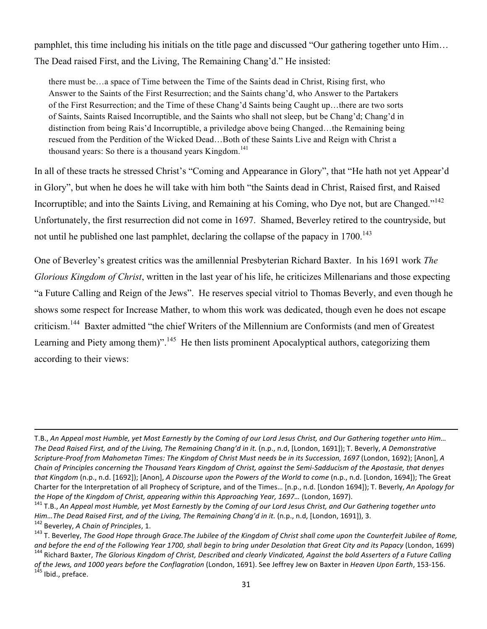pamphlet, this time including his initials on the title page and discussed "Our gathering together unto Him… The Dead raised First, and the Living, The Remaining Chang'd." He insisted:

there must be…a space of Time between the Time of the Saints dead in Christ, Rising first, who Answer to the Saints of the First Resurrection; and the Saints chang'd, who Answer to the Partakers of the First Resurrection; and the Time of these Chang'd Saints being Caught up…there are two sorts of Saints, Saints Raised Incorruptible, and the Saints who shall not sleep, but be Chang'd; Chang'd in distinction from being Rais'd Incorruptible, a priviledge above being Changed…the Remaining being rescued from the Perdition of the Wicked Dead…Both of these Saints Live and Reign with Christ a thousand years: So there is a thousand years  $Kingdom.<sup>141</sup>$ 

In all of these tracts he stressed Christ's "Coming and Appearance in Glory", that "He hath not yet Appear'd in Glory", but when he does he will take with him both "the Saints dead in Christ, Raised first, and Raised Incorruptible; and into the Saints Living, and Remaining at his Coming, who Dye not, but are Changed."<sup>142</sup> Unfortunately, the first resurrection did not come in 1697. Shamed, Beverley retired to the countryside, but not until he published one last pamphlet, declaring the collapse of the papacy in 1700.<sup>143</sup>

One of Beverley's greatest critics was the amillennial Presbyterian Richard Baxter. In his 1691 work *The Glorious Kingdom of Christ*, written in the last year of his life, he criticizes Millenarians and those expecting "a Future Calling and Reign of the Jews". He reserves special vitriol to Thomas Beverly, and even though he shows some respect for Increase Mather, to whom this work was dedicated, though even he does not escape criticism.<sup>144</sup> Baxter admitted "the chief Writers of the Millennium are Conformists (and men of Greatest Learning and Piety among them)".<sup>145</sup> He then lists prominent Apocalyptical authors, categorizing them according to their views:

!!!!!!!!!!!!!!!!!!!!!!!!!!!!!!!!!!!!!!!!!!!!!!!!!!!!!!!!!!!!!!!!!!!!!!!!!!!!!!!!!!!!!!!!!!!!!!!!!!!!!!!!!!!!!!!!!!!!!!!!!!!!!!!!!!!!!!!!!!!!!!!!!!!!!!!!!!!!!!!!!!!!!!!!!!!!!!!!!!!!!!!!!!!!!!!!!!!!!!!!!!!!!!!!!!!!!!!!!!!!!!

T.B., An Appeal most Humble, yet Most Earnestly by the Coming of our Lord Jesus Christ, and Our Gathering together unto Him... *The Dead Raised First, and of the Living, The Remaining Chang'd in it.* (n.p., n.d, [London, 1691]); T. Beverly, *A Demonstrative Scripture-Proof from Mahometan Times: The Kingdom of Christ Must needs be in its Succession, 1697 (London, 1692); [Anon], A Chain%of%Principles%concerning%the%Thousand%Years%Kingdom%of%Christ,%against%the%SemiYSadducism%of%the%Apostasie,%that%denyes% that Kingdom (n.p., n.d. [1692]); [Anon], A Discourse upon the Powers of the World to come (n.p., n.d. [London, 1694]); The Great* Charter for the Interpretation of all Prophecy of Scripture, and of the Times... [n.p., n.d. [London 1694]); T. Beverly, *An Apology for* the Hope of the Kingdom of Christ, appearing within this Approaching Year, 1697... (London, 1697).<br><sup>141</sup> T.B., An Appeal most Humble, yet Most Earnestly by the Coming of our Lord Jesus Christ, and Our Gathering together un

Him...The Dead Raised First, and of the Living, The Remaining Chang'd in it. (n.p., n.d, [London, 1691]), 3.<br><sup>142</sup> Beverley, A Chain of Principles, 1.<br><sup>143</sup> T. Beverley, The Good Hope through Grace.The Jubilee of the Kingd

and before the end of the Following Year 1700, shall begin to bring under Desolation that Great City and its Papacy (London, 1699)<br><sup>144</sup> Richard Baxter, The Glorious Kingdom of Christ, Described and clearly Vindicated, Aga

*of the Jews, and 1000 years before the Conflagration* (London, 1691). See Jeffrey Jew on Baxter in *Heaven Upon Earth*, 153-156. 145 Ibid., preface.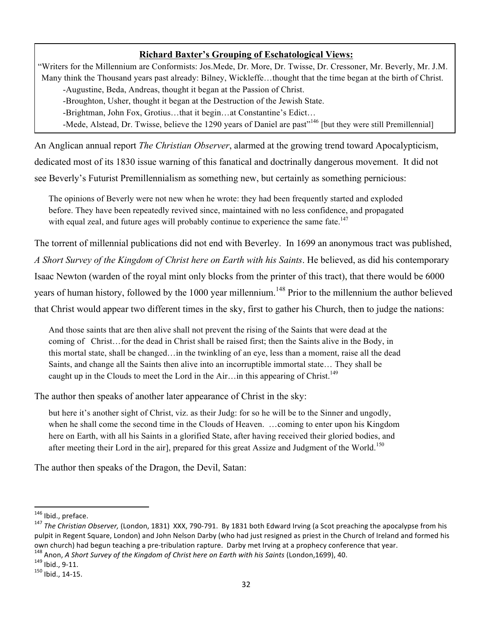## **Richard Baxter's Grouping of Eschatological Views:**

"Writers for the Millennium are Conformists: Jos.Mede, Dr. More, Dr. Twisse, Dr. Cressoner, Mr. Beverly, Mr. J.M. Many think the Thousand years past already: Bilney, Wickleffe…thought that the time began at the birth of Christ.

-Augustine, Beda, Andreas, thought it began at the Passion of Christ.

-Broughton, Usher, thought it began at the Destruction of the Jewish State.

-Brightman, John Fox, Grotius…that it begin…at Constantine's Edict…

-Mede, Alstead, Dr. Twisse, believe the 1290 years of Daniel are past"<sup>146</sup> [but they were still Premillennial]

An Anglican annual report *The Christian Observer*, alarmed at the growing trend toward Apocalypticism, dedicated most of its 1830 issue warning of this fanatical and doctrinally dangerous movement. It did not see Beverly's Futurist Premillennialism as something new, but certainly as something pernicious:

The opinions of Beverly were not new when he wrote: they had been frequently started and exploded before. They have been repeatedly revived since, maintained with no less confidence, and propagated with equal zeal, and future ages will probably continue to experience the same fate.<sup>147</sup>

The torrent of millennial publications did not end with Beverley. In 1699 an anonymous tract was published,

*A Short Survey of the Kingdom of Christ here on Earth with his Saints*. He believed, as did his contemporary

Isaac Newton (warden of the royal mint only blocks from the printer of this tract), that there would be 6000

years of human history, followed by the 1000 year millennium.<sup>148</sup> Prior to the millennium the author believed

that Christ would appear two different times in the sky, first to gather his Church, then to judge the nations:

And those saints that are then alive shall not prevent the rising of the Saints that were dead at the coming of Christ…for the dead in Christ shall be raised first; then the Saints alive in the Body, in this mortal state, shall be changed…in the twinkling of an eye, less than a moment, raise all the dead Saints, and change all the Saints then alive into an incorruptible immortal state… They shall be caught up in the Clouds to meet the Lord in the Air…in this appearing of Christ.<sup>149</sup>

The author then speaks of another later appearance of Christ in the sky:

but here it's another sight of Christ, viz. as their Judg: for so he will be to the Sinner and ungodly, when he shall come the second time in the Clouds of Heaven. …coming to enter upon his Kingdom here on Earth, with all his Saints in a glorified State, after having received their gloried bodies, and after meeting their Lord in the air], prepared for this great Assize and Judgment of the World.<sup>150</sup>

The author then speaks of the Dragon, the Devil, Satan:

<sup>&</sup>lt;sup>146</sup> Ibid., preface.<br><sup>147</sup> *The Christian Observer,* (London, 1831) XXX, 790-791. By 1831 both Edward Irving (a Scot preaching the apocalypse from his pulpit in Regent Square, London) and John Nelson Darby (who had just resigned as priest in the Church of Ireland and formed his own church) had begun teaching a pre-tribulation rapture. Darby met Irving at a prophecy conference that year.<br><sup>148</sup> Anon, *A Short Survey of the Kingdom of Christ here on Earth with his Saints* (London,1699), 40.<br><sup>149</sup> Ib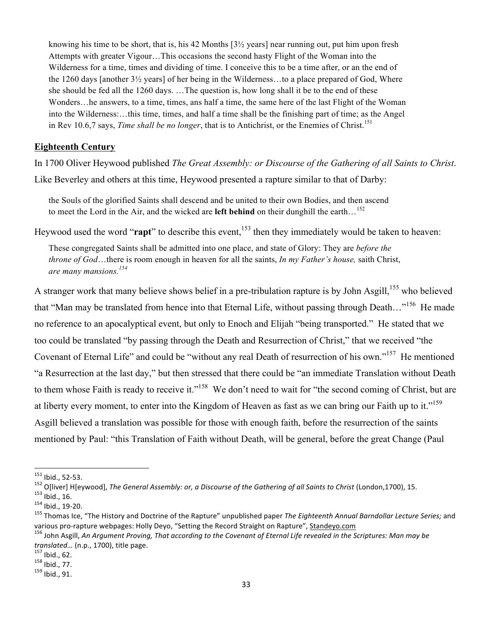knowing his time to be short, that is, his 42 Months  $[3\frac{1}{2}$  years] near running out, put him upon fresh Attempts with greater Vigour…This occasions the second hasty Flight of the Woman into the Wilderness for a time, times and dividing of time. I conceive this to be a time after, or an the end of the 1260 days [another 3½ years] of her being in the Wilderness…to a place prepared of God, Where she should be fed all the 1260 days. …The question is, how long shall it be to the end of these Wonders…he answers, to a time, times, ans half a time, the same here of the last Flight of the Woman into the Wilderness:…this time, times, and half a time shall be the finishing part of time; as the Angel in Rev 10.6,7 says, *Time shall be no longer*, that is to Antichrist, or the Enemies of Christ.<sup>151</sup>

### **Eighteenth Century**

In 1700 Oliver Heywood published *The Great Assembly: or Discourse of the Gathering of all Saints to Christ*. Like Beverley and others at this time, Heywood presented a rapture similar to that of Darby:

the Souls of the glorified Saints shall descend and be united to their own Bodies, and then ascend to meet the Lord in the Air, and the wicked are **left behind** on their dunghill the earth…<sup>152</sup>

Heywood used the word "**rapt**" to describe this event,<sup>153</sup> then they immediately would be taken to heaven:

These congregated Saints shall be admitted into one place, and state of Glory: They are *before the throne of God*…there is room enough in heaven for all the saints, *In my Father's house,* saith Christ, *are many mansions.<sup>154</sup>*

A stranger work that many believe shows belief in a pre-tribulation rapture is by John Asgill,<sup>155</sup> who believed that "Man may be translated from hence into that Eternal Life, without passing through Death…"156 He made no reference to an apocalyptical event, but only to Enoch and Elijah "being transported." He stated that we too could be translated "by passing through the Death and Resurrection of Christ," that we received "the Covenant of Eternal Life" and could be "without any real Death of resurrection of his own."157 He mentioned "a Resurrection at the last day," but then stressed that there could be "an immediate Translation without Death to them whose Faith is ready to receive it."<sup>158</sup> We don't need to wait for "the second coming of Christ, but are at liberty every moment, to enter into the Kingdom of Heaven as fast as we can bring our Faith up to it."<sup>159</sup> Asgill believed a translation was possible for those with enough faith, before the resurrection of the saints mentioned by Paul: "this Translation of Faith without Death, will be general, before the great Change (Paul

<sup>&</sup>lt;sup>151</sup> Ibid., 52-53.<br><sup>152</sup> O[liver] H[eywood], *The General Assembly: or, a Discourse of the Gathering of all Saints to Christ* (London,1700), 15.<br><sup>152</sup> Ibid., 16.<br><sup>154</sup> Ibid., 19-20.<br><sup>155</sup> Thomas Ice, "The History and Doct

various pro-rapture webpages: Holly Deyo, "Setting the Record Straight on Rapture", Standeyo.com<br><sup>156</sup> John Asgill, An Argument Proving, That according to the Covenant of Eternal Life revealed in the Scriptures: Man may be

*translated...* (n.p., 1700), title page.<br><sup>157</sup> Ibid., 62.<br><sup>158</sup> Ibid., 77.<br><sup>159</sup> Ibid., 91.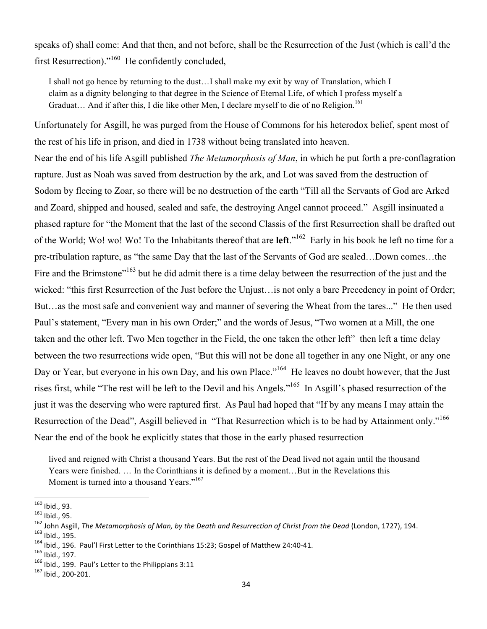speaks of) shall come: And that then, and not before, shall be the Resurrection of the Just (which is call'd the first Resurrection)."160 He confidently concluded,

I shall not go hence by returning to the dust…I shall make my exit by way of Translation, which I claim as a dignity belonging to that degree in the Science of Eternal Life, of which I profess myself a Graduat... And if after this, I die like other Men, I declare myself to die of no Religion.<sup>161</sup>

Unfortunately for Asgill, he was purged from the House of Commons for his heterodox belief, spent most of the rest of his life in prison, and died in 1738 without being translated into heaven.

Near the end of his life Asgill published *The Metamorphosis of Man*, in which he put forth a pre-conflagration rapture. Just as Noah was saved from destruction by the ark, and Lot was saved from the destruction of Sodom by fleeing to Zoar, so there will be no destruction of the earth "Till all the Servants of God are Arked and Zoard, shipped and housed, sealed and safe, the destroying Angel cannot proceed." Asgill insinuated a phased rapture for "the Moment that the last of the second Classis of the first Resurrection shall be drafted out of the World; Wo! wo! Wo! To the Inhabitants thereof that are **left**."162 Early in his book he left no time for a pre-tribulation rapture, as "the same Day that the last of the Servants of God are sealed…Down comes…the Fire and the Brimstone<sup>"163</sup> but he did admit there is a time delay between the resurrection of the just and the wicked: "this first Resurrection of the Just before the Unjust... is not only a bare Precedency in point of Order; But…as the most safe and convenient way and manner of severing the Wheat from the tares..." He then used Paul's statement, "Every man in his own Order;" and the words of Jesus, "Two women at a Mill, the one taken and the other left. Two Men together in the Field, the one taken the other left" then left a time delay between the two resurrections wide open, "But this will not be done all together in any one Night, or any one Day or Year, but everyone in his own Day, and his own Place."<sup>164</sup> He leaves no doubt however, that the Just rises first, while "The rest will be left to the Devil and his Angels."165 In Asgill's phased resurrection of the just it was the deserving who were raptured first. As Paul had hoped that "If by any means I may attain the Resurrection of the Dead", Asgill believed in "That Resurrection which is to be had by Attainment only."<sup>166</sup> Near the end of the book he explicitly states that those in the early phased resurrection

lived and reigned with Christ a thousand Years. But the rest of the Dead lived not again until the thousand Years were finished. … In the Corinthians it is defined by a moment…But in the Revelations this Moment is turned into a thousand Years."<sup>167</sup>

<sup>&</sup>lt;sup>160</sup> Ibid., 93.<br><sup>161</sup> Ibid., 95.<br><sup>162</sup> John Asgill, *The Metamorphosis of Man, by the Death and Resurrection of Christ from the Dead (London, 1727), 194.<br><sup>162</sup> Ibid., 195.<br><sup>164</sup> Ibid., 196. Paul'l First Letter to the Cor*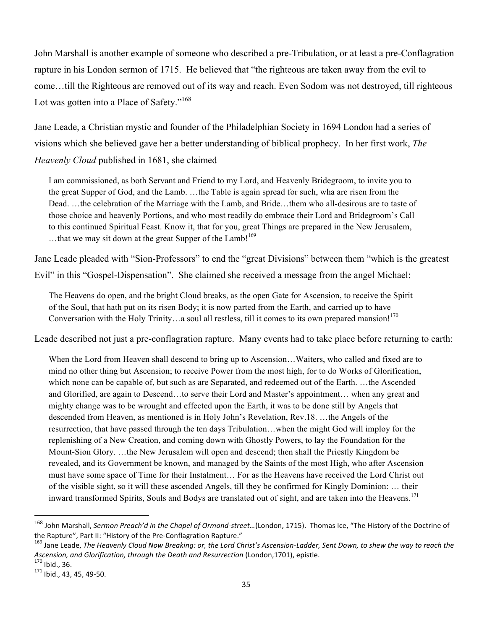John Marshall is another example of someone who described a pre-Tribulation, or at least a pre-Conflagration rapture in his London sermon of 1715. He believed that "the righteous are taken away from the evil to come…till the Righteous are removed out of its way and reach. Even Sodom was not destroyed, till righteous Lot was gotten into a Place of Safety."<sup>168</sup>

Jane Leade, a Christian mystic and founder of the Philadelphian Society in 1694 London had a series of visions which she believed gave her a better understanding of biblical prophecy. In her first work, *The Heavenly Cloud* published in 1681, she claimed

I am commissioned, as both Servant and Friend to my Lord, and Heavenly Bridegroom, to invite you to the great Supper of God, and the Lamb. …the Table is again spread for such, wha are risen from the Dead. …the celebration of the Marriage with the Lamb, and Bride…them who all-desirous are to taste of those choice and heavenly Portions, and who most readily do embrace their Lord and Bridegroom's Call to this continued Spiritual Feast. Know it, that for you, great Things are prepared in the New Jerusalem, ...that we may sit down at the great Supper of the Lamb! $169$ 

Jane Leade pleaded with "Sion-Professors" to end the "great Divisions" between them "which is the greatest Evil" in this "Gospel-Dispensation". She claimed she received a message from the angel Michael:

The Heavens do open, and the bright Cloud breaks, as the open Gate for Ascension, to receive the Spirit of the Soul, that hath put on its risen Body; it is now parted from the Earth, and carried up to have Conversation with the Holy Trinity...a soul all restless, till it comes to its own prepared mansion!<sup>170</sup>

Leade described not just a pre-conflagration rapture. Many events had to take place before returning to earth:

When the Lord from Heaven shall descend to bring up to Ascension…Waiters, who called and fixed are to mind no other thing but Ascension; to receive Power from the most high, for to do Works of Glorification, which none can be capable of, but such as are Separated, and redeemed out of the Earth. …the Ascended and Glorified, are again to Descend…to serve their Lord and Master's appointment… when any great and mighty change was to be wrought and effected upon the Earth, it was to be done still by Angels that descended from Heaven, as mentioned is in Holy John's Revelation, Rev.18. …the Angels of the resurrection, that have passed through the ten days Tribulation…when the might God will imploy for the replenishing of a New Creation, and coming down with Ghostly Powers, to lay the Foundation for the Mount-Sion Glory. …the New Jerusalem will open and descend; then shall the Priestly Kingdom be revealed, and its Government be known, and managed by the Saints of the most High, who after Ascension must have some space of Time for their Instalment… For as the Heavens have received the Lord Christ out of the visible sight, so it will these ascended Angels, till they be confirmed for Kingly Dominion: … their inward transformed Spirits, Souls and Bodys are translated out of sight, and are taken into the Heavens.<sup>171</sup>

<sup>&</sup>lt;sup>168</sup> John Marshall, Sermon Preach'd in the Chapel of Ormond-street...(London, 1715). Thomas Ice, "The History of the Doctrine of the Rapture", Part II: "History of the Pre-Conflagration Rapture." 169 Jane Leader, Sent Down, to shew the way to reach the mearch the mearch the mearch the christ's Ascension-Ladder, Sent Down, to shew the way to reach th

*Ascension, and Glorification, through the Death and Resurrection* (London,1701), epistle. <sup>170</sup> Ibid., 36. 171 Ibid., 43, 45, 49-50.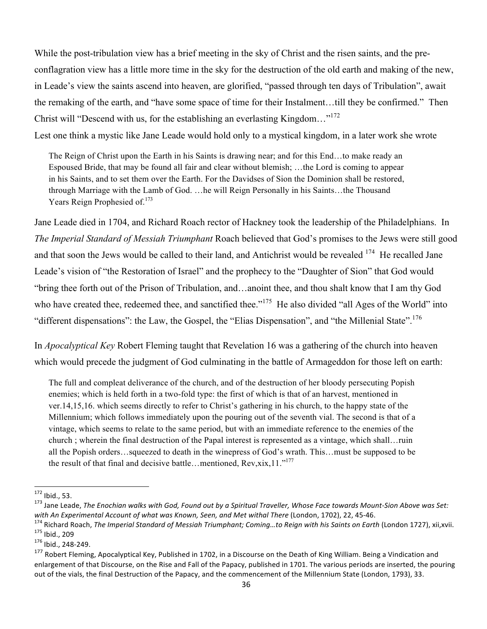While the post-tribulation view has a brief meeting in the sky of Christ and the risen saints, and the preconflagration view has a little more time in the sky for the destruction of the old earth and making of the new, in Leade's view the saints ascend into heaven, are glorified, "passed through ten days of Tribulation", await the remaking of the earth, and "have some space of time for their Instalment…till they be confirmed." Then Christ will "Descend with us, for the establishing an everlasting Kingdom..."<sup>172</sup> Lest one think a mystic like Jane Leade would hold only to a mystical kingdom, in a later work she wrote

The Reign of Christ upon the Earth in his Saints is drawing near; and for this End…to make ready an Espoused Bride, that may be found all fair and clear without blemish; …the Lord is coming to appear in his Saints, and to set them over the Earth. For the Davidses of Sion the Dominion shall be restored, through Marriage with the Lamb of God. …he will Reign Personally in his Saints…the Thousand Years Reign Prophesied of.<sup>173</sup>

Jane Leade died in 1704, and Richard Roach rector of Hackney took the leadership of the Philadelphians. In *The Imperial Standard of Messiah Triumphant* Roach believed that God's promises to the Jews were still good and that soon the Jews would be called to their land, and Antichrist would be revealed <sup>174</sup> He recalled Jane Leade's vision of "the Restoration of Israel" and the prophecy to the "Daughter of Sion" that God would "bring thee forth out of the Prison of Tribulation, and…anoint thee, and thou shalt know that I am thy God who have created thee, redeemed thee, and sanctified thee."<sup>175</sup> He also divided "all Ages of the World" into "different dispensations": the Law, the Gospel, the "Elias Dispensation", and "the Millenial State".<sup>176</sup>

In *Apocalyptical Key* Robert Fleming taught that Revelation 16 was a gathering of the church into heaven which would precede the judgment of God culminating in the battle of Armageddon for those left on earth:

The full and compleat deliverance of the church, and of the destruction of her bloody persecuting Popish enemies; which is held forth in a two-fold type: the first of which is that of an harvest, mentioned in ver.14,15,16. which seems directly to refer to Christ's gathering in his church, to the happy state of the Millennium; which follows immediately upon the pouring out of the seventh vial. The second is that of a vintage, which seems to relate to the same period, but with an immediate reference to the enemies of the church ; wherein the final destruction of the Papal interest is represented as a vintage, which shall…ruin all the Popish orders…squeezed to death in the winepress of God's wrath. This…must be supposed to be the result of that final and decisive battle…mentioned, Rev,xix,11."<sup>177</sup>

<sup>&</sup>lt;sup>172</sup> Ibid., 53.<br><sup>173</sup> Jane Leade, *The Enochian walks with God, Found out by a Spiritual Traveller, Whose Face towards Mount-Sion Above was Set:* 

with An Experimental Account of what was Known, Seen, and Met withal There (London, 1702), 22, 45-46.<br><sup>174</sup> Richard Roach, *The Imperial Standard of Messiah Triumphant; Coming...to Reign with his Saints on Earth (London 17* 

<sup>&</sup>lt;sup>177</sup> Robert Fleming, Apocalyptical Key, Published in 1702, in a Discourse on the Death of King William. Being a Vindication and enlargement of that Discourse, on the Rise and Fall of the Papacy, published in 1701. The various periods are inserted, the pouring out of the vials, the final Destruction of the Papacy, and the commencement of the Millennium State (London, 1793), 33.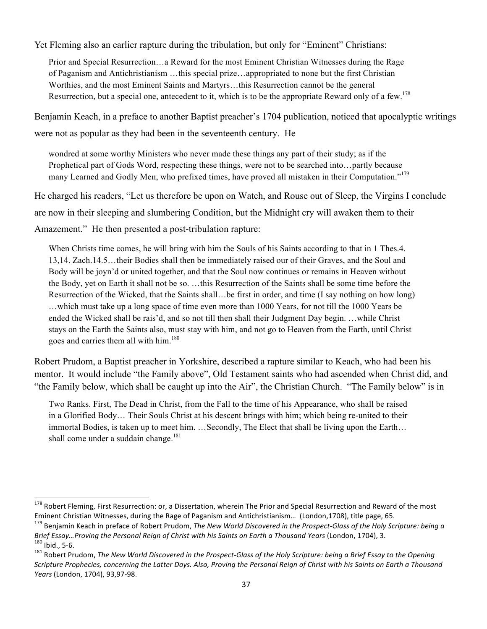Yet Fleming also an earlier rapture during the tribulation, but only for "Eminent" Christians:

Prior and Special Resurrection…a Reward for the most Eminent Christian Witnesses during the Rage of Paganism and Antichristianism …this special prize…appropriated to none but the first Christian Worthies, and the most Eminent Saints and Martyrs…this Resurrection cannot be the general Resurrection, but a special one, antecedent to it, which is to be the appropriate Reward only of a few.<sup>178</sup>

Benjamin Keach, in a preface to another Baptist preacher's 1704 publication, noticed that apocalyptic writings were not as popular as they had been in the seventeenth century. He

wondred at some worthy Ministers who never made these things any part of their study; as if the Prophetical part of Gods Word, respecting these things, were not to be searched into…partly because many Learned and Godly Men, who prefixed times, have proved all mistaken in their Computation."<sup>179</sup>

He charged his readers, "Let us therefore be upon on Watch, and Rouse out of Sleep, the Virgins I conclude

are now in their sleeping and slumbering Condition, but the Midnight cry will awaken them to their

Amazement." He then presented a post-tribulation rapture:

When Christs time comes, he will bring with him the Souls of his Saints according to that in 1 Thes.4. 13,14. Zach.14.5…their Bodies shall then be immediately raised our of their Graves, and the Soul and Body will be joyn'd or united together, and that the Soul now continues or remains in Heaven without the Body, yet on Earth it shall not be so. …this Resurrection of the Saints shall be some time before the Resurrection of the Wicked, that the Saints shall…be first in order, and time (I say nothing on how long) …which must take up a long space of time even more than 1000 Years, for not till the 1000 Years be ended the Wicked shall be rais'd, and so not till then shall their Judgment Day begin. …while Christ stays on the Earth the Saints also, must stay with him, and not go to Heaven from the Earth, until Christ goes and carries them all with him.<sup>180</sup>

Robert Prudom, a Baptist preacher in Yorkshire, described a rapture similar to Keach, who had been his mentor. It would include "the Family above", Old Testament saints who had ascended when Christ did, and "the Family below, which shall be caught up into the Air", the Christian Church. "The Family below" is in

Two Ranks. First, The Dead in Christ, from the Fall to the time of his Appearance, who shall be raised in a Glorified Body… Their Souls Christ at his descent brings with him; which being re-united to their immortal Bodies, is taken up to meet him. …Secondly, The Elect that shall be living upon the Earth… shall come under a suddain change.<sup>181</sup>

<sup>&</sup>lt;sup>178</sup> Robert Fleming, First Resurrection: or, a Dissertation, wherein The Prior and Special Resurrection and Reward of the most Eminent Christian Witnesses, during the Rage of Paganism and Antichristianism... (London,1708), title page, 65.<br><sup>179</sup> Benjamin Keach in preface of Robert Prudom, *The New World Discovered in the Prospect-Glass of the Holy* 

Brief Essay...Proving the Personal Reign of Christ with his Saints on Earth a Thousand Years (London, 1704), 3.<br><sup>180</sup> Ibid., 5-6.<br><sup>181</sup> Robert Prudom, The New World Discovered in the Prospect-Glass of the Holy Scripture: b

*Scripture%Prophecies,%concerning%the%Latter%Days.%Also,%Proving%the%Personal%Reign%of%Christ%with%his%Saints%on Earth%a%Thousand% Years (London, 1704), 93,97-98.*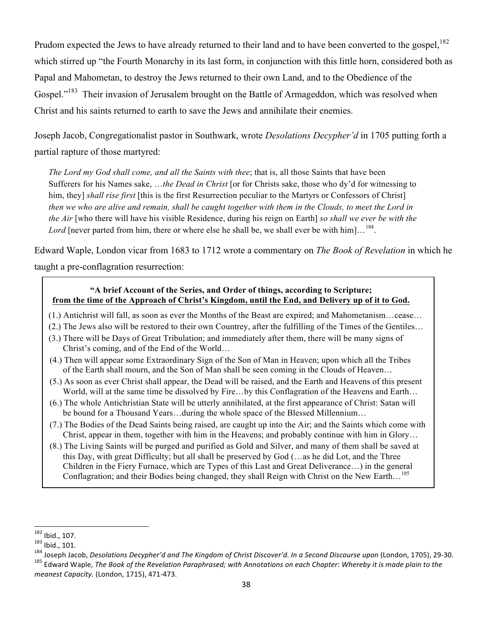Prudom expected the Jews to have already returned to their land and to have been converted to the gospel,<sup>182</sup> which stirred up "the Fourth Monarchy in its last form, in conjunction with this little horn, considered both as Papal and Mahometan, to destroy the Jews returned to their own Land, and to the Obedience of the Gospel."<sup>183</sup> Their invasion of Jerusalem brought on the Battle of Armageddon, which was resolved when Christ and his saints returned to earth to save the Jews and annihilate their enemies.

Joseph Jacob, Congregationalist pastor in Southwark, wrote *Desolations Decypher'd* in 1705 putting forth a partial rapture of those martyred:

*The Lord my God shall come, and all the Saints with thee*; that is, all those Saints that have been Sufferers for his Names sake, …*the Dead in Christ* [or for Christs sake, those who dy'd for witnessing to him, they] *shall rise first* [this is the first Resurrection peculiar to the Martyrs or Confessors of Christ] *then we who are alive and remain, shall be caught together with them in the Clouds, to meet the Lord in the Air* [who there will have his visible Residence, during his reign on Earth] *so shall we ever be with the*  Lord [never parted from him, there or where else he shall be, we shall ever be with him]...<sup>184</sup>.

Edward Waple, London vicar from 1683 to 1712 wrote a commentary on *The Book of Revelation* in which he

taught a pre-conflagration resurrection:

### **"A brief Account of the Series, and Order of things, according to Scripture; from the time of the Approach of Christ's Kingdom, until the End, and Delivery up of it to God.**

- (1.) Antichrist will fall, as soon as ever the Months of the Beast are expired; and Mahometanism…cease…
- (2.) The Jews also will be restored to their own Countrey, after the fulfilling of the Times of the Gentiles…
- (3.) There will be Days of Great Tribulation; and immediately after them, there will be many signs of Christ's coming, and of the End of the World…
- (4.) Then will appear some Extraordinary Sign of the Son of Man in Heaven; upon which all the Tribes of the Earth shall mourn, and the Son of Man shall be seen coming in the Clouds of Heaven…
- (5.) As soon as ever Christ shall appear, the Dead will be raised, and the Earth and Heavens of this present World, will at the same time be dissolved by Fire...by this Conflagration of the Heavens and Earth...
- (6.) The whole Antichristian State will be utterly annihilated, at the first appearance of Christ: Satan will be bound for a Thousand Years…during the whole space of the Blessed Millennium…
- (7.) The Bodies of the Dead Saints being raised, are caught up into the Air; and the Saints which come with Christ, appear in them, together with him in the Heavens; and probably continue with him in Glory…
- (8.) The Living Saints will be purged and purified as Gold and Silver, and many of them shall be saved at this Day, with great Difficulty; but all shall be preserved by God (…as he did Lot, and the Three Children in the Fiery Furnace, which are Types of this Last and Great Deliverance…) in the general Conflagration; and their Bodies being changed, they shall Reign with Christ on the New Earth…<sup>185</sup>

<sup>!!!!!!!!!!!!!!!!!!!!!!!!!!!!!!!!!!!!!!!!!!!!!!!!!!!!!!!!!!!!</sup>

<sup>&</sup>lt;sup>182</sup> lbid., 107.<br><sup>183</sup> lbid., 101.<br><sup>184</sup> Joseph Jacob, Desolations Decypher'd and The Kingdom of Christ Discover'd. In a Second Discourse upon (London, 1705), 29-30.<br><sup>185</sup> Edward Waple, *The Book of the Revelation Paraphr*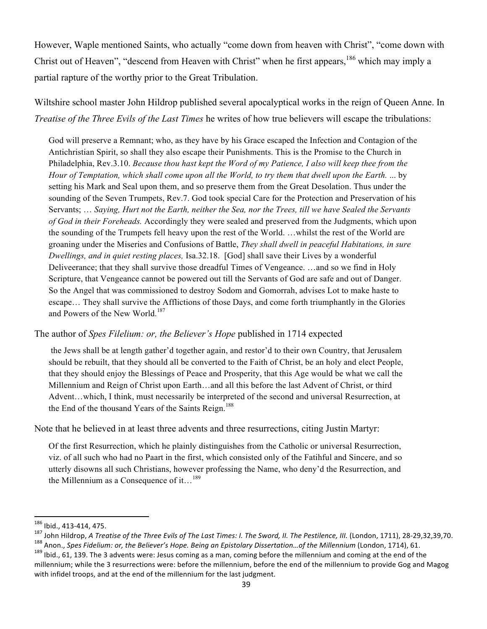However, Waple mentioned Saints, who actually "come down from heaven with Christ", "come down with Christ out of Heaven", "descend from Heaven with Christ" when he first appears, <sup>186</sup> which may imply a partial rapture of the worthy prior to the Great Tribulation.

Wiltshire school master John Hildrop published several apocalyptical works in the reign of Queen Anne. In *Treatise of the Three Evils of the Last Times* he writes of how true believers will escape the tribulations:

God will preserve a Remnant; who, as they have by his Grace escaped the Infection and Contagion of the Antichristian Spirit, so shall they also escape their Punishments. This is the Promise to the Church in Philadelphia, Rev.3.10. *Because thou hast kept the Word of my Patience, I also will keep thee from the Hour of Temptation, which shall come upon all the World, to try them that dwell upon the Earth.* ... by setting his Mark and Seal upon them, and so preserve them from the Great Desolation. Thus under the sounding of the Seven Trumpets, Rev.7. God took special Care for the Protection and Preservation of his Servants; … *Saying, Hurt not the Earth, neither the Sea, nor the Trees, till we have Sealed the Servants of God in their Foreheads.* Accordingly they were sealed and preserved from the Judgments, which upon the sounding of the Trumpets fell heavy upon the rest of the World. …whilst the rest of the World are groaning under the Miseries and Confusions of Battle, *They shall dwell in peaceful Habitations, in sure Dwellings, and in quiet resting places,* Isa.32.18. [God] shall save their Lives by a wonderful Deliveerance; that they shall survive those dreadful Times of Vengeance. …and so we find in Holy Scripture, that Vengeance cannot be powered out till the Servants of God are safe and out of Danger. So the Angel that was commissioned to destroy Sodom and Gomorrah, advises Lot to make haste to escape… They shall survive the Afflictions of those Days, and come forth triumphantly in the Glories and Powers of the New World.<sup>187</sup>

#### The author of *Spes Filelium: or, the Believer's Hope* published in 1714 expected

the Jews shall be at length gather'd together again, and restor'd to their own Country, that Jerusalem should be rebuilt, that they should all be converted to the Faith of Christ, be an holy and elect People, that they should enjoy the Blessings of Peace and Prosperity, that this Age would be what we call the Millennium and Reign of Christ upon Earth…and all this before the last Advent of Christ, or third Advent…which, I think, must necessarily be interpreted of the second and universal Resurrection, at the End of the thousand Years of the Saints Reign.<sup>188</sup>

Note that he believed in at least three advents and three resurrections, citing Justin Martyr:

Of the first Resurrection, which he plainly distinguishes from the Catholic or universal Resurrection, viz. of all such who had no Paart in the first, which consisted only of the Fatihful and Sincere, and so utterly disowns all such Christians, however professing the Name, who deny'd the Resurrection, and the Millennium as a Consequence of it...<sup>189</sup>

<sup>186</sup> Ibid., 413-414, 475.

<sup>&</sup>lt;sup>187</sup> John Hildrop, *A Treatise of the Three Evils of The Last Times: I. The Sword, II. The Pestilence, III. (London, 1711), 28-29,32,39,70.<br><sup>188</sup> Anon., <i>Spes Fidelium: or, the Believer's Hope. Being an Epistolary Disser* 

millennium; while the 3 resurrections were: before the millennium, before the end of the millennium to provide Gog and Magog with infidel troops, and at the end of the millennium for the last judgment.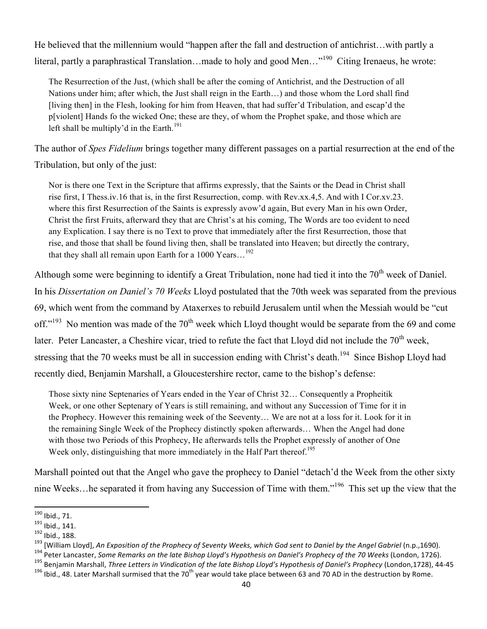He believed that the millennium would "happen after the fall and destruction of antichrist…with partly a literal, partly a paraphrastical Translation...made to holy and good Men..."<sup>190</sup> Citing Irenaeus, he wrote:

The Resurrection of the Just, (which shall be after the coming of Antichrist, and the Destruction of all Nations under him; after which, the Just shall reign in the Earth…) and those whom the Lord shall find [living then] in the Flesh, looking for him from Heaven, that had suffer'd Tribulation, and escap'd the p[violent] Hands fo the wicked One; these are they, of whom the Prophet spake, and those which are left shall be multiply'd in the Earth.<sup>191</sup>

The author of *Spes Fidelium* brings together many different passages on a partial resurrection at the end of the

Tribulation, but only of the just:

Nor is there one Text in the Scripture that affirms expressly, that the Saints or the Dead in Christ shall rise first, I Thess.iv.16 that is, in the first Resurrection, comp. with Rev.xx.4,5. And with I Cor.xv.23. where this first Resurrection of the Saints is expressly avow'd again, But every Man in his own Order, Christ the first Fruits, afterward they that are Christ's at his coming, The Words are too evident to need any Explication. I say there is no Text to prove that immediately after the first Resurrection, those that rise, and those that shall be found living then, shall be translated into Heaven; but directly the contrary, that they shall all remain upon Earth for a  $1000$  Years.  $192$ 

Although some were beginning to identify a Great Tribulation, none had tied it into the 70<sup>th</sup> week of Daniel. In his *Dissertation on Daniel's 70 Weeks* Lloyd postulated that the 70th week was separated from the previous 69, which went from the command by Ataxerxes to rebuild Jerusalem until when the Messiah would be "cut off."<sup>193</sup> No mention was made of the 70<sup>th</sup> week which Lloyd thought would be separate from the 69 and come later. Peter Lancaster, a Cheshire vicar, tried to refute the fact that Lloyd did not include the 70<sup>th</sup> week, stressing that the 70 weeks must be all in succession ending with Christ's death.<sup>194</sup> Since Bishop Lloyd had recently died, Benjamin Marshall, a Gloucestershire rector, came to the bishop's defense:

Those sixty nine Septenaries of Years ended in the Year of Christ 32… Consequently a Propheitik Week, or one other Septenary of Years is still remaining, and without any Succession of Time for it in the Prophecy. However this remaining week of the Seeventy… We are not at a loss for it. Look for it in the remaining Single Week of the Prophecy distinctly spoken afterwards… When the Angel had done with those two Periods of this Prophecy, He afterwards tells the Prophet expressly of another of One Week only, distinguishing that more immediately in the Half Part thereof.<sup>195</sup>

Marshall pointed out that the Angel who gave the prophecy to Daniel "detach'd the Week from the other sixty nine Weeks...he separated it from having any Succession of Time with them."<sup>196</sup> This set up the view that the

<sup>&</sup>lt;sup>190</sup> Ibid., 71.<br><sup>191</sup> Ibid., 141.<br><sup>192</sup> Ibid., 188.<br><sup>193</sup> [William Lloyd], *An Exposition of the Prophecy of Seventy Weeks, which God sent to Daniel by the Angel Gabriel (n.p.,1690).<br><sup>193</sup> [William Lloyd], <i>An Exposition*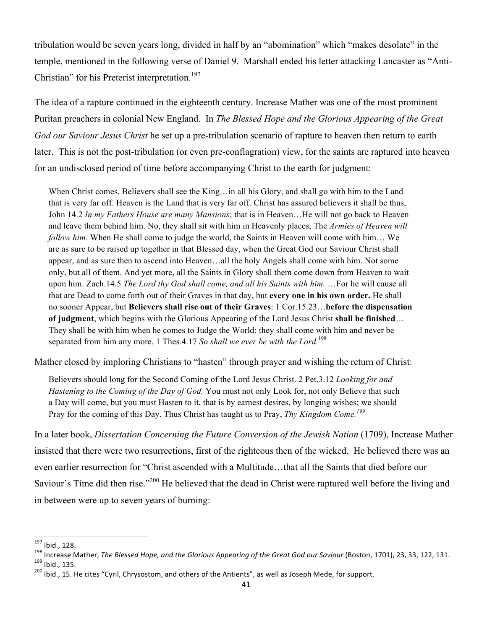tribulation would be seven years long, divided in half by an "abomination" which "makes desolate" in the temple, mentioned in the following verse of Daniel 9. Marshall ended his letter attacking Lancaster as "Anti-Christian" for his Preterist interpretation.<sup>197</sup>

The idea of a rapture continued in the eighteenth century. Increase Mather was one of the most prominent Puritan preachers in colonial New England. In *The Blessed Hope and the Glorious Appearing of the Great God our Saviour Jesus Christ* he set up a pre-tribulation scenario of rapture to heaven then return to earth later. This is not the post-tribulation (or even pre-conflagration) view, for the saints are raptured into heaven for an undisclosed period of time before accompanying Christ to the earth for judgment:

When Christ comes, Believers shall see the King... in all his Glory, and shall go with him to the Land that is very far off. Heaven is the Land that is very far off. Christ has assured believers it shall be thus, John 14.2 *In my Fathers House are many Mansions*; that is in Heaven…He will not go back to Heaven and leave them behind him. No, they shall sit with him in Heavenly places, The *Armies of Heaven will follow him.* When He shall come to judge the world, the Saints in Heaven will come with him... We are as sure to be raised up together in that Blessed day, when the Great God our Saviour Christ shall appear, and as sure then to ascend into Heaven…all the holy Angels shall come with him. Not some only, but all of them. And yet more, all the Saints in Glory shall them come down from Heaven to wait upon him. Zach.14.5 *The Lord thy God shall come, and all his Saints with him.* …For he will cause all that are Dead to come forth out of their Graves in that day, but **every one in his own order.** He shall no sooner Appear, but **Believers shall rise out of their Graves**: 1 Cor.15.23…**before the dispensation of judgment**, which begins with the Glorious Appearing of the Lord Jesus Christ **shall be finished**… They shall be with him when he comes to Judge the World: they shall come with him and never be separated from him any more. 1 Thes.4.17 *So shall we ever be with the Lord.*<sup>198</sup>

Mather closed by imploring Christians to "hasten" through prayer and wishing the return of Christ:

Believers should long for the Second Coming of the Lord Jesus Christ. 2 Pet.3.12 *Looking for and Hastening to the Coming of the Day of God.* You must not only Look for, not only Believe that such a Day will come, but you must Hasten to it, that is by earnest desires, by longing wishes; we should Pray for the coming of this Day. Thus Christ has taught us to Pray, *Thy Kingdom Come.<sup>199</sup>*

In a later book, *Dissertation Concerning the Future Conversion of the Jewish Nation* (1709), Increase Mather insisted that there were two resurrections, first of the righteous then of the wicked. He believed there was an even earlier resurrection for "Christ ascended with a Multitude…that all the Saints that died before our Saviour's Time did then rise."<sup>200</sup> He believed that the dead in Christ were raptured well before the living and in between were up to seven years of burning:

<sup>&</sup>lt;sup>197</sup> Ibid., 128.<br><sup>198</sup> Increase Mather, *The Blessed Hope, and the Glorious Appearing of the Great God our Saviour (Boston, 1701), 23, 33, 122, 131.<br><sup>199</sup> Ibid., 135.<br><sup>200</sup> Ibid., 15. He cites "Cyril, Chrysostom, and othe*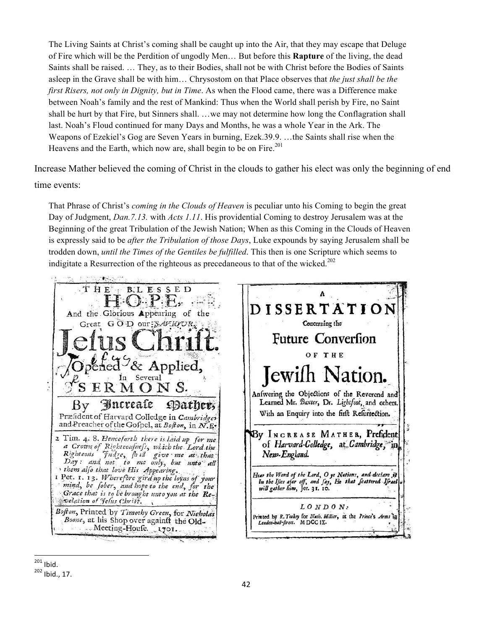The Living Saints at Christ's coming shall be caught up into the Air, that they may escape that Deluge of Fire which will be the Perdition of ungodly Men… But before this **Rapture** of the living, the dead Saints shall be raised. … They, as to their Bodies, shall not be with Christ before the Bodies of Saints asleep in the Grave shall be with him… Chrysostom on that Place observes that *the just shall be the first Risers, not only in Dignity, but in Time*. As when the Flood came, there was a Difference make between Noah's family and the rest of Mankind: Thus when the World shall perish by Fire, no Saint shall be hurt by that Fire, but Sinners shall. …we may not determine how long the Conflagration shall last. Noah's Floud continued for many Days and Months, he was a whole Year in the Ark. The Weapons of Ezekiel's Gog are Seven Years in burning, Ezek.39.9. …the Saints shall rise when the Heavens and the Earth, which now are, shall begin to be on Fire.<sup>201</sup>

Increase Mather believed the coming of Christ in the clouds to gather his elect was only the beginning of end time events:

That Phrase of Christ's *coming in the Clouds of Heaven* is peculiar unto his Coming to begin the great Day of Judgment, *Dan.7.13.* with *Acts 1.11*. His providential Coming to destroy Jerusalem was at the Beginning of the great Tribulation of the Jewish Nation; When as this Coming in the Clouds of Heaven is expressly said to be *after the Tribulation of those Days*, Luke expounds by saying Jerusalem shall be trodden down, *until the Times of the Gentiles be fulfilled*. This then is one Scripture which seems to indigitate a Resurrection of the righteous as precedaneous to that of the wicked.<sup>202</sup>

THE B.L ES **SED** A DISSERTATIO And the Glorious Appearing of the Concerning the Great GOD our: SAVIQUR, **Future Conversion** OF THE Applied. lewi ation. In ERMONS. Anfwering the Objections of the Reverend and Learned Mr. Baxter, Dr. Lightfoot, and others.  $\mathbf{B}\mathbf{v}$ Dather, With an Enquiry into the firft Refurrection. Præfident of Harvard Colledge in Cambridges and Preacher of the Gofpel, at Bofton, in N.E. By INCREASE MATHER, Prefident 2 Tim. 4. 8. Henceforth there is laid up for me. of Harvard-Colledge, at Cambridge, in a Crown of Rightcoufnefs, which the Lord the Righteons Judge, hell give me at that New-England. them also that love His Appearing. Hear the Word of the Lord, O ye Nations, and declare if<br>in the Ifles afar off, and fay, He that feattered Ifrael I Pet. 1. 13. Wherefore gird up the loyns of your mind, be fober, and hope to the end, for the<br>Grace that is to be brought unto you at the Rewill gather him, Jer. 31. 10. exclation of Jelus Christ.  $LONDON:$ Bofton, Printed by Timothy Green, for Nicholas Printed by R. Tookey for Nath. Killier, at the Prince's Arms in Leaden-ball-firest. M DCC 1X. Boone, at his Shop over againft the Old-Meeting-House 1701.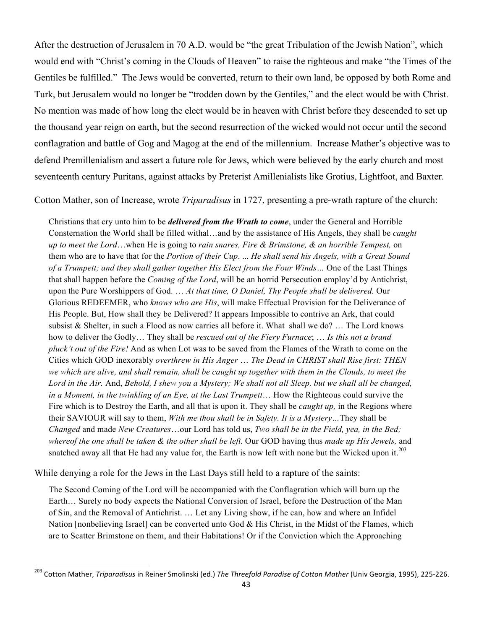After the destruction of Jerusalem in 70 A.D. would be "the great Tribulation of the Jewish Nation", which would end with "Christ's coming in the Clouds of Heaven" to raise the righteous and make "the Times of the Gentiles be fulfilled." The Jews would be converted, return to their own land, be opposed by both Rome and Turk, but Jerusalem would no longer be "trodden down by the Gentiles," and the elect would be with Christ. No mention was made of how long the elect would be in heaven with Christ before they descended to set up the thousand year reign on earth, but the second resurrection of the wicked would not occur until the second conflagration and battle of Gog and Magog at the end of the millennium. Increase Mather's objective was to defend Premillenialism and assert a future role for Jews, which were believed by the early church and most seventeenth century Puritans, against attacks by Preterist Amillenialists like Grotius, Lightfoot, and Baxter.

Cotton Mather, son of Increase, wrote *Triparadisus* in 1727, presenting a pre-wrath rapture of the church:

Christians that cry unto him to be *delivered from the Wrath to come*, under the General and Horrible Consternation the World shall be filled withal…and by the assistance of His Angels, they shall be *caught up to meet the Lord*…when He is going to *rain snares, Fire & Brimstone, & an horrible Tempest,* on them who are to have that for the *Portion of their Cup*. ... *He shall send his Angels, with a Great Sound of a Trumpett; and they shall gather together His Elect from the Four Winds…* One of the Last Things that shall happen before the *Coming of the Lord*, will be an horrid Persecution employ'd by Antichrist, upon the Pure Worshippers of God. … *At that time, O Daniel, Thy People shall be delivered.* Our Glorious REDEEMER, who *knows who are His*, will make Effectual Provision for the Deliverance of His People. But, How shall they be Delivered? It appears Impossible to contrive an Ark, that could subsist  $\&$  Shelter, in such a Flood as now carries all before it. What shall we do? ... The Lord knows how to deliver the Godly… They shall be *rescued out of the Fiery Furnace*; … *Is this not a brand pluck't out of the Fire!* And as when Lot was to be saved from the Flames of the Wrath to come on the Cities which GOD inexorably *overthrew in His Anger* … *The Dead in CHRIST shall Rise first: THEN we which are alive, and shall remain, shall be caught up together with them in the Clouds, to meet the Lord in the Air.* And, *Behold, I shew you a Mystery; We shall not all Sleep, but we shall all be changed, in a Moment, in the twinkling of an Eye, at the Last Trumpett*… How the Righteous could survive the Fire which is to Destroy the Earth, and all that is upon it. They shall be *caught up,* in the Regions where their SAVIOUR will say to them, *With me thou shall be in Safety. It is a Mystery…*They shall be *Changed* and made *New Creatures*…our Lord has told us, *Two shall be in the Field, yea, in the Bed; whereof the one shall be taken & the other shall be left.* Our GOD having thus *made up His Jewels,* and snatched away all that He had any value for, the Earth is now left with none but the Wicked upon it.<sup>203</sup>

While denying a role for the Jews in the Last Days still held to a rapture of the saints:

!!!!!!!!!!!!!!!!!!!!!!!!!!!!!!!!!!!!!!!!!!!!!!!!!!!!!!!!!!!!

The Second Coming of the Lord will be accompanied with the Conflagration which will burn up the Earth… Surely no body expects the National Conversion of Israel, before the Destruction of the Man of Sin, and the Removal of Antichrist. … Let any Living show, if he can, how and where an Infidel Nation [nonbelieving Israel] can be converted unto God & His Christ, in the Midst of the Flames, which are to Scatter Brimstone on them, and their Habitations! Or if the Conviction which the Approaching

<sup>&</sup>lt;sup>203</sup> Cotton Mather, *Triparadisus* in Reiner Smolinski (ed.) *The Threefold Paradise of Cotton Mather* (Univ Georgia, 1995), 225-226.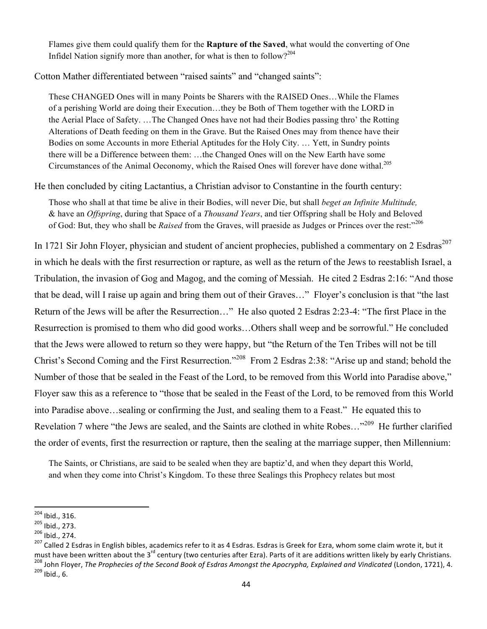Flames give them could qualify them for the **Rapture of the Saved**, what would the converting of One Infidel Nation signify more than another, for what is then to follow?<sup>204</sup>

Cotton Mather differentiated between "raised saints" and "changed saints":

These CHANGED Ones will in many Points be Sharers with the RAISED Ones…While the Flames of a perishing World are doing their Execution…they be Both of Them together with the LORD in the Aerial Place of Safety. …The Changed Ones have not had their Bodies passing thro' the Rotting Alterations of Death feeding on them in the Grave. But the Raised Ones may from thence have their Bodies on some Accounts in more Etherial Aptitudes for the Holy City. … Yett, in Sundry points there will be a Difference between them: …the Changed Ones will on the New Earth have some Circumstances of the Animal Oeconomy, which the Raised Ones will forever have done withal.<sup>205</sup>

He then concluded by citing Lactantius, a Christian advisor to Constantine in the fourth century:

Those who shall at that time be alive in their Bodies, will never Die, but shall *beget an Infinite Multitude,*  & have an *Offspring*, during that Space of a *Thousand Years*, and tier Offspring shall be Holy and Beloved of God: But, they who shall be *Raised* from the Graves, will praeside as Judges or Princes over the rest:"<sup>206</sup>

In 1721 Sir John Floyer, physician and student of ancient prophecies, published a commentary on 2 Esdras<sup>207</sup> in which he deals with the first resurrection or rapture, as well as the return of the Jews to reestablish Israel, a Tribulation, the invasion of Gog and Magog, and the coming of Messiah. He cited 2 Esdras 2:16: "And those that be dead, will I raise up again and bring them out of their Graves…" Floyer's conclusion is that "the last Return of the Jews will be after the Resurrection…" He also quoted 2 Esdras 2:23-4: "The first Place in the Resurrection is promised to them who did good works…Others shall weep and be sorrowful." He concluded that the Jews were allowed to return so they were happy, but "the Return of the Ten Tribes will not be till Christ's Second Coming and the First Resurrection."208 From 2 Esdras 2:38: "Arise up and stand; behold the Number of those that be sealed in the Feast of the Lord, to be removed from this World into Paradise above," Floyer saw this as a reference to "those that be sealed in the Feast of the Lord, to be removed from this World into Paradise above…sealing or confirming the Just, and sealing them to a Feast." He equated this to Revelation 7 where "the Jews are sealed, and the Saints are clothed in white Robes…"209 He further clarified the order of events, first the resurrection or rapture, then the sealing at the marriage supper, then Millennium:

The Saints, or Christians, are said to be sealed when they are baptiz'd, and when they depart this World, and when they come into Christ's Kingdom. To these three Sealings this Prophecy relates but most

<sup>&</sup>lt;sup>204</sup> Ibid., 316.<br><sup>205</sup> Ibid., 273.<br><sup>206</sup> Ibid., 274.<br><sup>207</sup> Called 2 Esdras in English bibles, academics refer to it as 4 Esdras. Esdras is Greek for Ezra, whom some claim wrote it, but it must have been written about the 3<sup>rd</sup> century (two centuries after Ezra). Parts of it are additions written likely by early Christians.<br><sup>208</sup> John Floyer, *The Prophecies of the Second Book of Esdras Amongst the Apocrypha*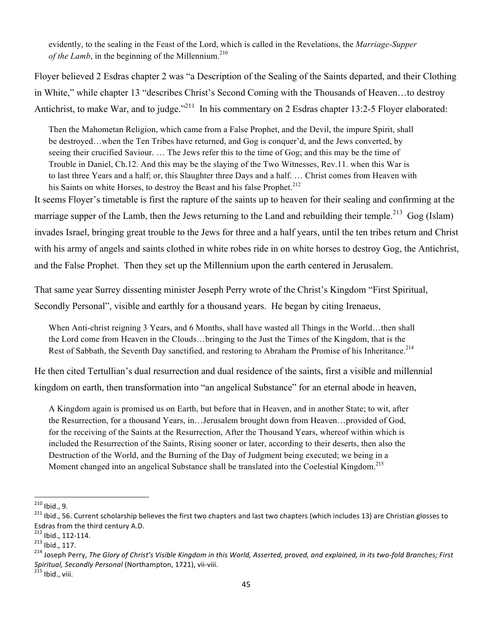evidently, to the sealing in the Feast of the Lord, which is called in the Revelations, the *Marriage-Supper of the Lamb*, in the beginning of the Millennium.<sup>210</sup>

Floyer believed 2 Esdras chapter 2 was "a Description of the Sealing of the Saints departed, and their Clothing in White," while chapter 13 "describes Christ's Second Coming with the Thousands of Heaven…to destroy Antichrist, to make War, and to judge."<sup>211</sup> In his commentary on 2 Esdras chapter 13:2-5 Floyer elaborated:

Then the Mahometan Religion, which came from a False Prophet, and the Devil, the impure Spirit, shall be destroyed…when the Ten Tribes have returned, and Gog is conquer'd, and the Jews converted, by seeing their crucified Saviour. … The Jews refer this to the time of Gog; and this may be the time of Trouble in Daniel, Ch.12. And this may be the slaying of the Two Witnesses, Rev.11. when this War is to last three Years and a half; or, this Slaughter three Days and a half. … Christ comes from Heaven with his Saints on white Horses, to destroy the Beast and his false Prophet.<sup>212</sup>

It seems Floyer's timetable is first the rapture of the saints up to heaven for their sealing and confirming at the marriage supper of the Lamb, then the Jews returning to the Land and rebuilding their temple.<sup>213</sup> Gog (Islam) invades Israel, bringing great trouble to the Jews for three and a half years, until the ten tribes return and Christ with his army of angels and saints clothed in white robes ride in on white horses to destroy Gog, the Antichrist, and the False Prophet. Then they set up the Millennium upon the earth centered in Jerusalem.

That same year Surrey dissenting minister Joseph Perry wrote of the Christ's Kingdom "First Spiritual, Secondly Personal", visible and earthly for a thousand years. He began by citing Irenaeus,

When Anti-christ reigning 3 Years, and 6 Months, shall have wasted all Things in the World…then shall the Lord come from Heaven in the Clouds…bringing to the Just the Times of the Kingdom, that is the Rest of Sabbath, the Seventh Day sanctified, and restoring to Abraham the Promise of his Inheritance.<sup>214</sup>

He then cited Tertullian's dual resurrection and dual residence of the saints, first a visible and millennial kingdom on earth, then transformation into "an angelical Substance" for an eternal abode in heaven,

A Kingdom again is promised us on Earth, but before that in Heaven, and in another State; to wit, after the Resurrection, for a thousand Years, in…Jerusalem brought down from Heaven…provided of God, for the receiving of the Saints at the Resurrection, After the Thousand Years, whereof within which is included the Resurrection of the Saints, Rising sooner or later, according to their deserts, then also the Destruction of the World, and the Burning of the Day of Judgment being executed; we being in a Moment changed into an angelical Substance shall be translated into the Coelestial Kingdom.<sup>215</sup>

<sup>&</sup>lt;sup>210</sup> Ibid., 9.<br><sup>211</sup> Ibid., 56. Current scholarship believes the first two chapters and last two chapters (which includes 13) are Christian glosses to Esdras from the third century A.D.  $212$  lbid., 112-114.

<sup>213</sup> Ibid., 112-114.<br><sup>213</sup> Ibid., 117.<br><sup>214</sup> Joseph Perry, *The Glory of Christ's Visible Kingdom in this World, Asserted, proved, and explained, in its two-fold Branches; First Spiritual, Secondly Personal* (Northampton, 1721), vii-viii. <sup>215</sup> Ibid., viii.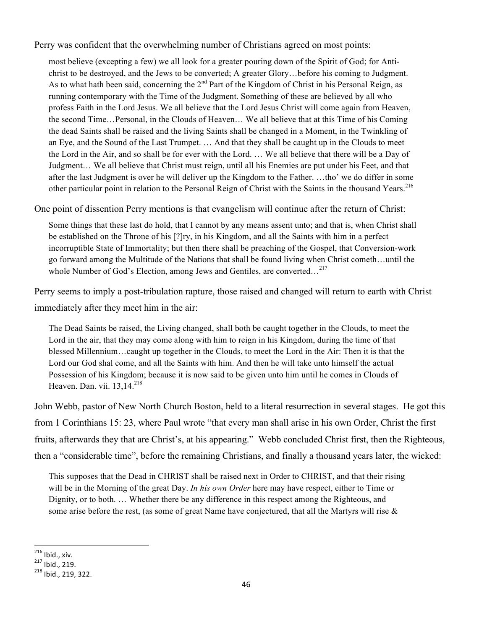Perry was confident that the overwhelming number of Christians agreed on most points:

most believe (excepting a few) we all look for a greater pouring down of the Spirit of God; for Antichrist to be destroyed, and the Jews to be converted; A greater Glory…before his coming to Judgment. As to what hath been said, concerning the  $2<sup>nd</sup>$  Part of the Kingdom of Christ in his Personal Reign, as running contemporary with the Time of the Judgment. Something of these are believed by all who profess Faith in the Lord Jesus. We all believe that the Lord Jesus Christ will come again from Heaven, the second Time…Personal, in the Clouds of Heaven… We all believe that at this Time of his Coming the dead Saints shall be raised and the living Saints shall be changed in a Moment, in the Twinkling of an Eye, and the Sound of the Last Trumpet. … And that they shall be caught up in the Clouds to meet the Lord in the Air, and so shall be for ever with the Lord. … We all believe that there will be a Day of Judgment… We all believe that Christ must reign, until all his Enemies are put under his Feet, and that after the last Judgment is over he will deliver up the Kingdom to the Father. …tho' we do differ in some other particular point in relation to the Personal Reign of Christ with the Saints in the thousand Years.<sup>216</sup>

One point of dissention Perry mentions is that evangelism will continue after the return of Christ:

Some things that these last do hold, that I cannot by any means assent unto; and that is, when Christ shall be established on the Throne of his [?]ry, in his Kingdom, and all the Saints with him in a perfect incorruptible State of Immortality; but then there shall be preaching of the Gospel, that Conversion-work go forward among the Multitude of the Nations that shall be found living when Christ cometh…until the whole Number of God's Election, among Jews and Gentiles, are converted...<sup>217</sup>

Perry seems to imply a post-tribulation rapture, those raised and changed will return to earth with Christ immediately after they meet him in the air:

The Dead Saints be raised, the Living changed, shall both be caught together in the Clouds, to meet the Lord in the air, that they may come along with him to reign in his Kingdom, during the time of that blessed Millennium…caught up together in the Clouds, to meet the Lord in the Air: Then it is that the Lord our God shal come, and all the Saints with him. And then he will take unto himself the actual Possession of his Kingdom; because it is now said to be given unto him until he comes in Clouds of Heaven. Dan. vii.  $13,14^{218}$ 

John Webb, pastor of New North Church Boston, held to a literal resurrection in several stages. He got this from 1 Corinthians 15: 23, where Paul wrote "that every man shall arise in his own Order, Christ the first fruits, afterwards they that are Christ's, at his appearing." Webb concluded Christ first, then the Righteous, then a "considerable time", before the remaining Christians, and finally a thousand years later, the wicked:

This supposes that the Dead in CHRIST shall be raised next in Order to CHRIST, and that their rising will be in the Morning of the great Day. *In his own Order* here may have respect, either to Time or Dignity, or to both. … Whether there be any difference in this respect among the Righteous, and some arise before the rest, (as some of great Name have conjectured, that all the Martyrs will rise  $\&$ 

 $216$  Ibid., xiv.

 $^{217}$  Ibid., 219.<br> $^{218}$  Ibid., 219, 322.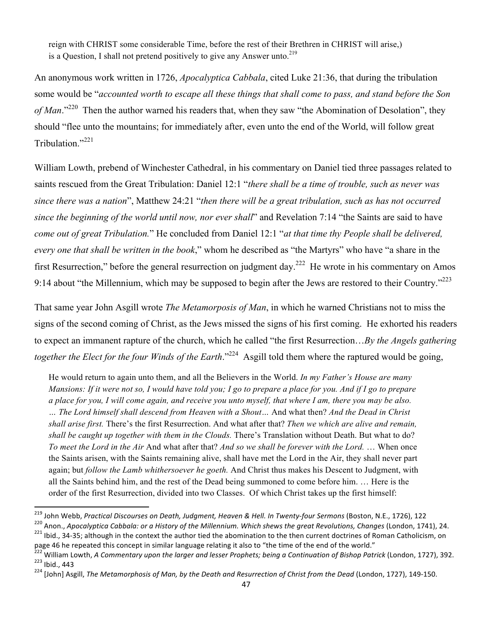reign with CHRIST some considerable Time, before the rest of their Brethren in CHRIST will arise,) is a Question, I shall not pretend positively to give any Answer unto.<sup>219</sup>

An anonymous work written in 1726, *Apocalyptica Cabbala*, cited Luke 21:36, that during the tribulation some would be "*accounted worth to escape all these things that shall come to pass, and stand before the Son of Man*."<sup>220</sup> Then the author warned his readers that, when they saw "the Abomination of Desolation", they should "flee unto the mountains; for immediately after, even unto the end of the World, will follow great Tribulation."<sup>221</sup>

William Lowth, prebend of Winchester Cathedral, in his commentary on Daniel tied three passages related to saints rescued from the Great Tribulation: Daniel 12:1 "*there shall be a time of trouble, such as never was since there was a nation*", Matthew 24:21 "*then there will be a great tribulation, such as has not occurred since the beginning of the world until now, nor ever shall*" and Revelation 7:14 "the Saints are said to have *come out of great Tribulation.*" He concluded from Daniel 12:1 "*at that time thy People shall be delivered, every one that shall be written in the book*," whom he described as "the Martyrs" who have "a share in the first Resurrection," before the general resurrection on judgment day.<sup>222</sup> He wrote in his commentary on Amos 9:14 about "the Millennium, which may be supposed to begin after the Jews are restored to their Country."<sup>223</sup>

That same year John Asgill wrote *The Metamorposis of Man*, in which he warned Christians not to miss the signs of the second coming of Christ, as the Jews missed the signs of his first coming. He exhorted his readers to expect an immanent rapture of the church, which he called "the first Resurrection…*By the Angels gathering together the Elect for the four Winds of the Earth*."<sup>224</sup> Asgill told them where the raptured would be going,

He would return to again unto them, and all the Believers in the World. *In my Father's House are many Mansions: If it were not so, I would have told you; I go to prepare a place for you. And if I go to prepare a place for you, I will come again, and receive you unto myself, that where I am, there you may be also. … The Lord himself shall descend from Heaven with a Shout…* And what then? *And the Dead in Christ shall arise first.* There's the first Resurrection. And what after that? *Then we which are alive and remain, shall be caught up together with them in the Clouds.* There's Translation without Death. But what to do? *To meet the Lord in the Air* And what after that? *And so we shall be forever with the Lord.* … When once the Saints arisen, with the Saints remaining alive, shall have met the Lord in the Air, they shall never part again; but *follow the Lamb whithersoever he goeth.* And Christ thus makes his Descent to Judgment, with all the Saints behind him, and the rest of the Dead being summoned to come before him. … Here is the order of the first Resurrection, divided into two Classes. Of which Christ takes up the first himself:

<sup>&</sup>lt;sup>219</sup> John Webb, *Practical Discourses on Death, Judgment, Heaven & Hell. In Twenty-four Sermons* (Boston, N.E., 1726), 122<br><sup>220</sup> Anon., *Apocalyptica Cabbala: or a History of the Millennium. Which shews the great Revolut* 

page 46 he repeated this concept in similar language relating it also to "the time of the end of the world."

<sup>&</sup>lt;sup>222</sup> William Lowth, A Commentary upon the larger and lesser Prophets; being a Continuation of Bishop Patrick (London, 1727), 392.<br><sup>223</sup> Ibid., 443<br><sup>224</sup> [John] Asgill, *The Metamorphosis of Man, by the Death and Resurrect*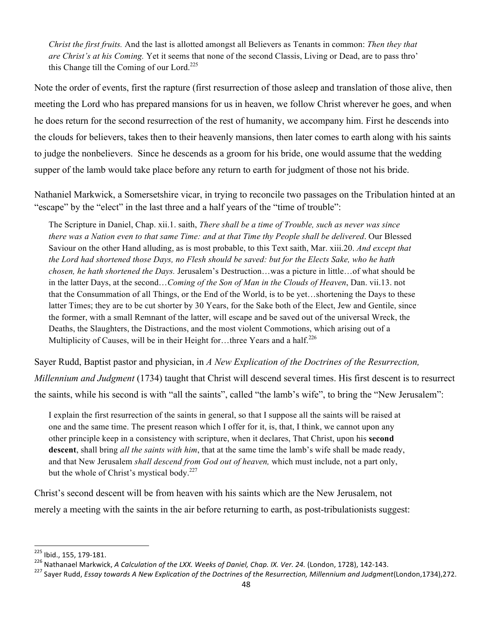*Christ the first fruits.* And the last is allotted amongst all Believers as Tenants in common: *Then they that are Christ's at his Coming.* Yet it seems that none of the second Classis, Living or Dead, are to pass thro' this Change till the Coming of our Lord.<sup>225</sup>

Note the order of events, first the rapture (first resurrection of those asleep and translation of those alive, then meeting the Lord who has prepared mansions for us in heaven, we follow Christ wherever he goes, and when he does return for the second resurrection of the rest of humanity, we accompany him. First he descends into the clouds for believers, takes then to their heavenly mansions, then later comes to earth along with his saints to judge the nonbelievers. Since he descends as a groom for his bride, one would assume that the wedding supper of the lamb would take place before any return to earth for judgment of those not his bride.

Nathaniel Markwick, a Somersetshire vicar, in trying to reconcile two passages on the Tribulation hinted at an "escape" by the "elect" in the last three and a half years of the "time of trouble":

The Scripture in Daniel, Chap. xii.1. saith, *There shall be a time of Trouble, such as never was since there was a Nation even to that same Time: and at that Time thy People shall be delivered*. Our Blessed Saviour on the other Hand alluding, as is most probable, to this Text saith, Mar. xiii.20. *And except that the Lord had shortened those Days, no Flesh should be saved: but for the Elects Sake, who he hath chosen, he hath shortened the Days.* Jerusalem's Destruction…was a picture in little…of what should be in the latter Days, at the second…*Coming of the Son of Man in the Clouds of Heaven*, Dan. vii.13. not that the Consummation of all Things, or the End of the World, is to be yet…shortening the Days to these latter Times; they are to be cut shorter by 30 Years, for the Sake both of the Elect, Jew and Gentile, since the former, with a small Remnant of the latter, will escape and be saved out of the universal Wreck, the Deaths, the Slaughters, the Distractions, and the most violent Commotions, which arising out of a Multiplicity of Causes, will be in their Height for...three Years and a half.<sup>226</sup>

Sayer Rudd, Baptist pastor and physician, in *A New Explication of the Doctrines of the Resurrection, Millennium and Judgment* (1734) taught that Christ will descend several times. His first descent is to resurrect the saints, while his second is with "all the saints", called "the lamb's wife", to bring the "New Jerusalem":

I explain the first resurrection of the saints in general, so that I suppose all the saints will be raised at one and the same time. The present reason which I offer for it, is, that, I think, we cannot upon any other principle keep in a consistency with scripture, when it declares, That Christ, upon his **second descent**, shall bring *all the saints with him*, that at the same time the lamb's wife shall be made ready, and that New Jerusalem *shall descend from God out of heaven,* which must include, not a part only, but the whole of Christ's mystical body. $227$ 

Christ's second descent will be from heaven with his saints which are the New Jerusalem, not merely a meeting with the saints in the air before returning to earth, as post-tribulationists suggest:

<sup>225</sup> Ibid., 155, 179-181.

<sup>&</sup>lt;sup>226</sup> Nathanael Markwick, A Calculation of the LXX. Weeks of Daniel, Chap. IX. Ver. 24. (London, 1728), 142-143.<br><sup>227</sup> Saver Rudd, Essay towards A New Explication of the Doctrines of the Resurrection, Millennium and Judgme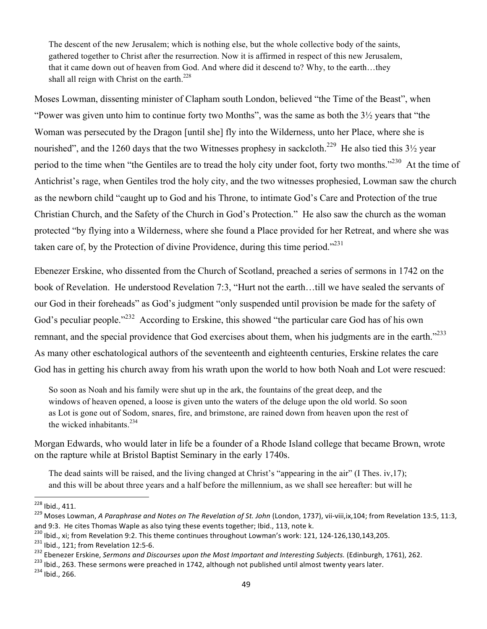The descent of the new Jerusalem; which is nothing else, but the whole collective body of the saints, gathered together to Christ after the resurrection. Now it is affirmed in respect of this new Jerusalem, that it came down out of heaven from God. And where did it descend to? Why, to the earth…they shall all reign with Christ on the earth.<sup>228</sup>

Moses Lowman, dissenting minister of Clapham south London, believed "the Time of the Beast", when "Power was given unto him to continue forty two Months", was the same as both the 3½ years that "the Woman was persecuted by the Dragon [until she] fly into the Wilderness, unto her Place, where she is nourished", and the 1260 days that the two Witnesses prophesy in sackcloth.<sup>229</sup> He also tied this  $3\frac{1}{2}$  year period to the time when "the Gentiles are to tread the holy city under foot, forty two months."<sup>230</sup> At the time of Antichrist's rage, when Gentiles trod the holy city, and the two witnesses prophesied, Lowman saw the church as the newborn child "caught up to God and his Throne, to intimate God's Care and Protection of the true Christian Church, and the Safety of the Church in God's Protection." He also saw the church as the woman protected "by flying into a Wilderness, where she found a Place provided for her Retreat, and where she was taken care of, by the Protection of divine Providence, during this time period."<sup>231</sup>

Ebenezer Erskine, who dissented from the Church of Scotland, preached a series of sermons in 1742 on the book of Revelation. He understood Revelation 7:3, "Hurt not the earth…till we have sealed the servants of our God in their foreheads" as God's judgment "only suspended until provision be made for the safety of God's peculiar people."<sup>232</sup> According to Erskine, this showed "the particular care God has of his own remnant, and the special providence that God exercises about them, when his judgments are in the earth."<sup>233</sup> As many other eschatological authors of the seventeenth and eighteenth centuries, Erskine relates the care God has in getting his church away from his wrath upon the world to how both Noah and Lot were rescued:

So soon as Noah and his family were shut up in the ark, the fountains of the great deep, and the windows of heaven opened, a loose is given unto the waters of the deluge upon the old world. So soon as Lot is gone out of Sodom, snares, fire, and brimstone, are rained down from heaven upon the rest of the wicked inhabitants. $234$ 

Morgan Edwards, who would later in life be a founder of a Rhode Island college that became Brown, wrote on the rapture while at Bristol Baptist Seminary in the early 1740s.

The dead saints will be raised, and the living changed at Christ's "appearing in the air" (I Thes. iv,17); and this will be about three years and a half before the millennium, as we shall see hereafter: but will he

<sup>&</sup>lt;sup>228</sup> Ibid., 411.<br><sup>229</sup> Moses Lowman, *A Paraphrase and Notes on The Revelation of St. John* (London, 1737), vii-viii,ix,104; from Revelation 13:5, 11:3, and 9:3. He cites Thomas Waple as also tying these events together; Ibid., 113, note k.<br><sup>230</sup> Ibid., xi; from Revelation 9:2. This theme continues throughout Lowman's work: 121, 124-126,130,143,205.

<sup>&</sup>lt;sup>231</sup> Ibid., 121; from Revelation 12:5-6.<br><sup>232</sup> Ebenezer Erskine, *Sermons and Discourses upon the Most Important and Interesting Subjects.* (Edinburgh, 1761), 262.<br><sup>233</sup> Ibid., 263. These sermons were preached in 1742, a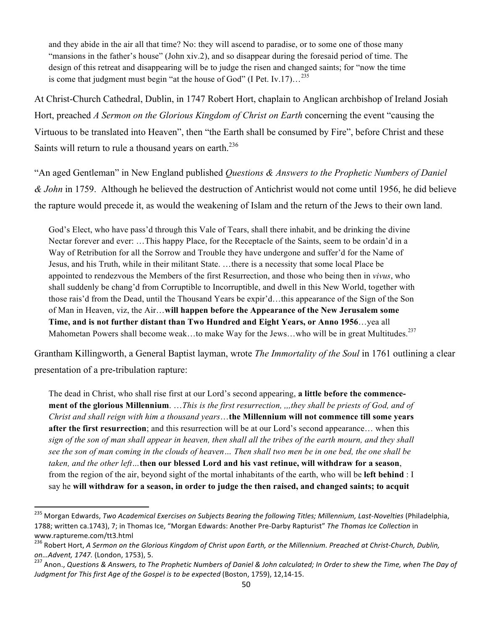and they abide in the air all that time? No: they will ascend to paradise, or to some one of those many "mansions in the father's house" (John xiv.2), and so disappear during the foresaid period of time. The design of this retreat and disappearing will be to judge the risen and changed saints; for "now the time is come that judgment must begin "at the house of God" (I Pet. Iv.17)... $^{235}$ 

At Christ-Church Cathedral, Dublin, in 1747 Robert Hort, chaplain to Anglican archbishop of Ireland Josiah Hort, preached *A Sermon on the Glorious Kingdom of Christ on Earth* concerning the event "causing the Virtuous to be translated into Heaven", then "the Earth shall be consumed by Fire", before Christ and these Saints will return to rule a thousand years on earth. $^{236}$ 

"An aged Gentleman" in New England published *Questions & Answers to the Prophetic Numbers of Daniel & John* in 1759. Although he believed the destruction of Antichrist would not come until 1956, he did believe the rapture would precede it, as would the weakening of Islam and the return of the Jews to their own land.

God's Elect, who have pass'd through this Vale of Tears, shall there inhabit, and be drinking the divine Nectar forever and ever: …This happy Place, for the Receptacle of the Saints, seem to be ordain'd in a Way of Retribution for all the Sorrow and Trouble they have undergone and suffer'd for the Name of Jesus, and his Truth, while in their militant State. …there is a necessity that some local Place be appointed to rendezvous the Members of the first Resurrection, and those who being then in *vivus*, who shall suddenly be chang'd from Corruptible to Incorruptible, and dwell in this New World, together with those rais'd from the Dead, until the Thousand Years be expir'd…this appearance of the Sign of the Son of Man in Heaven, viz, the Air…**will happen before the Appearance of the New Jerusalem some Time, and is not further distant than Two Hundred and Eight Years, or Anno 1956**…yea all Mahometan Powers shall become weak...to make Way for the Jews...who will be in great Multitudes.<sup>237</sup>

Grantham Killingworth, a General Baptist layman, wrote *The Immortality of the Soul* in 1761 outlining a clear presentation of a pre-tribulation rapture:

The dead in Christ, who shall rise first at our Lord's second appearing, **a little before the commencement of the glorious Millennium**. …*This is the first resurrection, ,,,they shall be priests of God, and of Christ and shall reign with him a thousand years*…**the Millennium will not commence till some years after the first resurrection**; and this resurrection will be at our Lord's second appearance… when this *sign of the son of man shall appear in heaven, then shall all the tribes of the earth mourn, and they shall see the son of man coming in the clouds of heaven… Then shall two men be in one bed, the one shall be taken, and the other left…***then our blessed Lord and his vast retinue, will withdraw for a season**, from the region of the air, beyond sight of the mortal inhabitants of the earth, who will be **left behind** : I say he **will withdraw for a season, in order to judge the then raised, and changed saints; to acquit** 

<sup>&</sup>lt;sup>235</sup> Morgan Edwards, *Two Academical Exercises on Subjects Bearing the following Titles; Millennium, Last-Novelties (Philadelphia,* 1788; written ca.1743), 7; in Thomas Ice, "Morgan Edwards: Another Pre-Darby Rapturist" The Thomas Ice Collection in www.raptureme.com/tt3.html

<sup>&</sup>lt;sup>236</sup> Robert Hort, A Sermon on the Glorious Kingdom of Christ upon Earth, or the Millennium. Preached at Christ-Church, Dublin, on…Advent, 1747. (London, 1753), 5.<br><sup>237</sup> Anon., Questions & Answers, to The Prophetic Numbers of Daniel & John calculated; In Order to shew the Time, when The Day of

*Judgment for This first Age of the Gospel is to be expected (Boston, 1759), 12,14-15.*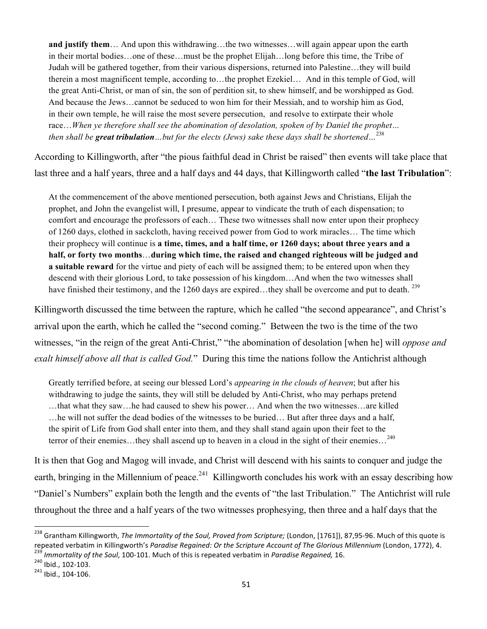**and justify them**… And upon this withdrawing…the two witnesses…will again appear upon the earth in their mortal bodies…one of these…must be the prophet Elijah…long before this time, the Tribe of Judah will be gathered together, from their various dispersions, returned into Palestine…they will build therein a most magnificent temple, according to…the prophet Ezekiel… And in this temple of God, will the great Anti-Christ, or man of sin, the son of perdition sit, to shew himself, and be worshipped as God. And because the Jews…cannot be seduced to won him for their Messiah, and to worship him as God, in their own temple, he will raise the most severe persecution, and resolve to extirpate their whole race…*When ye therefore shall see the abomination of desolation, spoken of by Daniel the prophet… then shall be great tribulation…but for the elects (Jews) sake these days shall be shortened…*<sup>238</sup>

According to Killingworth, after "the pious faithful dead in Christ be raised" then events will take place that last three and a half years, three and a half days and 44 days, that Killingworth called "**the last Tribulation**":

At the commencement of the above mentioned persecution, both against Jews and Christians, Elijah the prophet, and John the evangelist will, I presume, appear to vindicate the truth of each dispensation; to comfort and encourage the professors of each… These two witnesses shall now enter upon their prophecy of 1260 days, clothed in sackcloth, having received power from God to work miracles… The time which their prophecy will continue is **a time, times, and a half time, or 1260 days; about three years and a half, or forty two months**…**during which time, the raised and changed righteous will be judged and a suitable reward** for the virtue and piety of each will be assigned them; to be entered upon when they descend with their glorious Lord, to take possession of his kingdom…And when the two witnesses shall have finished their testimony, and the 1260 days are expired…they shall be overcome and put to death. <sup>239</sup>

Killingworth discussed the time between the rapture, which he called "the second appearance", and Christ's arrival upon the earth, which he called the "second coming." Between the two is the time of the two witnesses, "in the reign of the great Anti-Christ," "the abomination of desolation [when he] will *oppose and exalt himself above all that is called God.*" During this time the nations follow the Antichrist although

Greatly terrified before, at seeing our blessed Lord's *appearing in the clouds of heaven*; but after his withdrawing to judge the saints, they will still be deluded by Anti-Christ, who may perhaps pretend …that what they saw…he had caused to shew his power… And when the two witnesses…are killed …he will not suffer the dead bodies of the witnesses to be buried… But after three days and a half, the spirit of Life from God shall enter into them, and they shall stand again upon their feet to the terror of their enemies...they shall ascend up to heaven in a cloud in the sight of their enemies...<sup>240</sup>

It is then that Gog and Magog will invade, and Christ will descend with his saints to conquer and judge the earth, bringing in the Millennium of peace.<sup>241</sup> Killingworth concludes his work with an essay describing how "Daniel's Numbers" explain both the length and the events of "the last Tribulation." The Antichrist will rule throughout the three and a half years of the two witnesses prophesying, then three and a half days that the

<sup>&</sup>lt;sup>238</sup> Grantham Killingworth, *The Immortality of the Soul, Proved from Scripture;* (London, [1761]), 87,95-96. Much of this quote is repeated verbatim in Killingworth's Paradise Regained: Or the Scripture Account of The Glorious Millennium (London, 1772), 4.<br><sup>239</sup> Immortality of the Soul, 100-101. Much of this is repeated verbatim in Paradise Regained,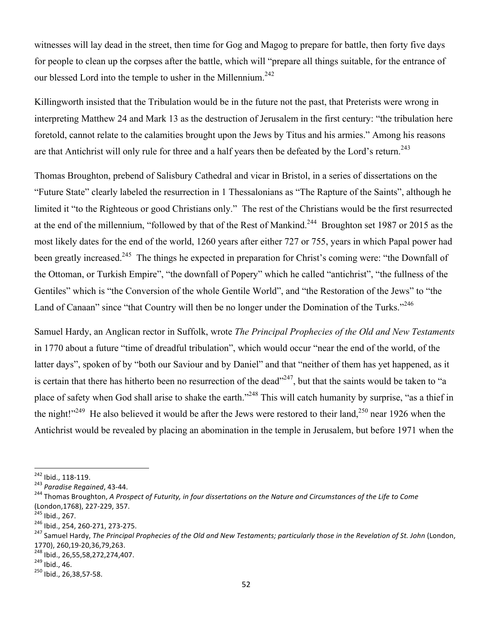witnesses will lay dead in the street, then time for Gog and Magog to prepare for battle, then forty five days for people to clean up the corpses after the battle, which will "prepare all things suitable, for the entrance of our blessed Lord into the temple to usher in the Millennium.<sup>242</sup>

Killingworth insisted that the Tribulation would be in the future not the past, that Preterists were wrong in interpreting Matthew 24 and Mark 13 as the destruction of Jerusalem in the first century: "the tribulation here foretold, cannot relate to the calamities brought upon the Jews by Titus and his armies." Among his reasons are that Antichrist will only rule for three and a half years then be defeated by the Lord's return.<sup>243</sup>

Thomas Broughton, prebend of Salisbury Cathedral and vicar in Bristol, in a series of dissertations on the "Future State" clearly labeled the resurrection in 1 Thessalonians as "The Rapture of the Saints", although he limited it "to the Righteous or good Christians only." The rest of the Christians would be the first resurrected at the end of the millennium, "followed by that of the Rest of Mankind.<sup>244</sup> Broughton set 1987 or 2015 as the most likely dates for the end of the world, 1260 years after either 727 or 755, years in which Papal power had been greatly increased.<sup>245</sup> The things he expected in preparation for Christ's coming were: "the Downfall of the Ottoman, or Turkish Empire", "the downfall of Popery" which he called "antichrist", "the fullness of the Gentiles" which is "the Conversion of the whole Gentile World", and "the Restoration of the Jews" to "the Land of Canaan" since "that Country will then be no longer under the Domination of the Turks."<sup>246</sup>

Samuel Hardy, an Anglican rector in Suffolk, wrote *The Principal Prophecies of the Old and New Testaments* in 1770 about a future "time of dreadful tribulation", which would occur "near the end of the world, of the latter days", spoken of by "both our Saviour and by Daniel" and that "neither of them has yet happened, as it is certain that there has hitherto been no resurrection of the dead $^{247}$ , but that the saints would be taken to "a place of safety when God shall arise to shake the earth."248 This will catch humanity by surprise, "as a thief in the night!"<sup>249</sup> He also believed it would be after the Jews were restored to their land,<sup>250</sup> near 1926 when the Antichrist would be revealed by placing an abomination in the temple in Jerusalem, but before 1971 when the

<sup>&</sup>lt;sup>242</sup> Ibid., 118-119.<br><sup>243</sup> *Paradise Regained, 43-44.*<br><sup>244</sup> Thomas Broughton, *A Prospect of Futurity, in four dissertations on the Nature and Circumstances of the Life to Come* 

<sup>(</sup>London,1768), 227-229, 357.<br><sup>245</sup> Ibid., 267.<br><sup>246</sup> Ibid., 254, 260-271, 273-275.<br><sup>247</sup> Samuel Hardy, *The Principal Prophecies of the Old and New Testaments; particularly those in the Revelation of St. John (London,* 

<sup>1770), 260,19-20,36,79,263.&</sup>lt;br><sup>248</sup> Ibid., 26,55,58,272,274,407.<br><sup>249</sup> Ibid., 46.<br><sup>250</sup> Ibid., 26,38,57-58.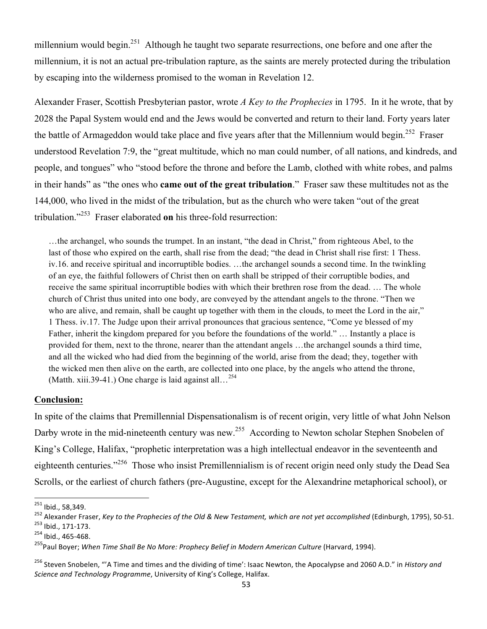millennium would begin.<sup>251</sup> Although he taught two separate resurrections, one before and one after the millennium, it is not an actual pre-tribulation rapture, as the saints are merely protected during the tribulation by escaping into the wilderness promised to the woman in Revelation 12.

Alexander Fraser, Scottish Presbyterian pastor, wrote *A Key to the Prophecies* in 1795. In it he wrote, that by 2028 the Papal System would end and the Jews would be converted and return to their land. Forty years later the battle of Armageddon would take place and five years after that the Millennium would begin.<sup>252</sup> Fraser understood Revelation 7:9, the "great multitude, which no man could number, of all nations, and kindreds, and people, and tongues" who "stood before the throne and before the Lamb, clothed with white robes, and palms in their hands" as "the ones who **came out of the great tribulation**." Fraser saw these multitudes not as the 144,000, who lived in the midst of the tribulation, but as the church who were taken "out of the great tribulation."253 Fraser elaborated **on** his three-fold resurrection:

…the archangel, who sounds the trumpet. In an instant, "the dead in Christ," from righteous Abel, to the last of those who expired on the earth, shall rise from the dead; "the dead in Christ shall rise first: 1 Thess. iv.16. and receive spiritual and incorruptible bodies. …the archangel sounds a second time. In the twinkling of an eye, the faithful followers of Christ then on earth shall be stripped of their corruptible bodies, and receive the same spiritual incorruptible bodies with which their brethren rose from the dead. … The whole church of Christ thus united into one body, are conveyed by the attendant angels to the throne. "Then we who are alive, and remain, shall be caught up together with them in the clouds, to meet the Lord in the air," 1 Thess. iv.17. The Judge upon their arrival pronounces that gracious sentence, "Come ye blessed of my Father, inherit the kingdom prepared for you before the foundations of the world." … Instantly a place is provided for them, next to the throne, nearer than the attendant angels …the archangel sounds a third time, and all the wicked who had died from the beginning of the world, arise from the dead; they, together with the wicked men then alive on the earth, are collected into one place, by the angels who attend the throne, (Matth. xiii.39-41.) One charge is laid against all...<sup>254</sup>

### **Conclusion:**

In spite of the claims that Premillennial Dispensationalism is of recent origin, very little of what John Nelson Darby wrote in the mid-nineteenth century was new.<sup>255</sup> According to Newton scholar Stephen Snobelen of King's College, Halifax, "prophetic interpretation was a high intellectual endeavor in the seventeenth and eighteenth centuries."256 Those who insist Premillennialism is of recent origin need only study the Dead Sea Scrolls, or the earliest of church fathers (pre-Augustine, except for the Alexandrine metaphorical school), or

<sup>&</sup>lt;sup>251</sup> Ibid., 58,349.

<sup>252</sup> Alexander Fraser, *Key to the Prophecies of the Old & New Testament, which are not yet accomplished* (Edinburgh, 1795), 50-51.<br><sup>253</sup> Ibid., 171-173. 254 Ibid., 465-468.

<sup>&</sup>lt;sup>255</sup>Paul Boyer; *When Time Shall Be No More: Prophecy Belief in Modern American Culture (Harvard, 1994).* 

<sup>&</sup>lt;sup>256</sup> Steven Snobelen, "'A Time and times and the dividing of time': Isaac Newton, the Apocalypse and 2060 A.D." in *History and Science and Technology Programme, University of King's College, Halifax.*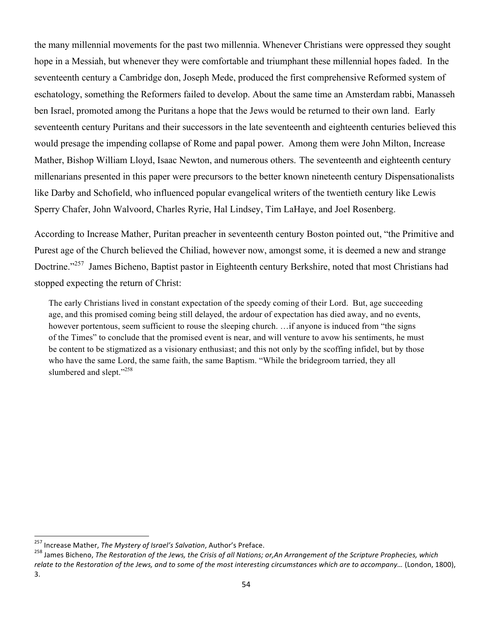the many millennial movements for the past two millennia. Whenever Christians were oppressed they sought hope in a Messiah, but whenever they were comfortable and triumphant these millennial hopes faded. In the seventeenth century a Cambridge don, Joseph Mede, produced the first comprehensive Reformed system of eschatology, something the Reformers failed to develop. About the same time an Amsterdam rabbi, Manasseh ben Israel, promoted among the Puritans a hope that the Jews would be returned to their own land. Early seventeenth century Puritans and their successors in the late seventeenth and eighteenth centuries believed this would presage the impending collapse of Rome and papal power. Among them were John Milton, Increase Mather, Bishop William Lloyd, Isaac Newton, and numerous others. The seventeenth and eighteenth century millenarians presented in this paper were precursors to the better known nineteenth century Dispensationalists like Darby and Schofield, who influenced popular evangelical writers of the twentieth century like Lewis Sperry Chafer, John Walvoord, Charles Ryrie, Hal Lindsey, Tim LaHaye, and Joel Rosenberg.

According to Increase Mather, Puritan preacher in seventeenth century Boston pointed out, "the Primitive and Purest age of the Church believed the Chiliad, however now, amongst some, it is deemed a new and strange Doctrine."257 James Bicheno, Baptist pastor in Eighteenth century Berkshire, noted that most Christians had stopped expecting the return of Christ:

The early Christians lived in constant expectation of the speedy coming of their Lord. But, age succeeding age, and this promised coming being still delayed, the ardour of expectation has died away, and no events, however portentous, seem sufficient to rouse the sleeping church. …if anyone is induced from "the signs" of the Times" to conclude that the promised event is near, and will venture to avow his sentiments, he must be content to be stigmatized as a visionary enthusiast; and this not only by the scoffing infidel, but by those who have the same Lord, the same faith, the same Baptism. "While the bridegroom tarried, they all slumbered and slept."<sup>258</sup>

<sup>&</sup>lt;sup>257</sup> Increase Mather, *The Mystery of Israel's Salvation*, Author's Preface.<br><sup>258</sup> James Bicheno, *The Restoration of the Jews, the Crisis of all Nations; or,An Arrangement of the Scripture Prophecies, which* relate to the Restoration of the Jews, and to some of the most interesting circumstances which are to accompany… (London, 1800), 3.